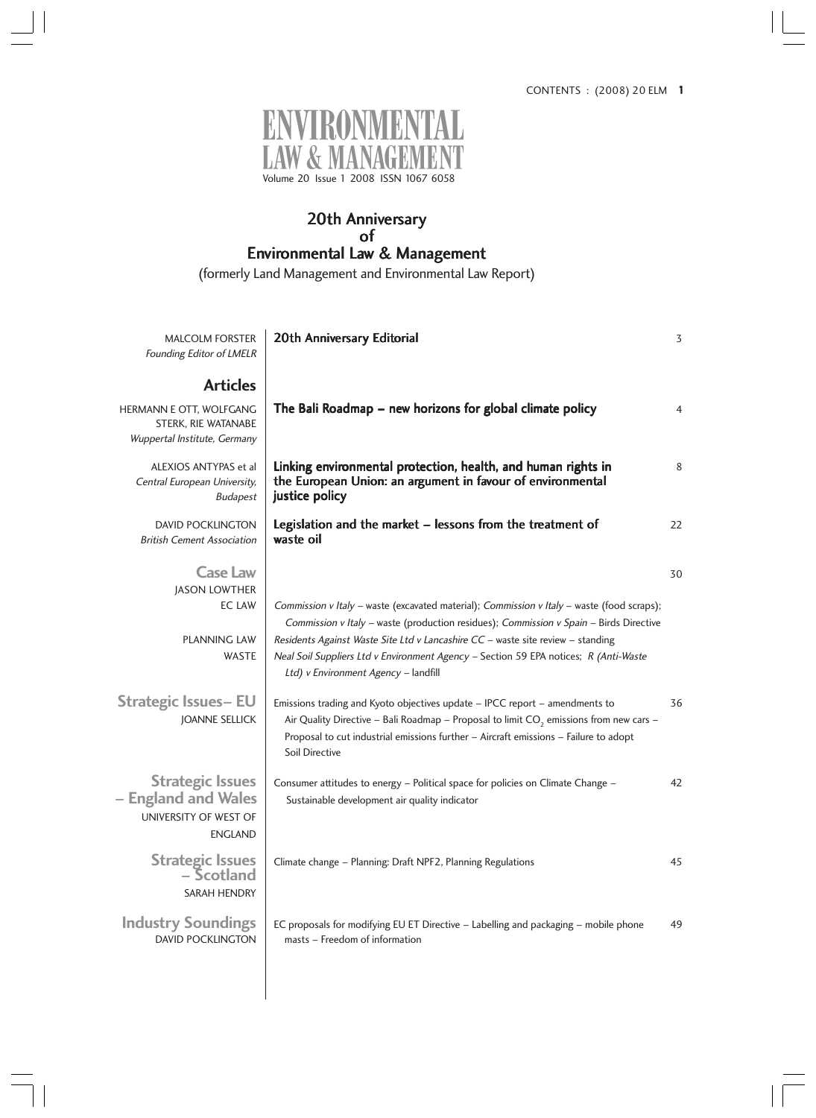

# 20th Anniversary of Environmental Law & Management

(formerly Land Management and Environmental Law Report)

| <b>MALCOLM FORSTER</b><br>Founding Editor of LMELR                                        | 20th Anniversary Editorial                                                                                                                                                                                                                                                                                                                                                                              | 3  |
|-------------------------------------------------------------------------------------------|---------------------------------------------------------------------------------------------------------------------------------------------------------------------------------------------------------------------------------------------------------------------------------------------------------------------------------------------------------------------------------------------------------|----|
| <b>Articles</b>                                                                           |                                                                                                                                                                                                                                                                                                                                                                                                         |    |
| HERMANN E OTT, WOLFGANG<br>STERK, RIE WATANABE<br>Wuppertal Institute, Germany            | The Bali Roadmap – new horizons for global climate policy                                                                                                                                                                                                                                                                                                                                               | 4  |
| ALEXIOS ANTYPAS et al<br>Central European University,<br><b>Budapest</b>                  | Linking environmental protection, health, and human rights in<br>the European Union: an argument in favour of environmental<br>justice policy                                                                                                                                                                                                                                                           | 8  |
| <b>DAVID POCKLINGTON</b><br><b>British Cement Association</b>                             | Legislation and the market – lessons from the treatment of<br>waste oil                                                                                                                                                                                                                                                                                                                                 | 22 |
| <b>Case Law</b>                                                                           |                                                                                                                                                                                                                                                                                                                                                                                                         | 30 |
| <b>JASON LOWTHER</b><br><b>EC LAW</b><br><b>PLANNING LAW</b><br><b>WASTE</b>              | Commission v Italy - waste (excavated material); Commission v Italy - waste (food scraps);<br>Commission v Italy - waste (production residues); Commission v Spain - Birds Directive<br>Residents Against Waste Site Ltd v Lancashire CC - waste site review - standing<br>Neal Soil Suppliers Ltd v Environment Agency - Section 59 EPA notices; R (Anti-Waste<br>Ltd) v Environment Agency - landfill |    |
| <b>Strategic Issues- EU</b><br><b>JOANNE SELLICK</b>                                      | Emissions trading and Kyoto objectives update - IPCC report - amendments to<br>Air Quality Directive - Bali Roadmap - Proposal to limit $CO2$ emissions from new cars -<br>Proposal to cut industrial emissions further - Aircraft emissions - Failure to adopt<br>Soil Directive                                                                                                                       | 36 |
| <b>Strategic Issues</b><br>- England and Wales<br>UNIVERSITY OF WEST OF<br><b>ENGLAND</b> | Consumer attitudes to energy - Political space for policies on Climate Change -<br>Sustainable development air quality indicator                                                                                                                                                                                                                                                                        | 42 |
| <b>Strategic Issues</b><br>– Scotland<br>SARAH HENDRY                                     | Climate change - Planning: Draft NPF2, Planning Regulations                                                                                                                                                                                                                                                                                                                                             | 45 |
| <b>Industry Soundings</b><br><b>DAVID POCKLINGTON</b>                                     | EC proposals for modifying EU ET Directive - Labelling and packaging - mobile phone<br>masts - Freedom of information                                                                                                                                                                                                                                                                                   | 49 |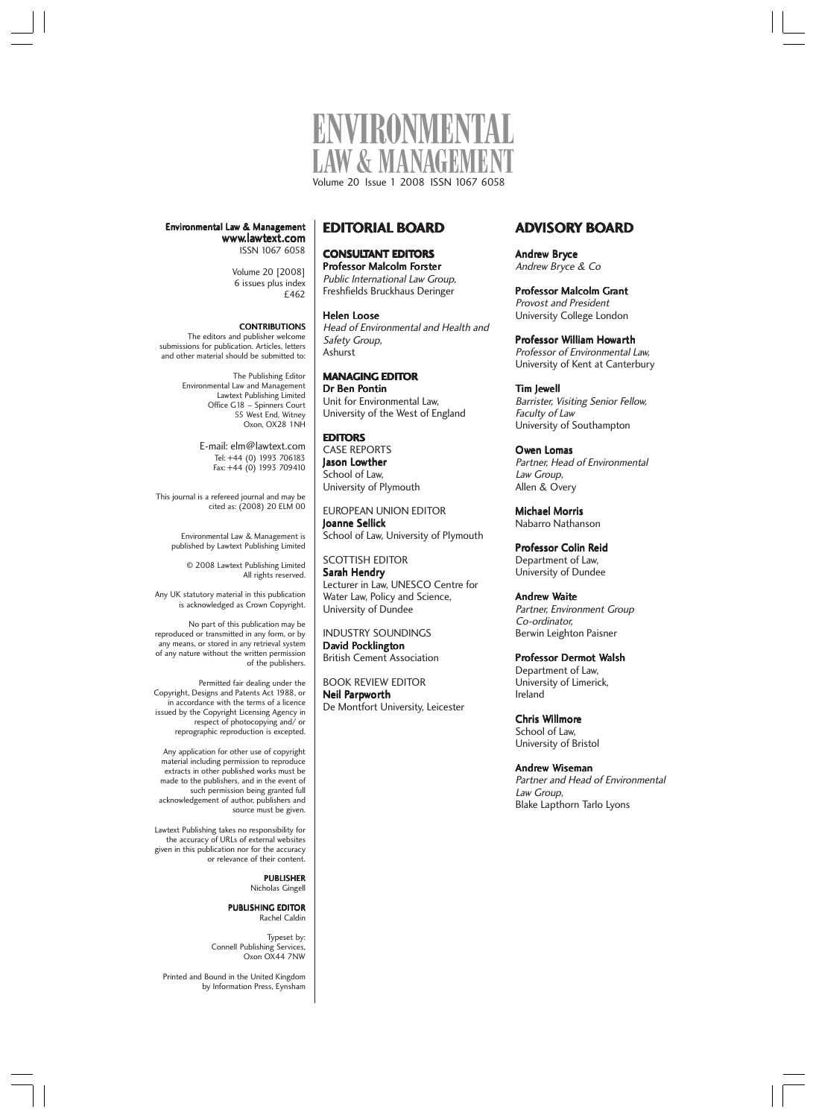

Head of Environmental and Health and

**EDITORIAL BOARD**

**CONSULTANT EDITORS** Professor Malcolm Forster Public International Law Group, Freshfields Bruckhaus Deringer

Helen Loose

Safety Group, Ashurst

**EDITORS** CASE REPORTS Jason Lowther School of Law, University of Plymouth

Joanne Sellick

SCOTTISH EDITOR Sarah Hendry

INDUSTRY SOUNDINGS David Pocklington British Cement Association BOOK REVIEW EDITOR Neil Parpworth

De Montfort University, Leicester

**MANAGING EDITOR** Dr Ben Pontin

Unit for Environmental Law, University of the West of England

EUROPEAN UNION EDITOR

School of Law, University of Plymouth

Lecturer in Law, UNESCO Centre for Water Law, Policy and Science, University of Dundee

Environmental Law & Management www.lawtext.com ISSN 1067 6058

> Volume 20 [2008] 6 issues plus index £462

#### **CONTRIBUTIONS**

The editors and publisher welcome submissions for publication. Articles, letters and other material should be submitted to:

> The Publishing Editor Environmental Law and Management Lawtext Publishing Limited Office G18 – Spinners Court 55 West End, Witney Oxon, OX28 1NH

> > E-mail: elm@lawtext.com Tel: +44 (0) 1993 706183 Fax: +44 (0) 1993 709410

This journal is a refereed journal and may be cited as: (2008) 20 ELM 00

> Environmental Law & Management is published by Lawtext Publishing Limited

> > © 2008 Lawtext Publishing Limited All rights reserved.

Any UK statutory material in this publication is acknowledged as Crown Copyright.

No part of this publication may be reproduced or transmitted in any form, or by any means, or stored in any retrieval system of any nature without the written permission of the publishers.

Permitted fair dealing under the Copyright, Designs and Patents Act 1988, or in accordance with the terms of a licence issued by the Copyright Licensing Agency in respect of photocopying and/ or reprographic reproduction is excepted.

Any application for other use of copyright material including permission to reproduce extracts in other published works must be made to the publishers, and in the event of such permission being granted full acknowledgement of author, publishers and source must be given.

Lawtext Publishing takes no responsibility for the accuracy of URLs of external websites given in this publication nor for the accuracy or relevance of their content.

> **PUBLISHER** Nicholas Gingell

#### PUBLISHING EDITOR Rachel Caldin

Typeset by: Connell Publishing Services, Oxon OX44 7NW

Printed and Bound in the United Kingdom by Information Press, Eynsham

# **ADVISORY BOARD**

Andrew Bryce Andrew Bryce & Co

Professor Malcolm Grant Provost and President University College London

Professor William Howarth Professor of Environmental Law, University of Kent at Canterbury

Tim Jewell Barrister, Visiting Senior Fellow, Faculty of Law University of Southampton

Owen Lomas Partner, Head of Environmental Law Group, Allen & Overy

Michael Morris Nabarro Nathanson

Professor Colin Reid Department of Law, University of Dundee

Andrew Waite Partner, Environment Group Co-ordinator, Berwin Leighton Paisner

Professor Dermot Walsh Department of Law, University of Limerick, Ireland

Chris Willmore School of Law, University of Bristol

Andrew Wiseman Partner and Head of Environmental Law Group, Blake Lapthorn Tarlo Lyons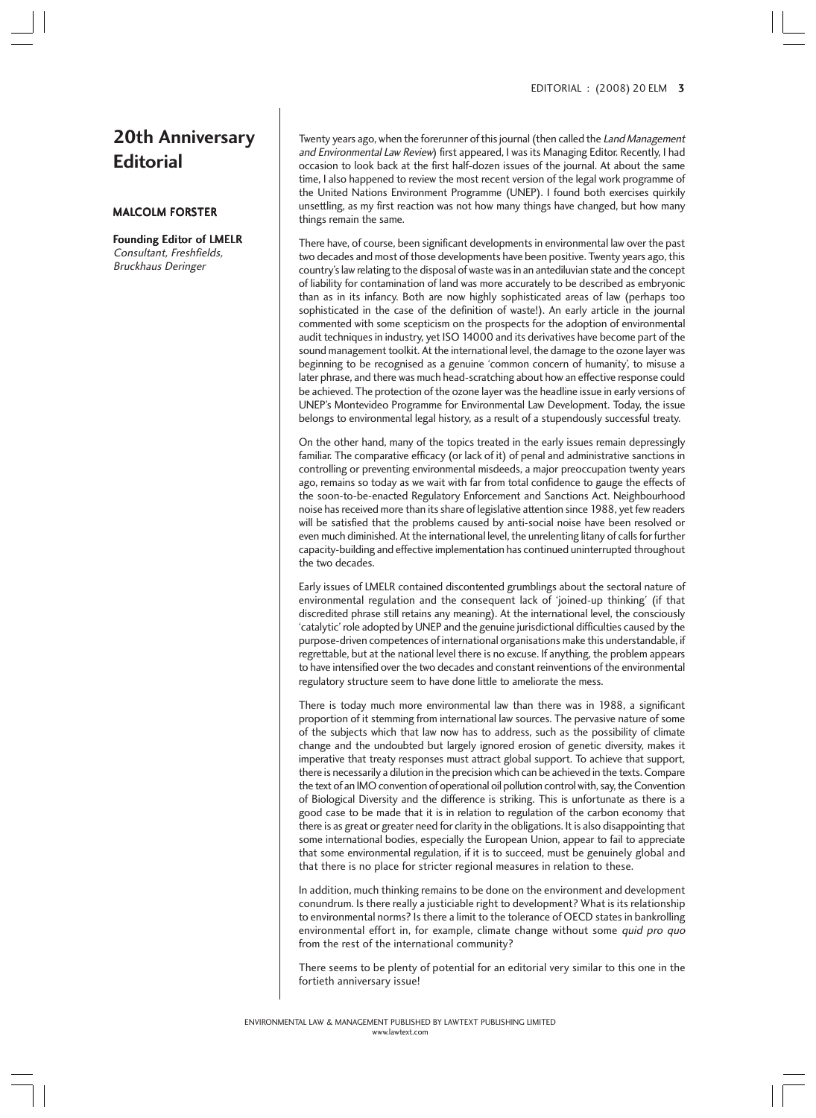# **20th Anniversary Editorial**

## MALCOLM FORSTER

#### Founding Editor of LMELR Consultant, Freshfields, Bruckhaus Deringer

Twenty years ago, when the forerunner of this journal (then called the Land Management and Environmental Law Review) first appeared, I was its Managing Editor. Recently, I had occasion to look back at the first half-dozen issues of the journal. At about the same time, I also happened to review the most recent version of the legal work programme of the United Nations Environment Programme (UNEP). I found both exercises quirkily unsettling, as my first reaction was not how many things have changed, but how many things remain the same.

There have, of course, been significant developments in environmental law over the past two decades and most of those developments have been positive. Twenty years ago, this country's law relating to the disposal of waste was in an antediluvian state and the concept of liability for contamination of land was more accurately to be described as embryonic than as in its infancy. Both are now highly sophisticated areas of law (perhaps too sophisticated in the case of the definition of waste!). An early article in the journal commented with some scepticism on the prospects for the adoption of environmental audit techniques in industry, yet ISO 14000 and its derivatives have become part of the sound management toolkit. At the international level, the damage to the ozone layer was beginning to be recognised as a genuine 'common concern of humanity', to misuse a later phrase, and there was much head-scratching about how an effective response could be achieved. The protection of the ozone layer was the headline issue in early versions of UNEP's Montevideo Programme for Environmental Law Development. Today, the issue belongs to environmental legal history, as a result of a stupendously successful treaty.

On the other hand, many of the topics treated in the early issues remain depressingly familiar. The comparative efficacy (or lack of it) of penal and administrative sanctions in controlling or preventing environmental misdeeds, a major preoccupation twenty years ago, remains so today as we wait with far from total confidence to gauge the effects of the soon-to-be-enacted Regulatory Enforcement and Sanctions Act. Neighbourhood noise has received more than its share of legislative attention since 1988, yet few readers will be satisfied that the problems caused by anti-social noise have been resolved or even much diminished. At the international level, the unrelenting litany of calls for further capacity-building and effective implementation has continued uninterrupted throughout the two decades.

Early issues of LMELR contained discontented grumblings about the sectoral nature of environmental regulation and the consequent lack of 'joined-up thinking' (if that discredited phrase still retains any meaning). At the international level, the consciously 'catalytic' role adopted by UNEP and the genuine jurisdictional difficulties caused by the purpose-driven competences of international organisations make this understandable, if regrettable, but at the national level there is no excuse. If anything, the problem appears to have intensified over the two decades and constant reinventions of the environmental regulatory structure seem to have done little to ameliorate the mess.

There is today much more environmental law than there was in 1988, a significant proportion of it stemming from international law sources. The pervasive nature of some of the subjects which that law now has to address, such as the possibility of climate change and the undoubted but largely ignored erosion of genetic diversity, makes it imperative that treaty responses must attract global support. To achieve that support, there is necessarily a dilution in the precision which can be achieved in the texts. Compare the text of an IMO convention of operational oil pollution control with, say, the Convention of Biological Diversity and the difference is striking. This is unfortunate as there is a good case to be made that it is in relation to regulation of the carbon economy that there is as great or greater need for clarity in the obligations. It is also disappointing that some international bodies, especially the European Union, appear to fail to appreciate that some environmental regulation, if it is to succeed, must be genuinely global and that there is no place for stricter regional measures in relation to these.

In addition, much thinking remains to be done on the environment and development conundrum. Is there really a justiciable right to development? What is its relationship to environmental norms? Is there a limit to the tolerance of OECD states in bankrolling environmental effort in, for example, climate change without some quid pro quo from the rest of the international community?

There seems to be plenty of potential for an editorial very similar to this one in the fortieth anniversary issue!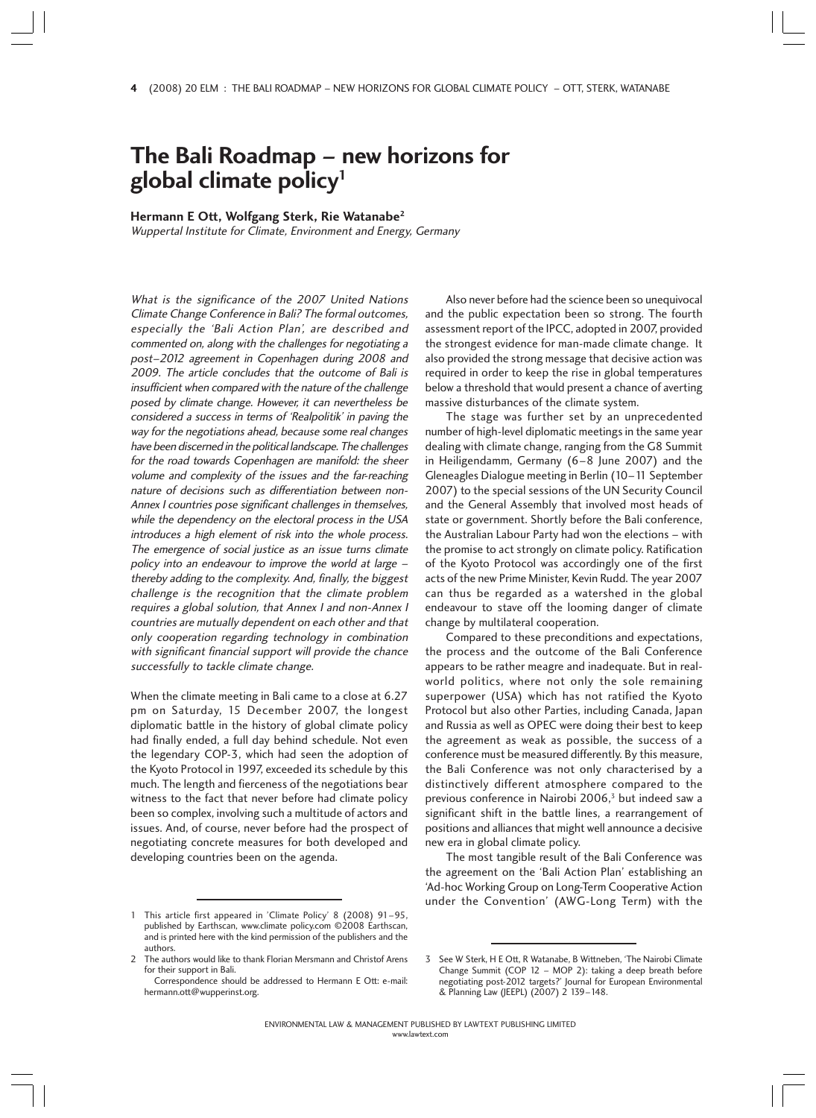# **The Bali Roadmap – new horizons for global climate policy1**

**Hermann E Ott, Wolfgang Sterk, Rie Watanabe2**

Wuppertal Institute for Climate, Environment and Energy, Germany

What is the significance of the 2007 United Nations Climate Change Conference in Bali? The formal outcomes, especially the 'Bali Action Plan', are described and commented on, along with the challenges for negotiating a post–2012 agreement in Copenhagen during 2008 and 2009. The article concludes that the outcome of Bali is insufficient when compared with the nature of the challenge posed by climate change. However, it can nevertheless be considered a success in terms of 'Realpolitik' in paving the way for the negotiations ahead, because some real changes have been discerned in the political landscape. The challenges for the road towards Copenhagen are manifold: the sheer volume and complexity of the issues and the far-reaching nature of decisions such as differentiation between non-Annex I countries pose significant challenges in themselves, while the dependency on the electoral process in the USA introduces a high element of risk into the whole process. The emergence of social justice as an issue turns climate policy into an endeavour to improve the world at large – thereby adding to the complexity. And, finally, the biggest challenge is the recognition that the climate problem requires a global solution, that Annex I and non-Annex I countries are mutually dependent on each other and that only cooperation regarding technology in combination with significant financial support will provide the chance successfully to tackle climate change.

When the climate meeting in Bali came to a close at 6.27 pm on Saturday, 15 December 2007, the longest diplomatic battle in the history of global climate policy had finally ended, a full day behind schedule. Not even the legendary COP-3, which had seen the adoption of the Kyoto Protocol in 1997, exceeded its schedule by this much. The length and fierceness of the negotiations bear witness to the fact that never before had climate policy been so complex, involving such a multitude of actors and issues. And, of course, never before had the prospect of negotiating concrete measures for both developed and developing countries been on the agenda.

Also never before had the science been so unequivocal and the public expectation been so strong. The fourth assessment report of the IPCC, adopted in 2007, provided the strongest evidence for man-made climate change. It also provided the strong message that decisive action was required in order to keep the rise in global temperatures below a threshold that would present a chance of averting massive disturbances of the climate system.

The stage was further set by an unprecedented number of high-level diplomatic meetings in the same year dealing with climate change, ranging from the G8 Summit in Heiligendamm, Germany (6–8 June 2007) and the Gleneagles Dialogue meeting in Berlin (10–11 September 2007) to the special sessions of the UN Security Council and the General Assembly that involved most heads of state or government. Shortly before the Bali conference, the Australian Labour Party had won the elections – with the promise to act strongly on climate policy. Ratification of the Kyoto Protocol was accordingly one of the first acts of the new Prime Minister, Kevin Rudd. The year 2007 can thus be regarded as a watershed in the global endeavour to stave off the looming danger of climate change by multilateral cooperation.

Compared to these preconditions and expectations, the process and the outcome of the Bali Conference appears to be rather meagre and inadequate. But in realworld politics, where not only the sole remaining superpower (USA) which has not ratified the Kyoto Protocol but also other Parties, including Canada, Japan and Russia as well as OPEC were doing their best to keep the agreement as weak as possible, the success of a conference must be measured differently. By this measure, the Bali Conference was not only characterised by a distinctively different atmosphere compared to the previous conference in Nairobi 2006,<sup>3</sup> but indeed saw a significant shift in the battle lines, a rearrangement of positions and alliances that might well announce a decisive new era in global climate policy.

The most tangible result of the Bali Conference was the agreement on the 'Bali Action Plan' establishing an 'Ad-hoc Working Group on Long-Term Cooperative Action under the Convention' (AWG-Long Term) with the

<sup>1</sup> This article first appeared in 'Climate Policy' 8 (2008) 91–95, published by Earthscan, www.climate policy.com ©2008 Earthscan, and is printed here with the kind permission of the publishers and the authors.

The authors would like to thank Florian Mersmann and Christof Arens for their support in Bali.

Correspondence should be addressed to Hermann E Ott: e-mail: hermann.ott@wupperinst.org.

<sup>3</sup> See W Sterk, H E Ott, R Watanabe, B Wittneben, 'The Nairobi Climate Change Summit (COP 12 – MOP 2): taking a deep breath before negotiating post-2012 targets?' Journal for European Environmental & Planning Law (JEEPL) (2007) 2 139–148.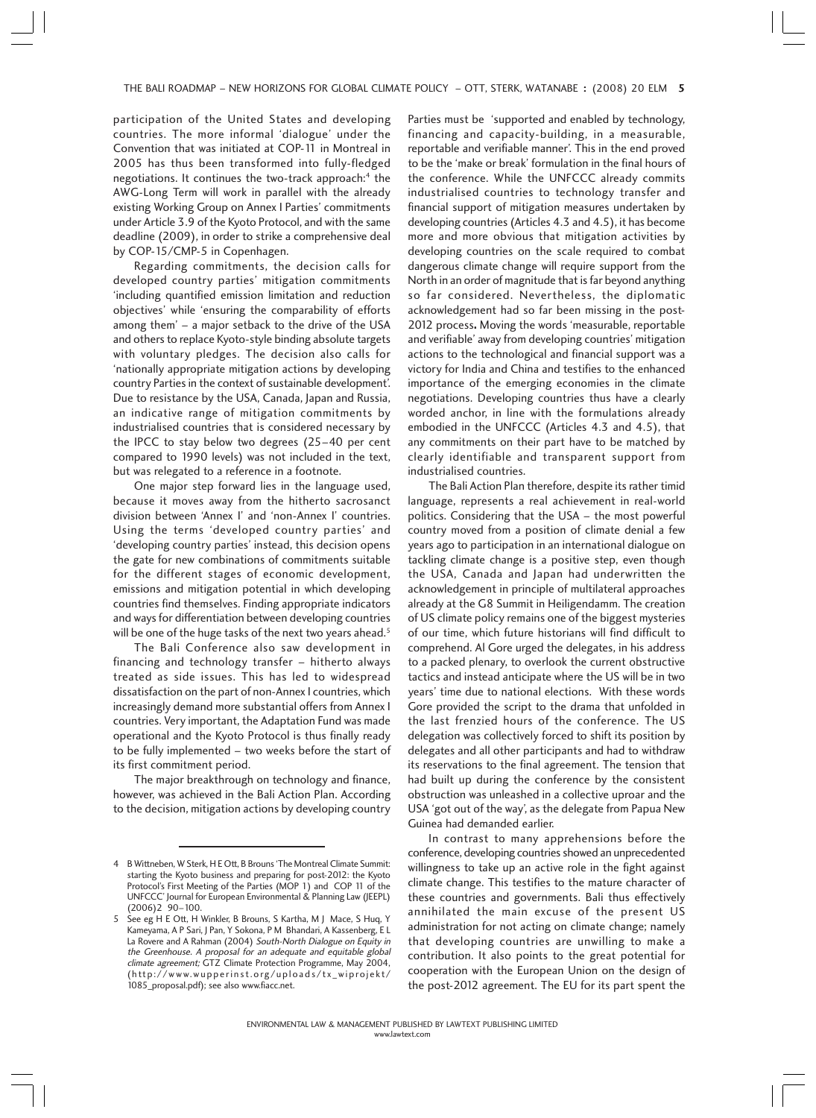participation of the United States and developing countries. The more informal 'dialogue' under the Convention that was initiated at COP-11 in Montreal in 2005 has thus been transformed into fully-fledged negotiations. It continues the two-track approach:<sup>4</sup> the AWG-Long Term will work in parallel with the already existing Working Group on Annex I Parties' commitments under Article 3.9 of the Kyoto Protocol, and with the same deadline (2009), in order to strike a comprehensive deal by COP-15/CMP-5 in Copenhagen.

Regarding commitments, the decision calls for developed country parties' mitigation commitments 'including quantified emission limitation and reduction objectives' while 'ensuring the comparability of efforts among them' – a major setback to the drive of the USA and others to replace Kyoto-style binding absolute targets with voluntary pledges. The decision also calls for 'nationally appropriate mitigation actions by developing country Parties in the context of sustainable development'. Due to resistance by the USA, Canada, Japan and Russia, an indicative range of mitigation commitments by industrialised countries that is considered necessary by the IPCC to stay below two degrees (25–40 per cent compared to 1990 levels) was not included in the text, but was relegated to a reference in a footnote.

One major step forward lies in the language used, because it moves away from the hitherto sacrosanct division between 'Annex I' and 'non-Annex I' countries. Using the terms 'developed country parties' and 'developing country parties' instead, this decision opens the gate for new combinations of commitments suitable for the different stages of economic development, emissions and mitigation potential in which developing countries find themselves. Finding appropriate indicators and ways for differentiation between developing countries will be one of the huge tasks of the next two years ahead.<sup>5</sup>

The Bali Conference also saw development in financing and technology transfer – hitherto always treated as side issues. This has led to widespread dissatisfaction on the part of non-Annex I countries, which increasingly demand more substantial offers from Annex I countries. Very important, the Adaptation Fund was made operational and the Kyoto Protocol is thus finally ready to be fully implemented – two weeks before the start of its first commitment period.

The major breakthrough on technology and finance, however, was achieved in the Bali Action Plan. According to the decision, mitigation actions by developing country Parties must be 'supported and enabled by technology, financing and capacity-building, in a measurable, reportable and verifiable manner'. This in the end proved to be the 'make or break' formulation in the final hours of the conference. While the UNFCCC already commits industrialised countries to technology transfer and financial support of mitigation measures undertaken by developing countries (Articles 4.3 and 4.5), it has become more and more obvious that mitigation activities by developing countries on the scale required to combat dangerous climate change will require support from the North in an order of magnitude that is far beyond anything so far considered. Nevertheless, the diplomatic acknowledgement had so far been missing in the post-2012 process. Moving the words 'measurable, reportable and verifiable' away from developing countries' mitigation actions to the technological and financial support was a victory for India and China and testifies to the enhanced importance of the emerging economies in the climate negotiations. Developing countries thus have a clearly worded anchor, in line with the formulations already embodied in the UNFCCC (Articles 4.3 and 4.5), that any commitments on their part have to be matched by clearly identifiable and transparent support from industrialised countries.

The Bali Action Plan therefore, despite its rather timid language, represents a real achievement in real-world politics. Considering that the USA – the most powerful country moved from a position of climate denial a few years ago to participation in an international dialogue on tackling climate change is a positive step, even though the USA, Canada and Japan had underwritten the acknowledgement in principle of multilateral approaches already at the G8 Summit in Heiligendamm. The creation of US climate policy remains one of the biggest mysteries of our time, which future historians will find difficult to comprehend. Al Gore urged the delegates, in his address to a packed plenary, to overlook the current obstructive tactics and instead anticipate where the US will be in two years' time due to national elections. With these words Gore provided the script to the drama that unfolded in the last frenzied hours of the conference. The US delegation was collectively forced to shift its position by delegates and all other participants and had to withdraw its reservations to the final agreement. The tension that had built up during the conference by the consistent obstruction was unleashed in a collective uproar and the USA 'got out of the way', as the delegate from Papua New Guinea had demanded earlier.

In contrast to many apprehensions before the conference, developing countries showed an unprecedented willingness to take up an active role in the fight against climate change. This testifies to the mature character of these countries and governments. Bali thus effectively annihilated the main excuse of the present US administration for not acting on climate change; namely that developing countries are unwilling to make a contribution. It also points to the great potential for cooperation with the European Union on the design of the post-2012 agreement. The EU for its part spent the

<sup>4</sup> B Wittneben, W Sterk, H E Ott, B Brouns 'The Montreal Climate Summit: starting the Kyoto business and preparing for post-2012: the Kyoto Protocol's First Meeting of the Parties (MOP 1) and COP 11 of the UNFCCC' Journal for European Environmental & Planning Law (JEEPL) (2006)2 90–100.

<sup>5</sup> See eg H E Ott, H Winkler, B Brouns, S Kartha, M J Mace, S Huq, Y Kameyama, A P Sari, J Pan, Y Sokona, P M Bhandari, A Kassenberg, E L La Rovere and A Rahman (2004) South-North Dialogue on Equity in the Greenhouse. A proposal for an adequate and equitable global climate agreement; GTZ Climate Protection Programme, May 2004, (http://www.wupperinst.org/uploads/tx\_wiprojekt/ 1085\_proposal.pdf); see also www.fiacc.net.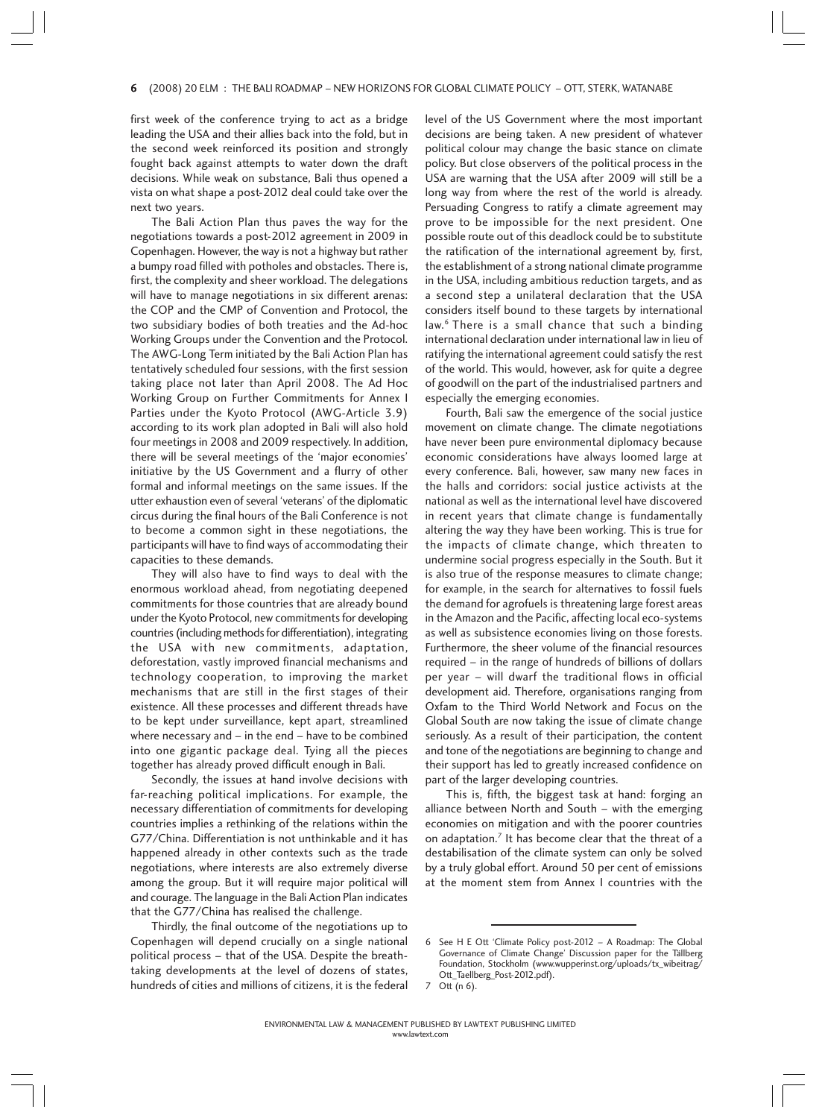#### 6 (2008) 20 ELM : THE BALI ROADMAP – NEW HORIZONS FOR GLOBAL CLIMATE POLICY – OTT, STERK, WATANABE 6

first week of the conference trying to act as a bridge leading the USA and their allies back into the fold, but in the second week reinforced its position and strongly fought back against attempts to water down the draft decisions. While weak on substance, Bali thus opened a vista on what shape a post-2012 deal could take over the next two years.

The Bali Action Plan thus paves the way for the negotiations towards a post-2012 agreement in 2009 in Copenhagen. However, the way is not a highway but rather a bumpy road filled with potholes and obstacles. There is, first, the complexity and sheer workload. The delegations will have to manage negotiations in six different arenas: the COP and the CMP of Convention and Protocol, the two subsidiary bodies of both treaties and the Ad-hoc Working Groups under the Convention and the Protocol. The AWG-Long Term initiated by the Bali Action Plan has tentatively scheduled four sessions, with the first session taking place not later than April 2008. The Ad Hoc Working Group on Further Commitments for Annex I Parties under the Kyoto Protocol (AWG-Article 3.9) according to its work plan adopted in Bali will also hold four meetings in 2008 and 2009 respectively. In addition, there will be several meetings of the 'major economies' initiative by the US Government and a flurry of other formal and informal meetings on the same issues. If the utter exhaustion even of several 'veterans' of the diplomatic circus during the final hours of the Bali Conference is not to become a common sight in these negotiations, the participants will have to find ways of accommodating their capacities to these demands.

They will also have to find ways to deal with the enormous workload ahead, from negotiating deepened commitments for those countries that are already bound under the Kyoto Protocol, new commitments for developing countries (including methods for differentiation), integrating the USA with new commitments, adaptation, deforestation, vastly improved financial mechanisms and technology cooperation, to improving the market mechanisms that are still in the first stages of their existence. All these processes and different threads have to be kept under surveillance, kept apart, streamlined where necessary and – in the end – have to be combined into one gigantic package deal. Tying all the pieces together has already proved difficult enough in Bali.

Secondly, the issues at hand involve decisions with far-reaching political implications. For example, the necessary differentiation of commitments for developing countries implies a rethinking of the relations within the G77/China. Differentiation is not unthinkable and it has happened already in other contexts such as the trade negotiations, where interests are also extremely diverse among the group. But it will require major political will and courage. The language in the Bali Action Plan indicates that the G77/China has realised the challenge.

Thirdly, the final outcome of the negotiations up to Copenhagen will depend crucially on a single national political process – that of the USA. Despite the breathtaking developments at the level of dozens of states, hundreds of cities and millions of citizens, it is the federal level of the US Government where the most important decisions are being taken. A new president of whatever political colour may change the basic stance on climate policy. But close observers of the political process in the USA are warning that the USA after 2009 will still be a long way from where the rest of the world is already. Persuading Congress to ratify a climate agreement may prove to be impossible for the next president. One possible route out of this deadlock could be to substitute the ratification of the international agreement by, first, the establishment of a strong national climate programme in the USA, including ambitious reduction targets, and as a second step a unilateral declaration that the USA considers itself bound to these targets by international law.6 There is a small chance that such a binding international declaration under international law in lieu of ratifying the international agreement could satisfy the rest of the world. This would, however, ask for quite a degree of goodwill on the part of the industrialised partners and especially the emerging economies.

Fourth, Bali saw the emergence of the social justice movement on climate change. The climate negotiations have never been pure environmental diplomacy because economic considerations have always loomed large at every conference. Bali, however, saw many new faces in the halls and corridors: social justice activists at the national as well as the international level have discovered in recent years that climate change is fundamentally altering the way they have been working. This is true for the impacts of climate change, which threaten to undermine social progress especially in the South. But it is also true of the response measures to climate change; for example, in the search for alternatives to fossil fuels the demand for agrofuels is threatening large forest areas in the Amazon and the Pacific, affecting local eco-systems as well as subsistence economies living on those forests. Furthermore, the sheer volume of the financial resources required – in the range of hundreds of billions of dollars per year – will dwarf the traditional flows in official development aid. Therefore, organisations ranging from Oxfam to the Third World Network and Focus on the Global South are now taking the issue of climate change seriously. As a result of their participation, the content and tone of the negotiations are beginning to change and their support has led to greatly increased confidence on part of the larger developing countries.

This is, fifth, the biggest task at hand: forging an alliance between North and South – with the emerging economies on mitigation and with the poorer countries on adaptation.<sup>7</sup> It has become clear that the threat of a destabilisation of the climate system can only be solved by a truly global effort. Around 50 per cent of emissions at the moment stem from Annex I countries with the

<sup>6</sup> See H E Ott 'Climate Policy post-2012 – A Roadmap: The Global Governance of Climate Change' Discussion paper for the Tällberg Foundation, Stockholm (www.wupperinst.org/uploads/tx\_wibeitrag/ Ott\_Taellberg\_Post-2012.pdf).

<sup>7</sup> Ott (n 6).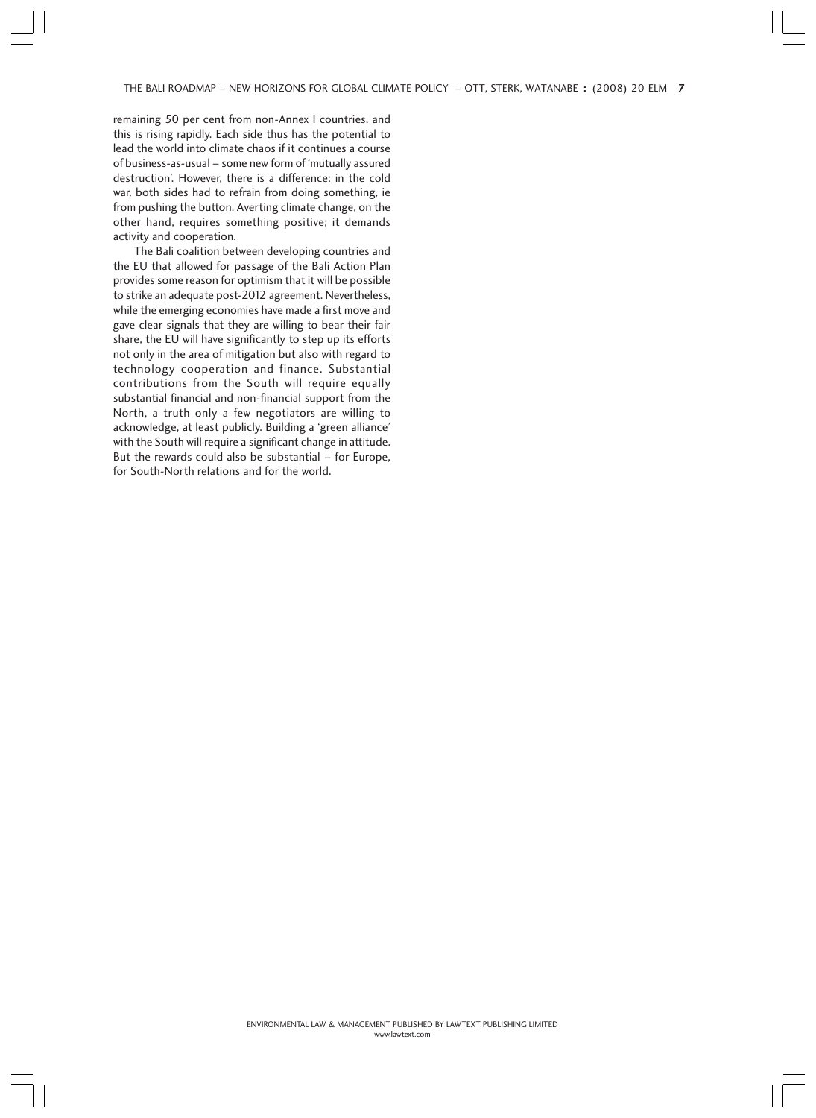THE BALI ROADMAP – NEW HORIZONS FOR GLOBAL CLIMATE POLICY – OTT, STERK, WATANABE : (2008) 20 ELM 7

remaining 50 per cent from non-Annex I countries, and this is rising rapidly. Each side thus has the potential to lead the world into climate chaos if it continues a course of business-as-usual – some new form of 'mutually assured destruction'. However, there is a difference: in the cold war, both sides had to refrain from doing something, ie from pushing the button. Averting climate change, on the other hand, requires something positive; it demands activity and cooperation.

The Bali coalition between developing countries and the EU that allowed for passage of the Bali Action Plan provides some reason for optimism that it will be possible to strike an adequate post-2012 agreement. Nevertheless, while the emerging economies have made a first move and gave clear signals that they are willing to bear their fair share, the EU will have significantly to step up its efforts not only in the area of mitigation but also with regard to technology cooperation and finance. Substantial contributions from the South will require equally substantial financial and non-financial support from the North, a truth only a few negotiators are willing to acknowledge, at least publicly. Building a 'green alliance' with the South will require a significant change in attitude. But the rewards could also be substantial – for Europe, for South-North relations and for the world.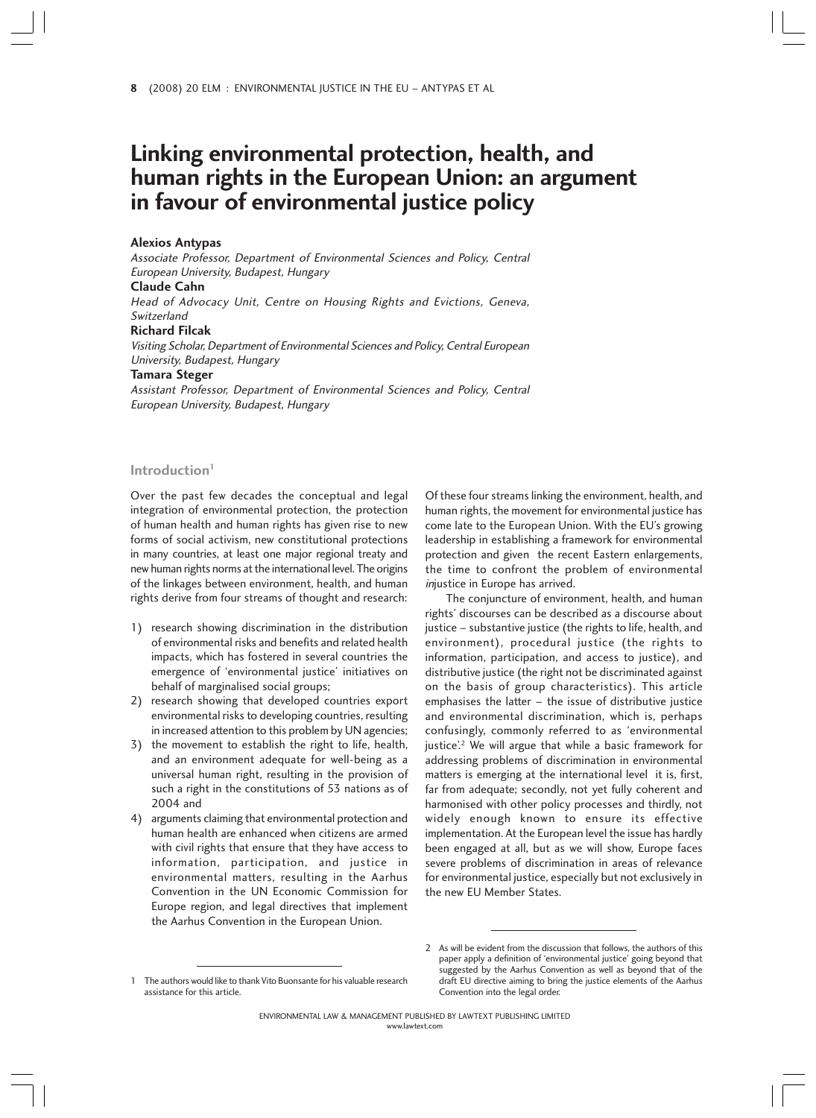# **Linking environmental protection, health, and human rights in the European Union: an argument in favour of environmental justice policy**

#### **Alexios Antypas**

Associate Professor, Department of Environmental Sciences and Policy, Central European University, Budapest, Hungary **Claude Cahn**

Head of Advocacy Unit, Centre on Housing Rights and Evictions, Geneva, Switzerland

#### **Richard Filcak**

Visiting Scholar, Department of Environmental Sciences and Policy, Central European University, Budapest, Hungary

#### **Tamara Steger**

Assistant Professor, Department of Environmental Sciences and Policy, Central European University, Budapest, Hungary

# **Introduction1**

Over the past few decades the conceptual and legal integration of environmental protection, the protection of human health and human rights has given rise to new forms of social activism, new constitutional protections in many countries, at least one major regional treaty and new human rights norms at the international level. The origins of the linkages between environment, health, and human rights derive from four streams of thought and research:

- 1) research showing discrimination in the distribution of environmental risks and benefits and related health impacts, which has fostered in several countries the emergence of 'environmental justice' initiatives on behalf of marginalised social groups;
- 2) research showing that developed countries export environmental risks to developing countries, resulting in increased attention to this problem by UN agencies;
- 3) the movement to establish the right to life, health, and an environment adequate for well-being as a universal human right, resulting in the provision of such a right in the constitutions of 53 nations as of 2004 and
- 4) arguments claiming that environmental protection and human health are enhanced when citizens are armed with civil rights that ensure that they have access to information, participation, and justice in environmental matters, resulting in the Aarhus Convention in the UN Economic Commission for Europe region, and legal directives that implement the Aarhus Convention in the European Union.

Of these four streams linking the environment, health, and human rights, the movement for environmental justice has come late to the European Union. With the EU's growing leadership in establishing a framework for environmental protection and given the recent Eastern enlargements, the time to confront the problem of environmental injustice in Europe has arrived.

The conjuncture of environment, health, and human rights' discourses can be described as a discourse about justice – substantive justice (the rights to life, health, and environment), procedural justice (the rights to information, participation, and access to justice), and distributive justice (the right not be discriminated against on the basis of group characteristics). This article emphasises the latter – the issue of distributive justice and environmental discrimination, which is, perhaps confusingly, commonly referred to as 'environmental justice<sup>'.2</sup> We will argue that while a basic framework for addressing problems of discrimination in environmental matters is emerging at the international level it is, first, far from adequate; secondly, not yet fully coherent and harmonised with other policy processes and thirdly, not widely enough known to ensure its effective implementation. At the European level the issue has hardly been engaged at all, but as we will show, Europe faces severe problems of discrimination in areas of relevance for environmental justice, especially but not exclusively in the new EU Member States.

<sup>2</sup> As will be evident from the discussion that follows, the authors of this paper apply a definition of 'environmental justice' going beyond that suggested by the Aarhus Convention as well as beyond that of the draft EU directive aiming to bring the justice elements of the Aarhus Convention into the legal order.

The authors would like to thank Vito Buonsante for his valuable research assistance for this article.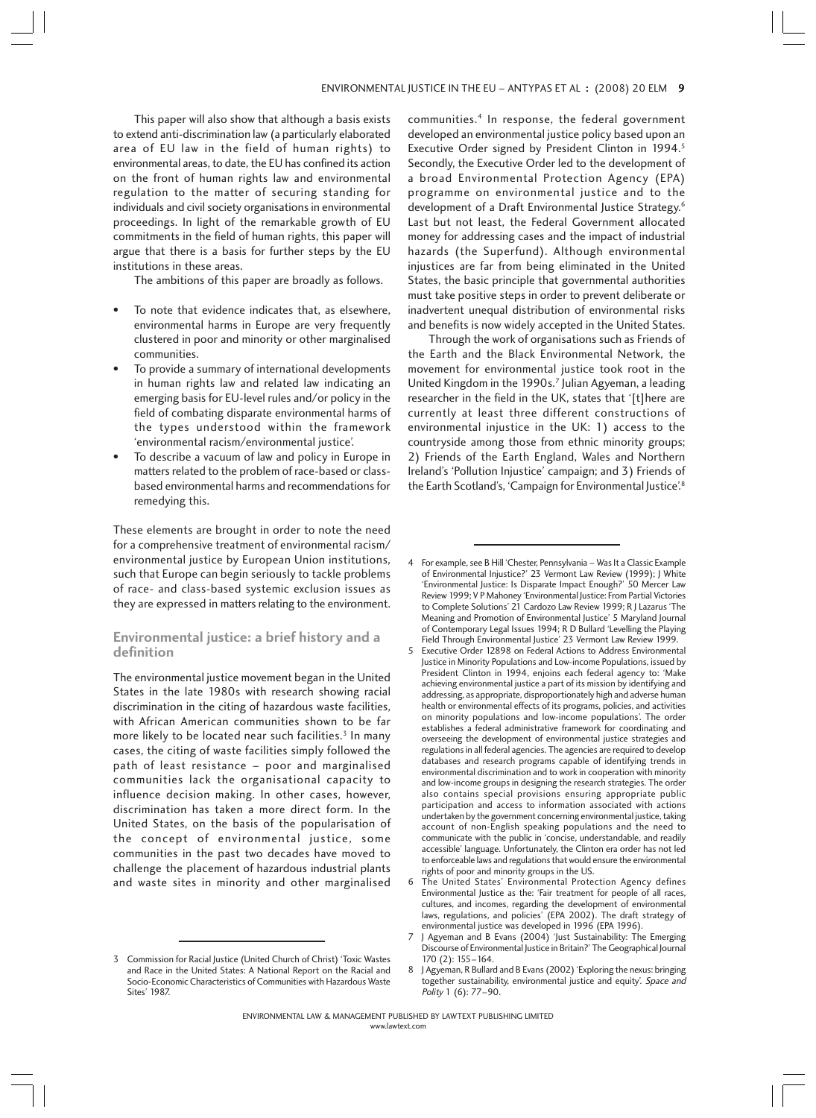This paper will also show that although a basis exists to extend anti-discrimination law (a particularly elaborated area of EU law in the field of human rights) to environmental areas, to date, the EU has confined its action on the front of human rights law and environmental regulation to the matter of securing standing for individuals and civil society organisations in environmental proceedings. In light of the remarkable growth of EU commitments in the field of human rights, this paper will argue that there is a basis for further steps by the EU institutions in these areas.

The ambitions of this paper are broadly as follows.

- To note that evidence indicates that, as elsewhere, environmental harms in Europe are very frequently clustered in poor and minority or other marginalised communities.
- To provide a summary of international developments in human rights law and related law indicating an emerging basis for EU-level rules and/or policy in the field of combating disparate environmental harms of the types understood within the framework 'environmental racism/environmental justice'.
- To describe a vacuum of law and policy in Europe in matters related to the problem of race-based or classbased environmental harms and recommendations for remedying this.

These elements are brought in order to note the need for a comprehensive treatment of environmental racism/ environmental justice by European Union institutions, such that Europe can begin seriously to tackle problems of race- and class-based systemic exclusion issues as they are expressed in matters relating to the environment.

# **Environmental justice: a brief history and a definition**

The environmental justice movement began in the United States in the late 1980s with research showing racial discrimination in the citing of hazardous waste facilities, with African American communities shown to be far more likely to be located near such facilities.<sup>3</sup> In many cases, the citing of waste facilities simply followed the path of least resistance – poor and marginalised communities lack the organisational capacity to influence decision making. In other cases, however, discrimination has taken a more direct form. In the United States, on the basis of the popularisation of the concept of environmental justice, some communities in the past two decades have moved to challenge the placement of hazardous industrial plants and waste sites in minority and other marginalised communities.4 In response, the federal government developed an environmental justice policy based upon an Executive Order signed by President Clinton in 1994.<sup>5</sup> Secondly, the Executive Order led to the development of a broad Environmental Protection Agency (EPA) programme on environmental justice and to the development of a Draft Environmental Justice Strategy.<sup>6</sup> Last but not least, the Federal Government allocated money for addressing cases and the impact of industrial hazards (the Superfund). Although environmental injustices are far from being eliminated in the United States, the basic principle that governmental authorities must take positive steps in order to prevent deliberate or inadvertent unequal distribution of environmental risks and benefits is now widely accepted in the United States.

Through the work of organisations such as Friends of the Earth and the Black Environmental Network, the movement for environmental justice took root in the United Kingdom in the 1990s.<sup>7</sup> Julian Agyeman, a leading researcher in the field in the UK, states that '[t]here are currently at least three different constructions of environmental injustice in the UK: 1) access to the countryside among those from ethnic minority groups; 2) Friends of the Earth England, Wales and Northern Ireland's 'Pollution Injustice' campaign; and 3) Friends of the Earth Scotland's, 'Campaign for Environmental Justice'.8

<sup>3</sup> Commission for Racial Justice (United Church of Christ) 'Toxic Wastes and Race in the United States: A National Report on the Racial and Socio-Economic Characteristics of Communities with Hazardous Waste Sites' 1987.

<sup>4</sup> For example, see B Hill 'Chester, Pennsylvania – Was It a Classic Example of Environmental Injustice?' 23 Vermont Law Review (1999); J White 'Environmental Justice: Is Disparate Impact Enough?' 50 Mercer Law Review 1999; V P Mahoney 'Environmental Justice: From Partial Victories to Complete Solutions' 21 Cardozo Law Review 1999; R J Lazarus 'The Meaning and Promotion of Environmental Justice' 5 Maryland Journal of Contemporary Legal Issues 1994; R D Bullard 'Levelling the Playing Field Through Environmental Justice' 23 Vermont Law Review 1999.

<sup>5</sup> Executive Order 12898 on Federal Actions to Address Environmental Justice in Minority Populations and Low-income Populations, issued by President Clinton in 1994, enjoins each federal agency to: 'Make achieving environmental justice a part of its mission by identifying and addressing, as appropriate, disproportionately high and adverse human health or environmental effects of its programs, policies, and activities on minority populations and low-income populations'. The order establishes a federal administrative framework for coordinating and overseeing the development of environmental justice strategies and regulations in all federal agencies. The agencies are required to develop databases and research programs capable of identifying trends in environmental discrimination and to work in cooperation with minority and low-income groups in designing the research strategies. The order also contains special provisions ensuring appropriate public participation and access to information associated with actions undertaken by the government concerning environmental justice, taking account of non-English speaking populations and the need to communicate with the public in 'concise, understandable, and readily accessible' language. Unfortunately, the Clinton era order has not led to enforceable laws and regulations that would ensure the environmental rights of poor and minority groups in the US.

<sup>6</sup> The United States' Environmental Protection Agency defines Environmental Justice as the: 'Fair treatment for people of all races, cultures, and incomes, regarding the development of environmental laws, regulations, and policies' (EPA 2002). The draft strategy of environmental justice was developed in 1996 (EPA 1996).

<sup>7</sup> J Agyeman and B Evans (2004) 'Just Sustainability: The Emerging Discourse of Environmental Justice in Britain?' The Geographical Journal 170 (2): 155–164.

<sup>8</sup> J Agyeman, R Bullard and B Evans (2002) 'Exploring the nexus: bringing together sustainability, environmental justice and equity'. Space and Polity 1 (6): 77–90.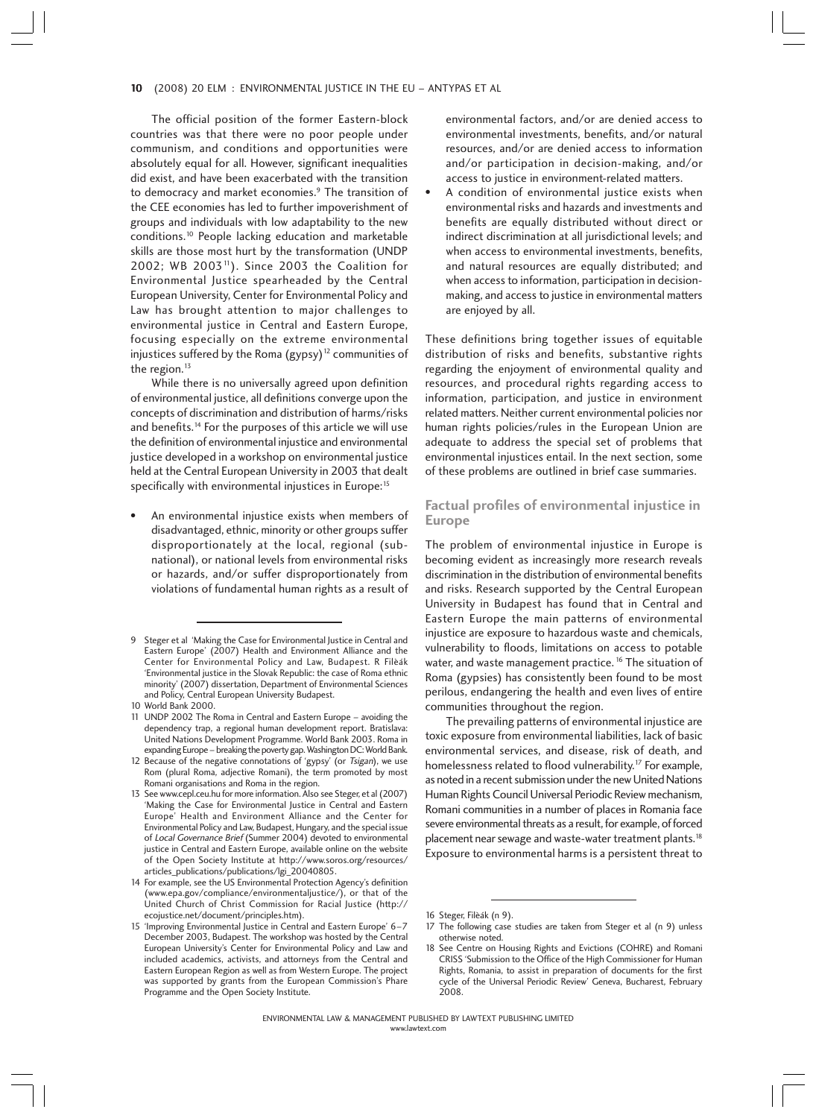#### 10 (2008) 20 ELM : ENVIRONMENTAL JUSTICE IN THE EU - ANTYPAS ET AL

The official position of the former Eastern-block countries was that there were no poor people under communism, and conditions and opportunities were absolutely equal for all. However, significant inequalities did exist, and have been exacerbated with the transition to democracy and market economies.<sup>9</sup> The transition of the CEE economies has led to further impoverishment of groups and individuals with low adaptability to the new conditions.10 People lacking education and marketable skills are those most hurt by the transformation (UNDP 2002; WB 2003<sup>11</sup>). Since 2003 the Coalition for Environmental Justice spearheaded by the Central European University, Center for Environmental Policy and Law has brought attention to major challenges to environmental justice in Central and Eastern Europe, focusing especially on the extreme environmental injustices suffered by the Roma  $(gypsy)^{12}$  communities of the region. $13$ 

While there is no universally agreed upon definition of environmental justice, all definitions converge upon the concepts of discrimination and distribution of harms/risks and benefits.<sup>14</sup> For the purposes of this article we will use the definition of environmental injustice and environmental justice developed in a workshop on environmental justice held at the Central European University in 2003 that dealt specifically with environmental injustices in Europe:<sup>15</sup>

• An environmental injustice exists when members of disadvantaged, ethnic, minority or other groups suffer disproportionately at the local, regional (subnational), or national levels from environmental risks or hazards, and/or suffer disproportionately from violations of fundamental human rights as a result of environmental factors, and/or are denied access to environmental investments, benefits, and/or natural resources, and/or are denied access to information and/or participation in decision-making, and/or access to justice in environment-related matters.

A condition of environmental justice exists when environmental risks and hazards and investments and benefits are equally distributed without direct or indirect discrimination at all jurisdictional levels; and when access to environmental investments, benefits, and natural resources are equally distributed; and when access to information, participation in decisionmaking, and access to justice in environmental matters are enjoyed by all.

These definitions bring together issues of equitable distribution of risks and benefits, substantive rights regarding the enjoyment of environmental quality and resources, and procedural rights regarding access to information, participation, and justice in environment related matters. Neither current environmental policies nor human rights policies/rules in the European Union are adequate to address the special set of problems that environmental injustices entail. In the next section, some of these problems are outlined in brief case summaries.

## **Factual profiles of environmental injustice in Europe**

The problem of environmental injustice in Europe is becoming evident as increasingly more research reveals discrimination in the distribution of environmental benefits and risks. Research supported by the Central European University in Budapest has found that in Central and Eastern Europe the main patterns of environmental injustice are exposure to hazardous waste and chemicals, vulnerability to floods, limitations on access to potable water, and waste management practice.<sup>16</sup> The situation of Roma (gypsies) has consistently been found to be most perilous, endangering the health and even lives of entire communities throughout the region.

The prevailing patterns of environmental injustice are toxic exposure from environmental liabilities, lack of basic environmental services, and disease, risk of death, and homelessness related to flood vulnerability.<sup>17</sup> For example, as noted in a recent submission under the new United Nations Human Rights Council Universal Periodic Review mechanism, Romani communities in a number of places in Romania face severe environmental threats as a result, for example, of forced placement near sewage and waste-water treatment plants.18 Exposure to environmental harms is a persistent threat to

<sup>9</sup> Steger et al 'Making the Case for Environmental Justice in Central and Eastern Europe' (2007) Health and Environment Alliance and the Center for Environmental Policy and Law, Budapest. R Filèák 'Environmental justice in the Slovak Republic: the case of Roma ethnic minority' (2007) dissertation, Department of Environmental Sciences and Policy, Central European University Budapest.

<sup>10</sup> World Bank 2000.

<sup>11</sup> UNDP 2002 The Roma in Central and Eastern Europe – avoiding the dependency trap, a regional human development report. Bratislava: United Nations Development Programme. World Bank 2003. Roma in expanding Europe – breaking the poverty gap. Washington DC: World Bank.

<sup>12</sup> Because of the negative connotations of 'gypsy' (or Tsigan), we use Rom (plural Roma, adjective Romani), the term promoted by most Romani organisations and Roma in the region.

<sup>13</sup> See www.cepl.ceu.hu for more information. Also see Steger, et al (2007) 'Making the Case for Environmental Justice in Central and Eastern Europe' Health and Environment Alliance and the Center for Environmental Policy and Law, Budapest, Hungary, and the special issue of Local Governance Brief (Summer 2004) devoted to environmental justice in Central and Eastern Europe, available online on the website of the Open Society Institute at http://www.soros.org/resources/ articles\_publications/publications/lgi\_20040805.

<sup>14</sup> For example, see the US Environmental Protection Agency's definition (www.epa.gov/compliance/environmentaljustice/), or that of the United Church of Christ Commission for Racial Justice (http:// ecojustice.net/document/principles.htm).

<sup>15 &#</sup>x27;Improving Environmental Justice in Central and Eastern Europe' 6–7 December 2003, Budapest. The workshop was hosted by the Central European University's Center for Environmental Policy and Law and included academics, activists, and attorneys from the Central and Eastern European Region as well as from Western Europe. The project was supported by grants from the European Commission's Phare Programme and the Open Society Institute.

<sup>16</sup> Steger, Filèák (n 9).

<sup>17</sup> The following case studies are taken from Steger et al (n 9) unless otherwise noted.

<sup>18</sup> See Centre on Housing Rights and Evictions (COHRE) and Romani CRISS 'Submission to the Office of the High Commissioner for Human Rights, Romania, to assist in preparation of documents for the first cycle of the Universal Periodic Review' Geneva, Bucharest, February 2008.

ENVIRONMENTAL LAW & MANAGEMENT PUBLISHED BY LAWTEXT PUBLISHING LIMITED www.lawtext.com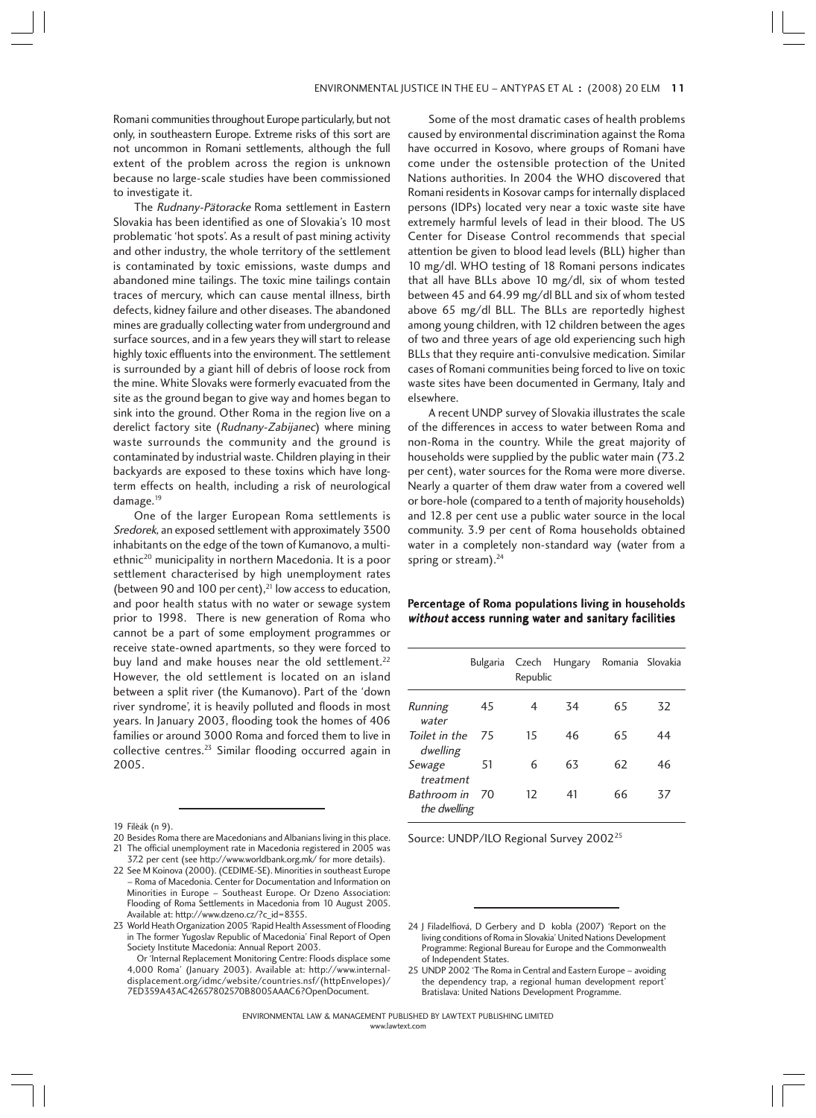Romani communities throughout Europe particularly, but not only, in southeastern Europe. Extreme risks of this sort are not uncommon in Romani settlements, although the full extent of the problem across the region is unknown because no large-scale studies have been commissioned to investigate it.

The Rudnany-Pätoracke Roma settlement in Eastern Slovakia has been identified as one of Slovakia's 10 most problematic 'hot spots'. As a result of past mining activity and other industry, the whole territory of the settlement is contaminated by toxic emissions, waste dumps and abandoned mine tailings. The toxic mine tailings contain traces of mercury, which can cause mental illness, birth defects, kidney failure and other diseases. The abandoned mines are gradually collecting water from underground and surface sources, and in a few years they will start to release highly toxic effluents into the environment. The settlement is surrounded by a giant hill of debris of loose rock from the mine. White Slovaks were formerly evacuated from the site as the ground began to give way and homes began to sink into the ground. Other Roma in the region live on a derelict factory site (Rudnany-Zabijanec) where mining waste surrounds the community and the ground is contaminated by industrial waste. Children playing in their backyards are exposed to these toxins which have longterm effects on health, including a risk of neurological damage.<sup>19</sup>

One of the larger European Roma settlements is Sredorek, an exposed settlement with approximately 3500 inhabitants on the edge of the town of Kumanovo, a multiethnic<sup>20</sup> municipality in northern Macedonia. It is a poor settlement characterised by high unemployment rates (between 90 and 100 per cent), $^{21}$  low access to education, and poor health status with no water or sewage system prior to 1998. There is new generation of Roma who cannot be a part of some employment programmes or receive state-owned apartments, so they were forced to buy land and make houses near the old settlement.<sup>22</sup> However, the old settlement is located on an island between a split river (the Kumanovo). Part of the 'down river syndrome', it is heavily polluted and floods in most years. In January 2003, flooding took the homes of 406 families or around 3000 Roma and forced them to live in collective centres.23 Similar flooding occurred again in 2005.

Some of the most dramatic cases of health problems caused by environmental discrimination against the Roma have occurred in Kosovo, where groups of Romani have come under the ostensible protection of the United Nations authorities. In 2004 the WHO discovered that Romani residents in Kosovar camps for internally displaced persons (IDPs) located very near a toxic waste site have extremely harmful levels of lead in their blood. The US Center for Disease Control recommends that special attention be given to blood lead levels (BLL) higher than 10 mg/dl. WHO testing of 18 Romani persons indicates that all have BLLs above 10 mg/dl, six of whom tested between 45 and 64.99 mg/dl BLL and six of whom tested above 65 mg/dl BLL. The BLLs are reportedly highest among young children, with 12 children between the ages of two and three years of age old experiencing such high BLLs that they require anti-convulsive medication. Similar cases of Romani communities being forced to live on toxic waste sites have been documented in Germany, Italy and elsewhere.

A recent UNDP survey of Slovakia illustrates the scale of the differences in access to water between Roma and non-Roma in the country. While the great majority of households were supplied by the public water main (73.2 per cent), water sources for the Roma were more diverse. Nearly a quarter of them draw water from a covered well or bore-hole (compared to a tenth of majority households) and 12.8 per cent use a public water source in the local community. 3.9 per cent of Roma households obtained water in a completely non-standard way (water from a spring or stream).<sup>24</sup>

## Percentage of Roma populations living in households without access running water and sanitary facilities

|                             | Bulgaria | Republic | Czech Hungary Romania Slovakia |    |    |
|-----------------------------|----------|----------|--------------------------------|----|----|
| Running<br>water            | 45       | 4        | 34                             | 65 | 32 |
| Toilet in the<br>dwelling   | 75       | 15       | 46                             | 65 | 44 |
| Sewage<br>treatment         | 51       | 6        | 63                             | 62 | 46 |
| Bathroom in<br>the dwelling | 70       | 12       | 41                             | 66 | 37 |

Source: UNDP/ILO Regional Survey 2002<sup>25</sup>

<sup>19</sup> Filèák (n 9).

<sup>20</sup> Besides Roma there are Macedonians and Albanians living in this place. 21 The official unemployment rate in Macedonia registered in 2005 was

<sup>37.2</sup> per cent (see http://www.worldbank.org.mk/ for more details). 22 See M Koinova (2000). (CEDIME-SE). Minorities in southeast Europe – Roma of Macedonia. Center for Documentation and Information on Minorities in Europe – Southeast Europe. Or Dzeno Association: Flooding of Roma Settlements in Macedonia from 10 August 2005. Available at: http://www.dzeno.cz/?c\_id=8355.

<sup>23</sup> World Heath Organization 2005 'Rapid Health Assessment of Flooding in The former Yugoslav Republic of Macedonia' Final Report of Open Society Institute Macedonia: Annual Report 2003.

Or 'Internal Replacement Monitoring Centre: Floods displace some 4,000 Roma' (January 2003). Available at: http://www.internaldisplacement.org/idmc/website/countries.nsf/(httpEnvelopes)/ 7ED359A43AC42657802570B8005AAAC6?OpenDocument.

<sup>24</sup> J Filadelfiová, D Gerbery and D kobla (2007) 'Report on the living conditions of Roma in Slovakia' United Nations Development Programme: Regional Bureau for Europe and the Commonwealth of Independent States.

<sup>25</sup> UNDP 2002 'The Roma in Central and Eastern Europe – avoiding the dependency trap, a regional human development report' Bratislava: United Nations Development Programme.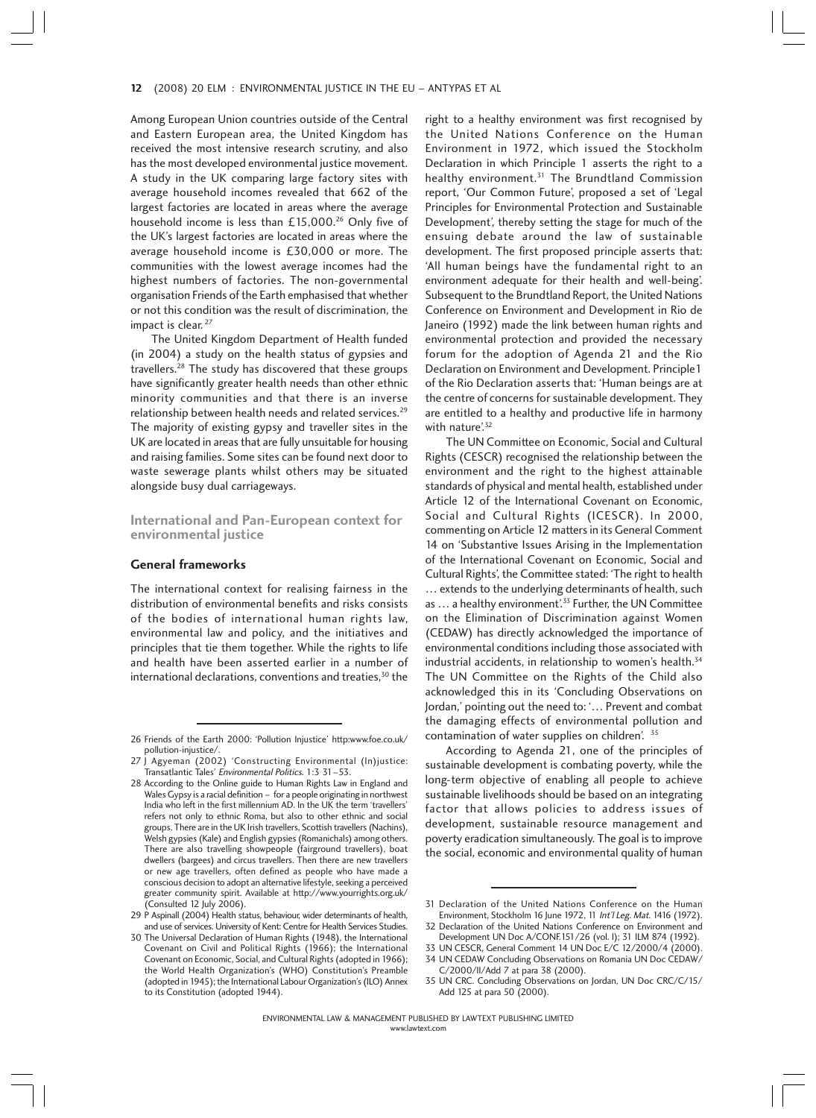#### 12 (2008) 20 ELM : ENVIRONMENTAL JUSTICE IN THE EU - ANTYPAS ET AL

Among European Union countries outside of the Central and Eastern European area, the United Kingdom has received the most intensive research scrutiny, and also has the most developed environmental justice movement. A study in the UK comparing large factory sites with average household incomes revealed that 662 of the largest factories are located in areas where the average household income is less than £15,000.<sup>26</sup> Only five of the UK's largest factories are located in areas where the average household income is £30,000 or more. The communities with the lowest average incomes had the highest numbers of factories. The non-governmental organisation Friends of the Earth emphasised that whether or not this condition was the result of discrimination, the impact is clear. <sup>27</sup>

The United Kingdom Department of Health funded (in 2004) a study on the health status of gypsies and travellers.28 The study has discovered that these groups have significantly greater health needs than other ethnic minority communities and that there is an inverse relationship between health needs and related services.<sup>29</sup> The majority of existing gypsy and traveller sites in the UK are located in areas that are fully unsuitable for housing and raising families. Some sites can be found next door to waste sewerage plants whilst others may be situated alongside busy dual carriageways.

**International and Pan-European context for environmental justice**

#### **General frameworks**

The international context for realising fairness in the distribution of environmental benefits and risks consists of the bodies of international human rights law, environmental law and policy, and the initiatives and principles that tie them together. While the rights to life and health have been asserted earlier in a number of international declarations, conventions and treaties, $30$  the right to a healthy environment was first recognised by the United Nations Conference on the Human Environment in 1972, which issued the Stockholm Declaration in which Principle 1 asserts the right to a healthy environment.<sup>31</sup> The Brundtland Commission report, 'Our Common Future', proposed a set of 'Legal Principles for Environmental Protection and Sustainable Development', thereby setting the stage for much of the ensuing debate around the law of sustainable development. The first proposed principle asserts that: 'All human beings have the fundamental right to an environment adequate for their health and well-being'. Subsequent to the Brundtland Report, the United Nations Conference on Environment and Development in Rio de Janeiro (1992) made the link between human rights and environmental protection and provided the necessary forum for the adoption of Agenda 21 and the Rio Declaration on Environment and Development. Principle1 of the Rio Declaration asserts that: 'Human beings are at the centre of concerns for sustainable development. They are entitled to a healthy and productive life in harmony with nature'.<sup>32</sup>

The UN Committee on Economic, Social and Cultural Rights (CESCR) recognised the relationship between the environment and the right to the highest attainable standards of physical and mental health, established under Article 12 of the International Covenant on Economic, Social and Cultural Rights (ICESCR). In 2000, commenting on Article 12 matters in its General Comment 14 on 'Substantive Issues Arising in the Implementation of the International Covenant on Economic, Social and Cultural Rights', the Committee stated: 'The right to health … extends to the underlying determinants of health, such as ... a healthy environment'.<sup>33</sup> Further, the UN Committee on the Elimination of Discrimination against Women (CEDAW) has directly acknowledged the importance of environmental conditions including those associated with industrial accidents, in relationship to women's health.<sup>34</sup> The UN Committee on the Rights of the Child also acknowledged this in its 'Concluding Observations on Jordan,' pointing out the need to: '… Prevent and combat the damaging effects of environmental pollution and contamination of water supplies on children'. 35

According to Agenda 21, one of the principles of sustainable development is combating poverty, while the long-term objective of enabling all people to achieve sustainable livelihoods should be based on an integrating factor that allows policies to address issues of development, sustainable resource management and poverty eradication simultaneously. The goal is to improve the social, economic and environmental quality of human

<sup>26</sup> Friends of the Earth 2000: 'Pollution Injustice' http:www.foe.co.uk/ pollution-injustice/.

<sup>27</sup> J Agyeman (2002) 'Constructing Environmental (In)justice: Transatlantic Tales' Environmental Politics. 1:3 31–53.

<sup>28</sup> According to the Online guide to Human Rights Law in England and Wales Gypsy is a racial definition – for a people originating in northwest India who left in the first millennium AD. In the UK the term 'travellers' refers not only to ethnic Roma, but also to other ethnic and social groups. There are in the UK Irish travellers, Scottish travellers (Nachins), Welsh gypsies (Kale) and English gypsies (Romanichals) among others. There are also travelling showpeople (fairground travellers), boat dwellers (bargees) and circus travellers. Then there are new travellers or new age travellers, often defined as people who have made a conscious decision to adopt an alternative lifestyle, seeking a perceived greater community spirit. Available at http://www.yourrights.org.uk/ (Consulted 12 July 2006).

<sup>29</sup> P Aspinall (2004) Health status, behaviour, wider determinants of health, and use of services. University of Kent: Centre for Health Services Studies.

<sup>30</sup> The Universal Declaration of Human Rights (1948), the International Covenant on Civil and Political Rights (1966); the International Covenant on Economic, Social, and Cultural Rights (adopted in 1966); the World Health Organization's (WHO) Constitution's Preamble (adopted in 1945); the International Labour Organization's (ILO) Annex to its Constitution (adopted 1944).

<sup>31</sup> Declaration of the United Nations Conference on the Human Environment, Stockholm 16 June 1972, 11 Int'l Leg. Mat. 1416 (1972).

<sup>32</sup> Declaration of the United Nations Conference on Environment and Development UN Doc A/CONF.151/26 (vol. I); 31 ILM 874 (1992).

<sup>33</sup> UN CESCR, General Comment 14 UN Doc E/C 12/2000/4 (2000). 34 UN CEDAW Concluding Observations on Romania UN Doc CEDAW/ C/2000/II/Add 7 at para 38 (2000).

<sup>35</sup> UN CRC. Concluding Observations on Jordan, UN Doc CRC/C/15/ Add 125 at para 50 (2000).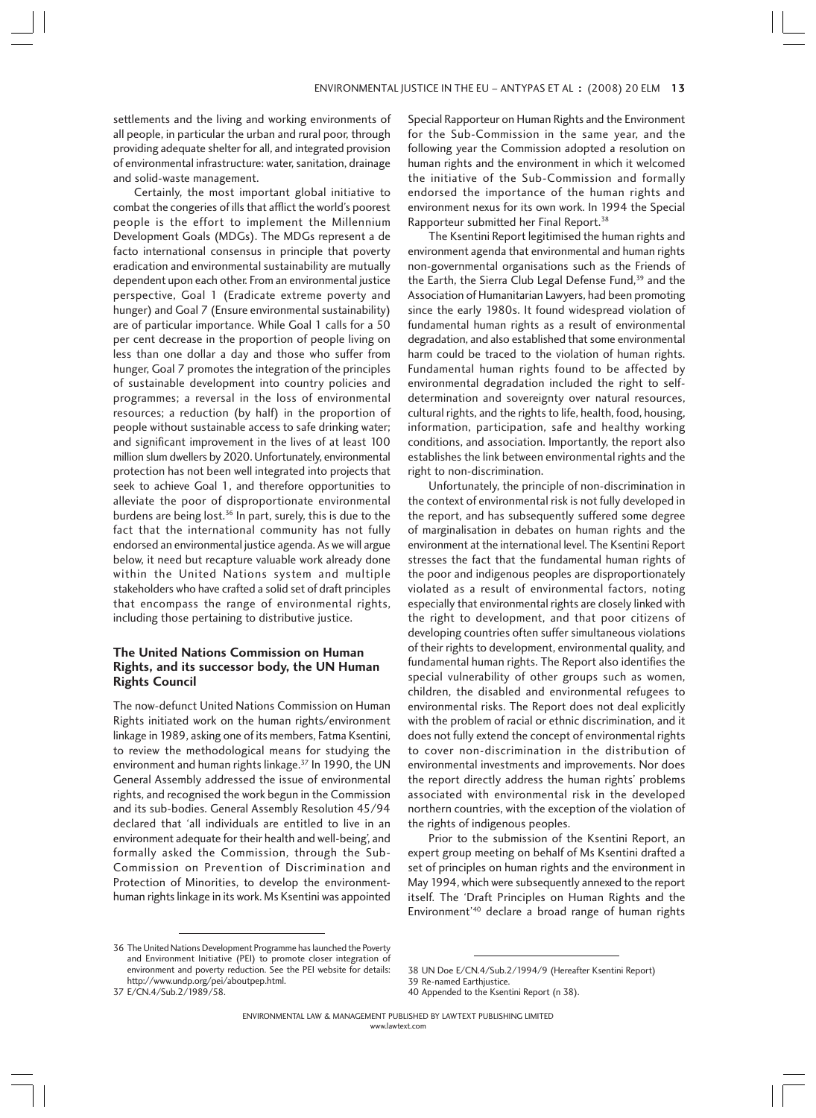settlements and the living and working environments of all people, in particular the urban and rural poor, through providing adequate shelter for all, and integrated provision of environmental infrastructure: water, sanitation, drainage and solid-waste management.

Certainly, the most important global initiative to combat the congeries of ills that afflict the world's poorest people is the effort to implement the Millennium Development Goals (MDGs). The MDGs represent a de facto international consensus in principle that poverty eradication and environmental sustainability are mutually dependent upon each other. From an environmental justice perspective, Goal 1 (Eradicate extreme poverty and hunger) and Goal 7 (Ensure environmental sustainability) are of particular importance. While Goal 1 calls for a 50 per cent decrease in the proportion of people living on less than one dollar a day and those who suffer from hunger, Goal 7 promotes the integration of the principles of sustainable development into country policies and programmes; a reversal in the loss of environmental resources; a reduction (by half) in the proportion of people without sustainable access to safe drinking water; and significant improvement in the lives of at least 100 million slum dwellers by 2020. Unfortunately, environmental protection has not been well integrated into projects that seek to achieve Goal 1, and therefore opportunities to alleviate the poor of disproportionate environmental burdens are being lost.36 In part, surely, this is due to the fact that the international community has not fully endorsed an environmental justice agenda. As we will argue below, it need but recapture valuable work already done within the United Nations system and multiple stakeholders who have crafted a solid set of draft principles that encompass the range of environmental rights, including those pertaining to distributive justice.

## **The United Nations Commission on Human Rights, and its successor body, the UN Human Rights Council**

The now-defunct United Nations Commission on Human Rights initiated work on the human rights/environment linkage in 1989, asking one of its members, Fatma Ksentini, to review the methodological means for studying the environment and human rights linkage.<sup>37</sup> In 1990, the UN General Assembly addressed the issue of environmental rights, and recognised the work begun in the Commission and its sub-bodies. General Assembly Resolution 45/94 declared that 'all individuals are entitled to live in an environment adequate for their health and well-being', and formally asked the Commission, through the Sub-Commission on Prevention of Discrimination and Protection of Minorities, to develop the environmenthuman rights linkage in its work. Ms Ksentini was appointed Special Rapporteur on Human Rights and the Environment for the Sub-Commission in the same year, and the following year the Commission adopted a resolution on human rights and the environment in which it welcomed the initiative of the Sub-Commission and formally endorsed the importance of the human rights and environment nexus for its own work. In 1994 the Special Rapporteur submitted her Final Report.38

The Ksentini Report legitimised the human rights and environment agenda that environmental and human rights non-governmental organisations such as the Friends of the Earth, the Sierra Club Legal Defense Fund,<sup>39</sup> and the Association of Humanitarian Lawyers, had been promoting since the early 1980s. It found widespread violation of fundamental human rights as a result of environmental degradation, and also established that some environmental harm could be traced to the violation of human rights. Fundamental human rights found to be affected by environmental degradation included the right to selfdetermination and sovereignty over natural resources, cultural rights, and the rights to life, health, food, housing, information, participation, safe and healthy working conditions, and association. Importantly, the report also establishes the link between environmental rights and the right to non-discrimination.

Unfortunately, the principle of non-discrimination in the context of environmental risk is not fully developed in the report, and has subsequently suffered some degree of marginalisation in debates on human rights and the environment at the international level. The Ksentini Report stresses the fact that the fundamental human rights of the poor and indigenous peoples are disproportionately violated as a result of environmental factors, noting especially that environmental rights are closely linked with the right to development, and that poor citizens of developing countries often suffer simultaneous violations of their rights to development, environmental quality, and fundamental human rights. The Report also identifies the special vulnerability of other groups such as women, children, the disabled and environmental refugees to environmental risks. The Report does not deal explicitly with the problem of racial or ethnic discrimination, and it does not fully extend the concept of environmental rights to cover non-discrimination in the distribution of environmental investments and improvements. Nor does the report directly address the human rights' problems associated with environmental risk in the developed northern countries, with the exception of the violation of the rights of indigenous peoples.

Prior to the submission of the Ksentini Report, an expert group meeting on behalf of Ms Ksentini drafted a set of principles on human rights and the environment in May 1994, which were subsequently annexed to the report itself. The 'Draft Principles on Human Rights and the Environment'40 declare a broad range of human rights

<sup>36</sup> The United Nations Development Programme has launched the Poverty and Environment Initiative (PEI) to promote closer integration of environment and poverty reduction. See the PEI website for details: http://www.undp.org/pei/aboutpep.html.

<sup>39</sup> Re-named Earthjustice. 40 Appended to the Ksentini Report (n 38).

<sup>37</sup> E/CN.4/Sub.2/1989/58.

<sup>38</sup> UN Doe E/CN.4/Sub.2/1994/9 (Hereafter Ksentini Report)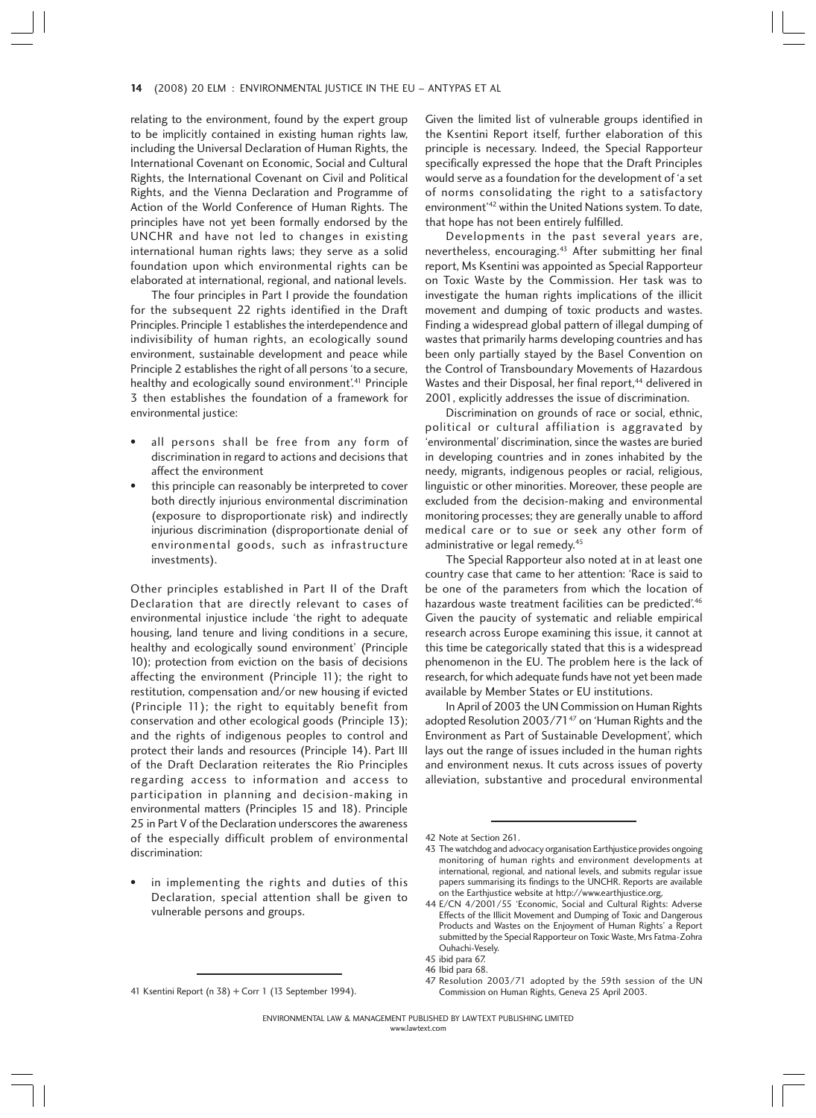#### 14 (2008) 20 ELM : ENVIRONMENTAL JUSTICE IN THE EU - ANTYPAS ET AL

relating to the environment, found by the expert group to be implicitly contained in existing human rights law, including the Universal Declaration of Human Rights, the International Covenant on Economic, Social and Cultural Rights, the International Covenant on Civil and Political Rights, and the Vienna Declaration and Programme of Action of the World Conference of Human Rights. The principles have not yet been formally endorsed by the UNCHR and have not led to changes in existing international human rights laws; they serve as a solid foundation upon which environmental rights can be elaborated at international, regional, and national levels.

The four principles in Part I provide the foundation for the subsequent 22 rights identified in the Draft Principles. Principle 1 establishes the interdependence and indivisibility of human rights, an ecologically sound environment, sustainable development and peace while Principle 2 establishes the right of all persons 'to a secure, healthy and ecologically sound environment<sup>'41</sup> Principle 3 then establishes the foundation of a framework for environmental justice:

- all persons shall be free from any form of discrimination in regard to actions and decisions that affect the environment
- this principle can reasonably be interpreted to cover both directly injurious environmental discrimination (exposure to disproportionate risk) and indirectly injurious discrimination (disproportionate denial of environmental goods, such as infrastructure investments).

Other principles established in Part II of the Draft Declaration that are directly relevant to cases of environmental injustice include 'the right to adequate housing, land tenure and living conditions in a secure, healthy and ecologically sound environment' (Principle 10); protection from eviction on the basis of decisions affecting the environment (Principle 11); the right to restitution, compensation and/or new housing if evicted (Principle 11); the right to equitably benefit from conservation and other ecological goods (Principle 13); and the rights of indigenous peoples to control and protect their lands and resources (Principle 14). Part III of the Draft Declaration reiterates the Rio Principles regarding access to information and access to participation in planning and decision-making in environmental matters (Principles 15 and 18). Principle 25 in Part V of the Declaration underscores the awareness of the especially difficult problem of environmental discrimination:

in implementing the rights and duties of this Declaration, special attention shall be given to vulnerable persons and groups.

Given the limited list of vulnerable groups identified in the Ksentini Report itself, further elaboration of this principle is necessary. Indeed, the Special Rapporteur specifically expressed the hope that the Draft Principles would serve as a foundation for the development of 'a set of norms consolidating the right to a satisfactory environment'42 within the United Nations system. To date, that hope has not been entirely fulfilled.

Developments in the past several years are, nevertheless, encouraging.43 After submitting her final report, Ms Ksentini was appointed as Special Rapporteur on Toxic Waste by the Commission. Her task was to investigate the human rights implications of the illicit movement and dumping of toxic products and wastes. Finding a widespread global pattern of illegal dumping of wastes that primarily harms developing countries and has been only partially stayed by the Basel Convention on the Control of Transboundary Movements of Hazardous Wastes and their Disposal, her final report,<sup>44</sup> delivered in 2001, explicitly addresses the issue of discrimination.

Discrimination on grounds of race or social, ethnic, political or cultural affiliation is aggravated by 'environmental' discrimination, since the wastes are buried in developing countries and in zones inhabited by the needy, migrants, indigenous peoples or racial, religious, linguistic or other minorities. Moreover, these people are excluded from the decision-making and environmental monitoring processes; they are generally unable to afford medical care or to sue or seek any other form of administrative or legal remedy.<sup>45</sup>

The Special Rapporteur also noted at in at least one country case that came to her attention: 'Race is said to be one of the parameters from which the location of hazardous waste treatment facilities can be predicted'.<sup>46</sup> Given the paucity of systematic and reliable empirical research across Europe examining this issue, it cannot at this time be categorically stated that this is a widespread phenomenon in the EU. The problem here is the lack of research, for which adequate funds have not yet been made available by Member States or EU institutions.

In April of 2003 the UN Commission on Human Rights adopted Resolution 2003/71<sup>47</sup> on 'Human Rights and the Environment as Part of Sustainable Development', which lays out the range of issues included in the human rights and environment nexus. It cuts across issues of poverty alleviation, substantive and procedural environmental

<sup>41</sup> Ksentini Report (n 38) + Corr 1 (13 September 1994).

<sup>42</sup> Note at Section 261.

<sup>43</sup> The watchdog and advocacy organisation Earthjustice provides ongoing monitoring of human rights and environment developments at international, regional, and national levels, and submits regular issue papers summarising its findings to the UNCHR. Reports are available on the Earthjustice website at http://www.earthjustice.org,

<sup>44</sup> E/CN 4/2001/55 'Economic, Social and Cultural Rights: Adverse Effects of the Illicit Movement and Dumping of Toxic and Dangerous Products and Wastes on the Enjoyment of Human Rights' a Report submitted by the Special Rapporteur on Toxic Waste, Mrs Fatma-Zohra Ouhachi-Vesely. 45 ibid para 67.

<sup>46</sup> Ibid para 68.

<sup>47</sup> Resolution 2003/71 adopted by the 59th session of the UN Commission on Human Rights, Geneva 25 April 2003.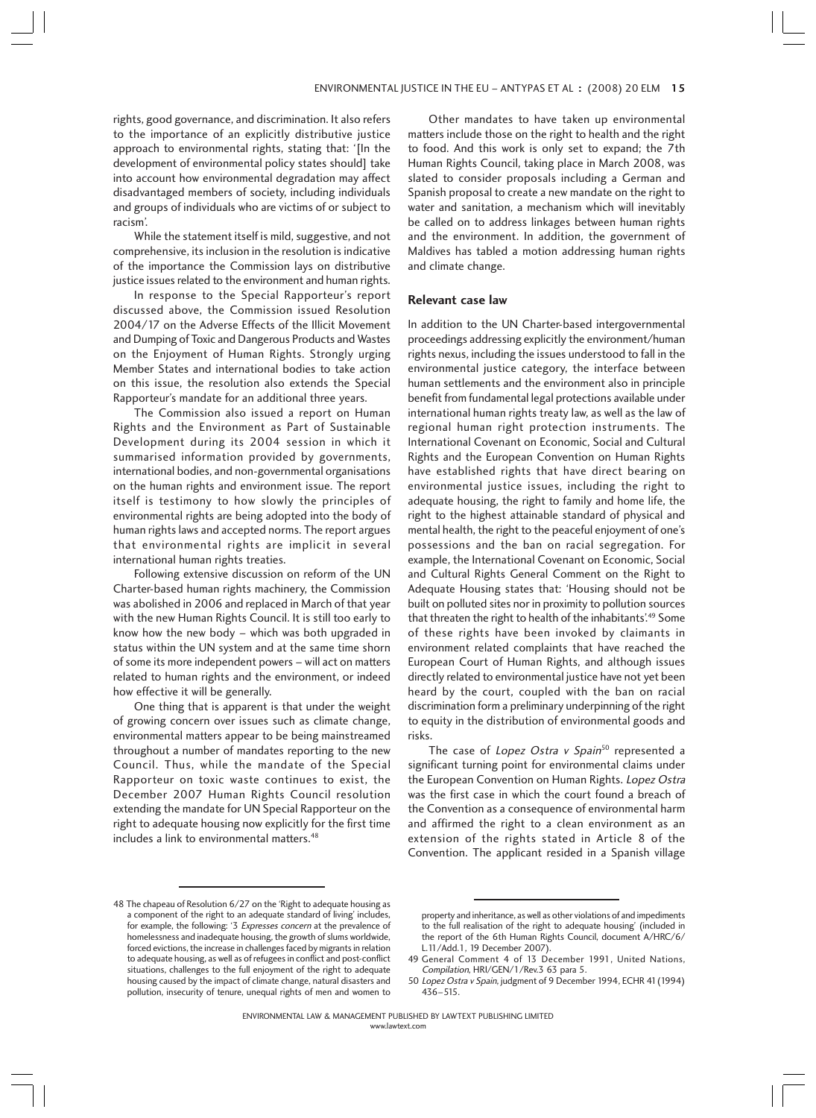rights, good governance, and discrimination. It also refers to the importance of an explicitly distributive justice approach to environmental rights, stating that: '[In the development of environmental policy states should] take into account how environmental degradation may affect disadvantaged members of society, including individuals and groups of individuals who are victims of or subject to racism'.

While the statement itself is mild, suggestive, and not comprehensive, its inclusion in the resolution is indicative of the importance the Commission lays on distributive justice issues related to the environment and human rights.

In response to the Special Rapporteur's report discussed above, the Commission issued Resolution 2004/17 on the Adverse Effects of the Illicit Movement and Dumping of Toxic and Dangerous Products and Wastes on the Enjoyment of Human Rights. Strongly urging Member States and international bodies to take action on this issue, the resolution also extends the Special Rapporteur's mandate for an additional three years.

The Commission also issued a report on Human Rights and the Environment as Part of Sustainable Development during its 2004 session in which it summarised information provided by governments, international bodies, and non-governmental organisations on the human rights and environment issue. The report itself is testimony to how slowly the principles of environmental rights are being adopted into the body of human rights laws and accepted norms. The report argues that environmental rights are implicit in several international human rights treaties.

Following extensive discussion on reform of the UN Charter-based human rights machinery, the Commission was abolished in 2006 and replaced in March of that year with the new Human Rights Council. It is still too early to know how the new body – which was both upgraded in status within the UN system and at the same time shorn of some its more independent powers – will act on matters related to human rights and the environment, or indeed how effective it will be generally.

One thing that is apparent is that under the weight of growing concern over issues such as climate change, environmental matters appear to be being mainstreamed throughout a number of mandates reporting to the new Council. Thus, while the mandate of the Special Rapporteur on toxic waste continues to exist, the December 2007 Human Rights Council resolution extending the mandate for UN Special Rapporteur on the right to adequate housing now explicitly for the first time includes a link to environmental matters.<sup>48</sup>

Other mandates to have taken up environmental matters include those on the right to health and the right to food. And this work is only set to expand; the 7th Human Rights Council, taking place in March 2008, was slated to consider proposals including a German and Spanish proposal to create a new mandate on the right to water and sanitation, a mechanism which will inevitably be called on to address linkages between human rights and the environment. In addition, the government of Maldives has tabled a motion addressing human rights and climate change.

#### **Relevant case law**

In addition to the UN Charter-based intergovernmental proceedings addressing explicitly the environment/human rights nexus, including the issues understood to fall in the environmental justice category, the interface between human settlements and the environment also in principle benefit from fundamental legal protections available under international human rights treaty law, as well as the law of regional human right protection instruments. The International Covenant on Economic, Social and Cultural Rights and the European Convention on Human Rights have established rights that have direct bearing on environmental justice issues, including the right to adequate housing, the right to family and home life, the right to the highest attainable standard of physical and mental health, the right to the peaceful enjoyment of one's possessions and the ban on racial segregation. For example, the International Covenant on Economic, Social and Cultural Rights General Comment on the Right to Adequate Housing states that: 'Housing should not be built on polluted sites nor in proximity to pollution sources that threaten the right to health of the inhabitants'.<sup>49</sup> Some of these rights have been invoked by claimants in environment related complaints that have reached the European Court of Human Rights, and although issues directly related to environmental justice have not yet been heard by the court, coupled with the ban on racial discrimination form a preliminary underpinning of the right to equity in the distribution of environmental goods and risks.

The case of Lopez Ostra v Spain<sup>50</sup> represented a significant turning point for environmental claims under the European Convention on Human Rights. Lopez Ostra was the first case in which the court found a breach of the Convention as a consequence of environmental harm and affirmed the right to a clean environment as an extension of the rights stated in Article 8 of the Convention. The applicant resided in a Spanish village

<sup>48</sup> The chapeau of Resolution 6/27 on the 'Right to adequate housing as a component of the right to an adequate standard of living' includes, for example, the following: '3 Expresses concern at the prevalence of homelessness and inadequate housing, the growth of slums worldwide, forced evictions, the increase in challenges faced by migrants in relation to adequate housing, as well as of refugees in conflict and post-conflict situations, challenges to the full enjoyment of the right to adequate housing caused by the impact of climate change, natural disasters and pollution, insecurity of tenure, unequal rights of men and women to

property and inheritance, as well as other violations of and impediments to the full realisation of the right to adequate housing' (included in the report of the 6th Human Rights Council, document A/HRC/6/ L.11/Add.1, 19 December 2007).

<sup>49</sup> General Comment 4 of 13 December 1991, United Nations, Compilation, HRI/GEN/1/Rev.3 63 para 5.

<sup>50</sup> Lopez Ostra v Spain, judgment of 9 December 1994, ECHR 41(1994) 436–515.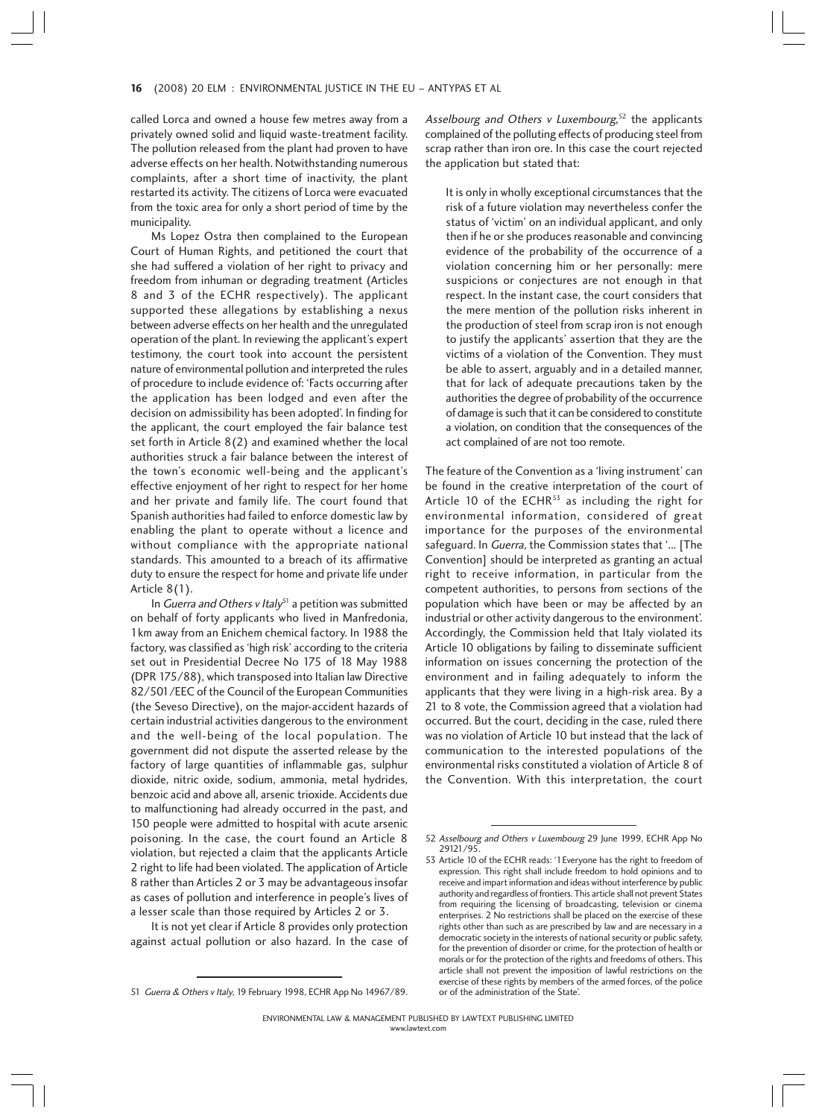#### 16 (2008) 20 ELM : ENVIRONMENTAL JUSTICE IN THE EU – ANTYPAS ET AL 6

called Lorca and owned a house few metres away from a privately owned solid and liquid waste-treatment facility. The pollution released from the plant had proven to have adverse effects on her health. Notwithstanding numerous complaints, after a short time of inactivity, the plant restarted its activity. The citizens of Lorca were evacuated from the toxic area for only a short period of time by the municipality.

Ms Lopez Ostra then complained to the European Court of Human Rights, and petitioned the court that she had suffered a violation of her right to privacy and freedom from inhuman or degrading treatment (Articles 8 and 3 of the ECHR respectively). The applicant supported these allegations by establishing a nexus between adverse effects on her health and the unregulated operation of the plant. In reviewing the applicant's expert testimony, the court took into account the persistent nature of environmental pollution and interpreted the rules of procedure to include evidence of: 'Facts occurring after the application has been lodged and even after the decision on admissibility has been adopted'. In finding for the applicant, the court employed the fair balance test set forth in Article 8(2) and examined whether the local authorities struck a fair balance between the interest of the town's economic well-being and the applicant's effective enjoyment of her right to respect for her home and her private and family life. The court found that Spanish authorities had failed to enforce domestic law by enabling the plant to operate without a licence and without compliance with the appropriate national standards. This amounted to a breach of its affirmative duty to ensure the respect for home and private life under Article 8(1).

In Guerra and Others v Italy<sup>51</sup> a petition was submitted on behalf of forty applicants who lived in Manfredonia, 1km away from an Enichem chemical factory. In 1988 the factory, was classified as 'high risk' according to the criteria set out in Presidential Decree No 175 of 18 May 1988 (DPR 175/88), which transposed into Italian law Directive 82/501/EEC of the Council of the European Communities (the Seveso Directive), on the major-accident hazards of certain industrial activities dangerous to the environment and the well-being of the local population. The government did not dispute the asserted release by the factory of large quantities of inflammable gas, sulphur dioxide, nitric oxide, sodium, ammonia, metal hydrides, benzoic acid and above all, arsenic trioxide. Accidents due to malfunctioning had already occurred in the past, and 150 people were admitted to hospital with acute arsenic poisoning. In the case, the court found an Article 8 violation, but rejected a claim that the applicants Article 2 right to life had been violated. The application of Article 8 rather than Articles 2 or 3 may be advantageous insofar as cases of pollution and interference in people's lives of a lesser scale than those required by Articles 2 or 3.

It is not yet clear if Article 8 provides only protection against actual pollution or also hazard. In the case of

Asselbourg and Others v Luxembourg,<sup>52</sup> the applicants complained of the polluting effects of producing steel from scrap rather than iron ore. In this case the court rejected the application but stated that:

It is only in wholly exceptional circumstances that the risk of a future violation may nevertheless confer the status of 'victim' on an individual applicant, and only then if he or she produces reasonable and convincing evidence of the probability of the occurrence of a violation concerning him or her personally: mere suspicions or conjectures are not enough in that respect. In the instant case, the court considers that the mere mention of the pollution risks inherent in the production of steel from scrap iron is not enough to justify the applicants' assertion that they are the victims of a violation of the Convention. They must be able to assert, arguably and in a detailed manner, that for lack of adequate precautions taken by the authorities the degree of probability of the occurrence of damage is such that it can be considered to constitute a violation, on condition that the consequences of the act complained of are not too remote.

The feature of the Convention as a 'living instrument' can be found in the creative interpretation of the court of Article 10 of the ECHR $53$  as including the right for environmental information, considered of great importance for the purposes of the environmental safeguard. In Guerra, the Commission states that '... [The Convention] should be interpreted as granting an actual right to receive information, in particular from the competent authorities, to persons from sections of the population which have been or may be affected by an industrial or other activity dangerous to the environment'. Accordingly, the Commission held that Italy violated its Article 10 obligations by failing to disseminate sufficient information on issues concerning the protection of the environment and in failing adequately to inform the applicants that they were living in a high-risk area. By a 21 to 8 vote, the Commission agreed that a violation had occurred. But the court, deciding in the case, ruled there was no violation of Article 10 but instead that the lack of communication to the interested populations of the environmental risks constituted a violation of Article 8 of the Convention. With this interpretation, the court

<sup>51</sup> Guerra & Others v Italy, 19 February 1998, ECHR App No 14967/89.

<sup>52</sup> Asselbourg and Others v Luxembourg 29 June 1999, ECHR App No 29121/95.

<sup>53</sup> Article 10 of the ECHR reads: '1Everyone has the right to freedom of expression. This right shall include freedom to hold opinions and to receive and impart information and ideas without interference by public authority and regardless of frontiers. This article shall not prevent States from requiring the licensing of broadcasting, television or cinema enterprises. 2 No restrictions shall be placed on the exercise of these rights other than such as are prescribed by law and are necessary in a democratic society in the interests of national security or public safety, for the prevention of disorder or crime, for the protection of health or morals or for the protection of the rights and freedoms of others. This article shall not prevent the imposition of lawful restrictions on the exercise of these rights by members of the armed forces, of the police or of the administration of the State'.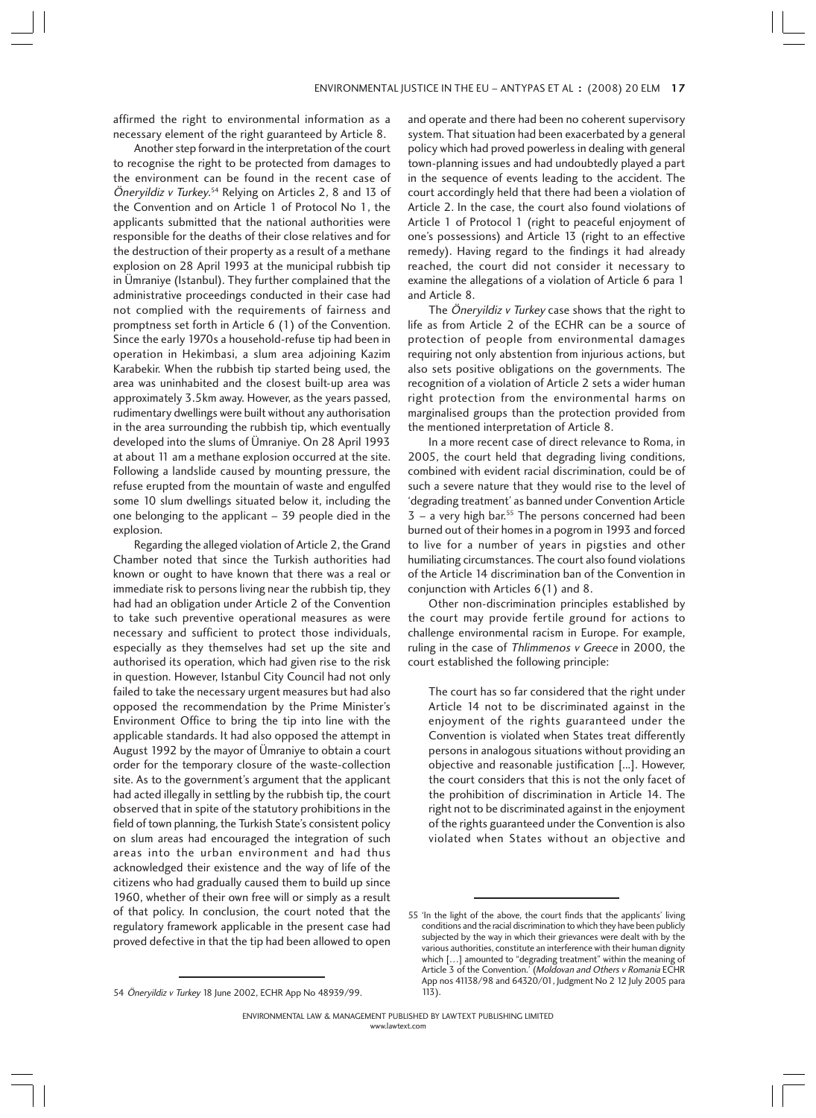affirmed the right to environmental information as a necessary element of the right guaranteed by Article 8.

Another step forward in the interpretation of the court to recognise the right to be protected from damages to the environment can be found in the recent case of Öneryildiz v Turkey.<sup>54</sup> Relying on Articles 2, 8 and 13 of the Convention and on Article 1 of Protocol No 1, the applicants submitted that the national authorities were responsible for the deaths of their close relatives and for the destruction of their property as a result of a methane explosion on 28 April 1993 at the municipal rubbish tip in Ümraniye (Istanbul). They further complained that the administrative proceedings conducted in their case had not complied with the requirements of fairness and promptness set forth in Article 6 (1) of the Convention. Since the early 1970s a household-refuse tip had been in operation in Hekimbasi, a slum area adjoining Kazim Karabekir. When the rubbish tip started being used, the area was uninhabited and the closest built-up area was approximately 3.5km away. However, as the years passed, rudimentary dwellings were built without any authorisation in the area surrounding the rubbish tip, which eventually developed into the slums of Ümraniye. On 28 April 1993 at about 11 am a methane explosion occurred at the site. Following a landslide caused by mounting pressure, the refuse erupted from the mountain of waste and engulfed some 10 slum dwellings situated below it, including the one belonging to the applicant – 39 people died in the explosion.

Regarding the alleged violation of Article 2, the Grand Chamber noted that since the Turkish authorities had known or ought to have known that there was a real or immediate risk to persons living near the rubbish tip, they had had an obligation under Article 2 of the Convention to take such preventive operational measures as were necessary and sufficient to protect those individuals, especially as they themselves had set up the site and authorised its operation, which had given rise to the risk in question. However, Istanbul City Council had not only failed to take the necessary urgent measures but had also opposed the recommendation by the Prime Minister's Environment Office to bring the tip into line with the applicable standards. It had also opposed the attempt in August 1992 by the mayor of Ümraniye to obtain a court order for the temporary closure of the waste-collection site. As to the government's argument that the applicant had acted illegally in settling by the rubbish tip, the court observed that in spite of the statutory prohibitions in the field of town planning, the Turkish State's consistent policy on slum areas had encouraged the integration of such areas into the urban environment and had thus acknowledged their existence and the way of life of the citizens who had gradually caused them to build up since 1960, whether of their own free will or simply as a result of that policy. In conclusion, the court noted that the regulatory framework applicable in the present case had proved defective in that the tip had been allowed to open and operate and there had been no coherent supervisory system. That situation had been exacerbated by a general policy which had proved powerless in dealing with general town-planning issues and had undoubtedly played a part in the sequence of events leading to the accident. The court accordingly held that there had been a violation of Article 2. In the case, the court also found violations of Article 1 of Protocol 1 (right to peaceful enjoyment of one's possessions) and Article 13 (right to an effective remedy). Having regard to the findings it had already reached, the court did not consider it necessary to examine the allegations of a violation of Article 6 para 1 and Article 8.

The Öneryildiz v Turkey case shows that the right to life as from Article 2 of the ECHR can be a source of protection of people from environmental damages requiring not only abstention from injurious actions, but also sets positive obligations on the governments. The recognition of a violation of Article 2 sets a wider human right protection from the environmental harms on marginalised groups than the protection provided from the mentioned interpretation of Article 8.

In a more recent case of direct relevance to Roma, in 2005, the court held that degrading living conditions, combined with evident racial discrimination, could be of such a severe nature that they would rise to the level of 'degrading treatment' as banned under Convention Article  $3 - a$  very high bar.<sup>55</sup> The persons concerned had been burned out of their homes in a pogrom in 1993 and forced to live for a number of years in pigsties and other humiliating circumstances. The court also found violations of the Article 14 discrimination ban of the Convention in conjunction with Articles 6(1) and 8.

Other non-discrimination principles established by the court may provide fertile ground for actions to challenge environmental racism in Europe. For example, ruling in the case of Thlimmenos v Greece in 2000, the court established the following principle:

The court has so far considered that the right under Article 14 not to be discriminated against in the enjoyment of the rights guaranteed under the Convention is violated when States treat differently persons in analogous situations without providing an objective and reasonable justification [...]. However, the court considers that this is not the only facet of the prohibition of discrimination in Article 14. The right not to be discriminated against in the enjoyment of the rights guaranteed under the Convention is also violated when States without an objective and

<sup>54</sup> Öneryildiz v Turkey 18 June 2002, ECHR App No 48939/99.

<sup>55 &#</sup>x27;In the light of the above, the court finds that the applicants' living conditions and the racial discrimination to which they have been publicly subjected by the way in which their grievances were dealt with by the various authorities, constitute an interference with their human dignity which [...] amounted to "degrading treatment" within the meaning of Article 3 of the Convention.' (Moldovan and Others v Romania ECHR App nos 41138/98 and 64320/01, Judgment No 2 12 July 2005 para 113).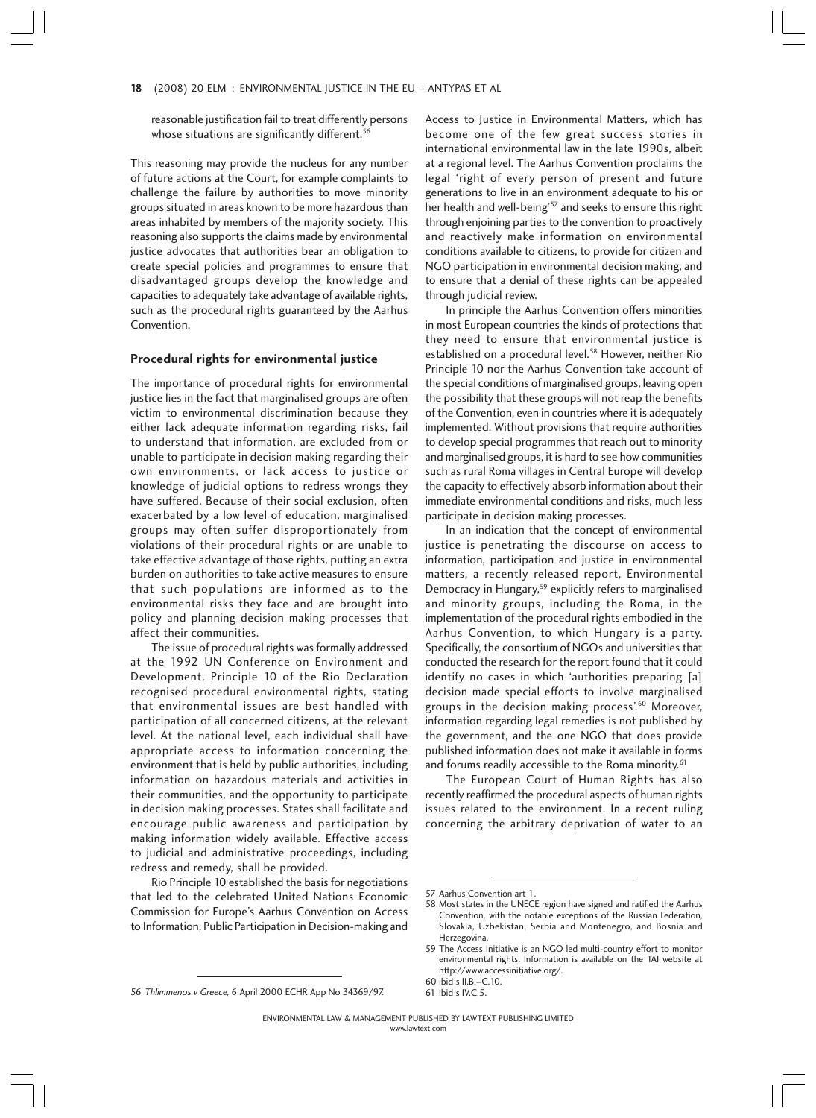reasonable justification fail to treat differently persons whose situations are significantly different.<sup>56</sup>

This reasoning may provide the nucleus for any number of future actions at the Court, for example complaints to challenge the failure by authorities to move minority groups situated in areas known to be more hazardous than areas inhabited by members of the majority society. This reasoning also supports the claims made by environmental justice advocates that authorities bear an obligation to create special policies and programmes to ensure that disadvantaged groups develop the knowledge and capacities to adequately take advantage of available rights, such as the procedural rights guaranteed by the Aarhus Convention.

#### **Procedural rights for environmental justice**

The importance of procedural rights for environmental justice lies in the fact that marginalised groups are often victim to environmental discrimination because they either lack adequate information regarding risks, fail to understand that information, are excluded from or unable to participate in decision making regarding their own environments, or lack access to justice or knowledge of judicial options to redress wrongs they have suffered. Because of their social exclusion, often exacerbated by a low level of education, marginalised groups may often suffer disproportionately from violations of their procedural rights or are unable to take effective advantage of those rights, putting an extra burden on authorities to take active measures to ensure that such populations are informed as to the environmental risks they face and are brought into policy and planning decision making processes that affect their communities.

The issue of procedural rights was formally addressed at the 1992 UN Conference on Environment and Development. Principle 10 of the Rio Declaration recognised procedural environmental rights, stating that environmental issues are best handled with participation of all concerned citizens, at the relevant level. At the national level, each individual shall have appropriate access to information concerning the environment that is held by public authorities, including information on hazardous materials and activities in their communities, and the opportunity to participate in decision making processes. States shall facilitate and encourage public awareness and participation by making information widely available. Effective access to judicial and administrative proceedings, including redress and remedy, shall be provided.

Rio Principle 10 established the basis for negotiations that led to the celebrated United Nations Economic Commission for Europe's Aarhus Convention on Access to Information, Public Participation in Decision-making and

Access to Justice in Environmental Matters, which has become one of the few great success stories in international environmental law in the late 1990s, albeit at a regional level. The Aarhus Convention proclaims the legal 'right of every person of present and future generations to live in an environment adequate to his or her health and well-being<sup>'57</sup> and seeks to ensure this right through enjoining parties to the convention to proactively and reactively make information on environmental conditions available to citizens, to provide for citizen and NGO participation in environmental decision making, and to ensure that a denial of these rights can be appealed through judicial review.

In principle the Aarhus Convention offers minorities in most European countries the kinds of protections that they need to ensure that environmental justice is established on a procedural level.<sup>58</sup> However, neither Rio Principle 10 nor the Aarhus Convention take account of the special conditions of marginalised groups, leaving open the possibility that these groups will not reap the benefits of the Convention, even in countries where it is adequately implemented. Without provisions that require authorities to develop special programmes that reach out to minority and marginalised groups, it is hard to see how communities such as rural Roma villages in Central Europe will develop the capacity to effectively absorb information about their immediate environmental conditions and risks, much less participate in decision making processes.

In an indication that the concept of environmental justice is penetrating the discourse on access to information, participation and justice in environmental matters, a recently released report, Environmental Democracy in Hungary,<sup>59</sup> explicitly refers to marginalised and minority groups, including the Roma, in the implementation of the procedural rights embodied in the Aarhus Convention, to which Hungary is a party. Specifically, the consortium of NGOs and universities that conducted the research for the report found that it could identify no cases in which 'authorities preparing [a] decision made special efforts to involve marginalised groups in the decision making process'.60 Moreover, information regarding legal remedies is not published by the government, and the one NGO that does provide published information does not make it available in forms and forums readily accessible to the Roma minority.<sup>61</sup>

The European Court of Human Rights has also recently reaffirmed the procedural aspects of human rights issues related to the environment. In a recent ruling concerning the arbitrary deprivation of water to an

<sup>56</sup> Thlimmenos v Greece, 6 April 2000 ECHR App No 34369/97. 61 ibid s IV.C.5.

<sup>57</sup> Aarhus Convention art 1.

<sup>58</sup> Most states in the UNECE region have signed and ratified the Aarhus Convention, with the notable exceptions of the Russian Federation, Slovakia, Uzbekistan, Serbia and Montenegro, and Bosnia and Herzegovina.

<sup>59</sup> The Access Initiative is an NGO led multi-country effort to monitor environmental rights. Information is available on the TAI website at http://www.accessinitiative.org/.

<sup>60</sup> ibid s II.B.–C.10.

ENVIRONMENTAL LAW & MANAGEMENT PUBLISHED BY LAWTEXT PUBLISHING LIMITED www.lawtext.com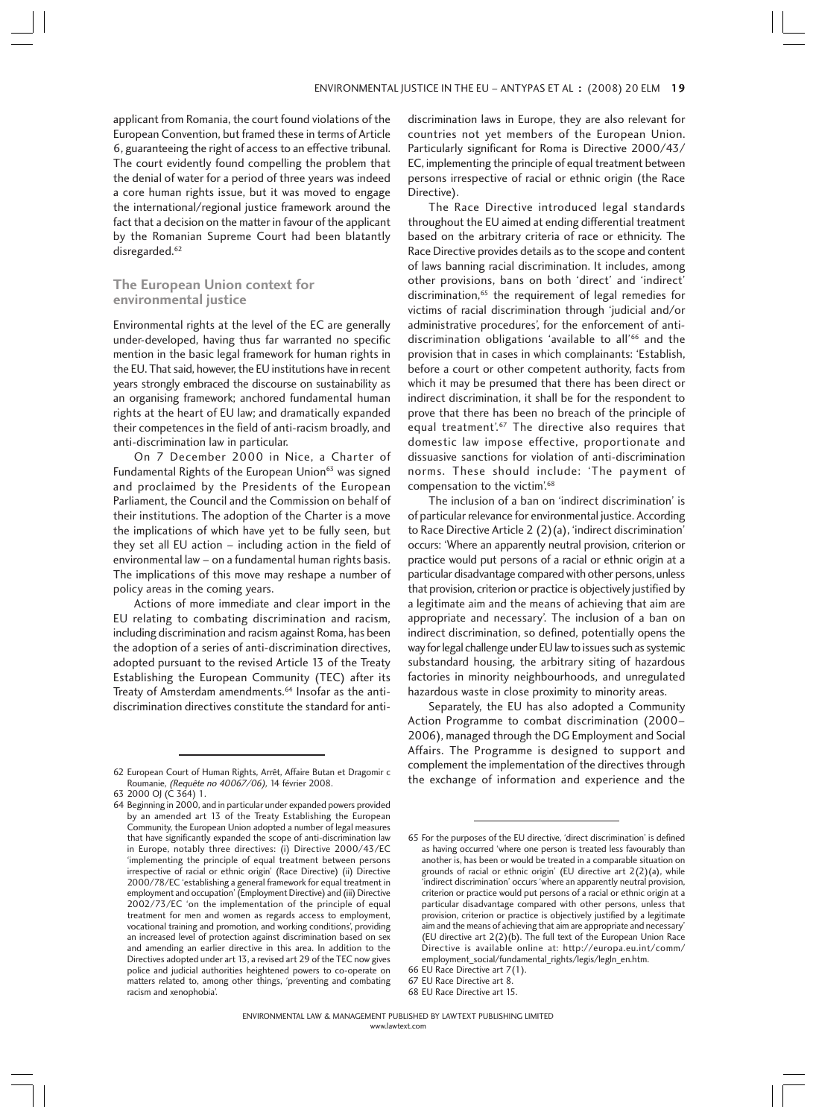applicant from Romania, the court found violations of the European Convention, but framed these in terms of Article 6, guaranteeing the right of access to an effective tribunal. The court evidently found compelling the problem that the denial of water for a period of three years was indeed a core human rights issue, but it was moved to engage the international/regional justice framework around the fact that a decision on the matter in favour of the applicant by the Romanian Supreme Court had been blatantly disregarded.<sup>62</sup>

## **The European Union context for environmental justice**

Environmental rights at the level of the EC are generally under-developed, having thus far warranted no specific mention in the basic legal framework for human rights in the EU. That said, however, the EU institutions have in recent years strongly embraced the discourse on sustainability as an organising framework; anchored fundamental human rights at the heart of EU law; and dramatically expanded their competences in the field of anti-racism broadly, and anti-discrimination law in particular.

On 7 December 2000 in Nice, a Charter of Fundamental Rights of the European Union<sup>63</sup> was signed and proclaimed by the Presidents of the European Parliament, the Council and the Commission on behalf of their institutions. The adoption of the Charter is a move the implications of which have yet to be fully seen, but they set all EU action – including action in the field of environmental law – on a fundamental human rights basis. The implications of this move may reshape a number of policy areas in the coming years.

Actions of more immediate and clear import in the EU relating to combating discrimination and racism, including discrimination and racism against Roma, has been the adoption of a series of anti-discrimination directives, adopted pursuant to the revised Article 13 of the Treaty Establishing the European Community (TEC) after its Treaty of Amsterdam amendments.<sup>64</sup> Insofar as the antidiscrimination directives constitute the standard for anti-

64 Beginning in 2000, and in particular under expanded powers provided by an amended art 13 of the Treaty Establishing the European Community, the European Union adopted a number of legal measures that have significantly expanded the scope of anti-discrimination law in Europe, notably three directives: (i) Directive 2000/43/EC 'implementing the principle of equal treatment between persons irrespective of racial or ethnic origin' (Race Directive) (ii) Directive 2000/78/EC 'establishing a general framework for equal treatment in employment and occupation' (Employment Directive) and (iii) Directive 2002/73/EC 'on the implementation of the principle of equal treatment for men and women as regards access to employment, vocational training and promotion, and working conditions', providing an increased level of protection against discrimination based on sex and amending an earlier directive in this area. In addition to the Directives adopted under art 13, a revised art 29 of the TEC now gives police and judicial authorities heightened powers to co-operate on matters related to, among other things, 'preventing and combating racism and xenophobia'.

discrimination laws in Europe, they are also relevant for countries not yet members of the European Union. Particularly significant for Roma is Directive 2000/43/ EC, implementing the principle of equal treatment between persons irrespective of racial or ethnic origin (the Race Directive).

The Race Directive introduced legal standards throughout the EU aimed at ending differential treatment based on the arbitrary criteria of race or ethnicity. The Race Directive provides details as to the scope and content of laws banning racial discrimination. It includes, among other provisions, bans on both 'direct' and 'indirect' discrimination, $65$  the requirement of legal remedies for victims of racial discrimination through 'judicial and/or administrative procedures', for the enforcement of antidiscrimination obligations 'available to all'<sup>66</sup> and the provision that in cases in which complainants: 'Establish, before a court or other competent authority, facts from which it may be presumed that there has been direct or indirect discrimination, it shall be for the respondent to prove that there has been no breach of the principle of equal treatment'.<sup>67</sup> The directive also requires that domestic law impose effective, proportionate and dissuasive sanctions for violation of anti-discrimination norms. These should include: 'The payment of compensation to the victim<sup>'.68</sup>

The inclusion of a ban on 'indirect discrimination' is of particular relevance for environmental justice. According to Race Directive Article 2 (2)(a), 'indirect discrimination' occurs: 'Where an apparently neutral provision, criterion or practice would put persons of a racial or ethnic origin at a particular disadvantage compared with other persons, unless that provision, criterion or practice is objectively justified by a legitimate aim and the means of achieving that aim are appropriate and necessary'. The inclusion of a ban on indirect discrimination, so defined, potentially opens the way for legal challenge under EU law to issues such as systemic substandard housing, the arbitrary siting of hazardous factories in minority neighbourhoods, and unregulated hazardous waste in close proximity to minority areas.

Separately, the EU has also adopted a Community Action Programme to combat discrimination (2000– 2006), managed through the DG Employment and Social Affairs. The Programme is designed to support and complement the implementation of the directives through the exchange of information of the directives throught Roumanie. (Requête no 40067/06), 14 février 2008.<br>Roumanie. (Requête no 40067/06), 14 février 2008.

Roumanie, (Requête no 40067/06), 14 février 2008.

<sup>63 2000</sup> OJ (C 364) 1.

<sup>65</sup> For the purposes of the EU directive, 'direct discrimination' is defined as having occurred 'where one person is treated less favourably than another is, has been or would be treated in a comparable situation on grounds of racial or ethnic origin' (EU directive art 2(2)(a), while 'indirect discrimination' occurs 'where an apparently neutral provision, criterion or practice would put persons of a racial or ethnic origin at a particular disadvantage compared with other persons, unless that provision, criterion or practice is objectively justified by a legitimate aim and the means of achieving that aim are appropriate and necessary' (EU directive art 2(2)(b). The full text of the European Union Race Directive is available online at: http://europa.eu.int/comm/ employment\_social/fundamental\_rights/legis/legln\_en.htm.

<sup>66</sup> EU Race Directive art 7(1).

<sup>67</sup> EU Race Directive art 8.

<sup>68</sup> EU Race Directive art 15.

ENVIRONMENTAL LAW & MANAGEMENT PUBLISHED BY LAWTEXT PUBLISHING LIMITED www.lawtext.com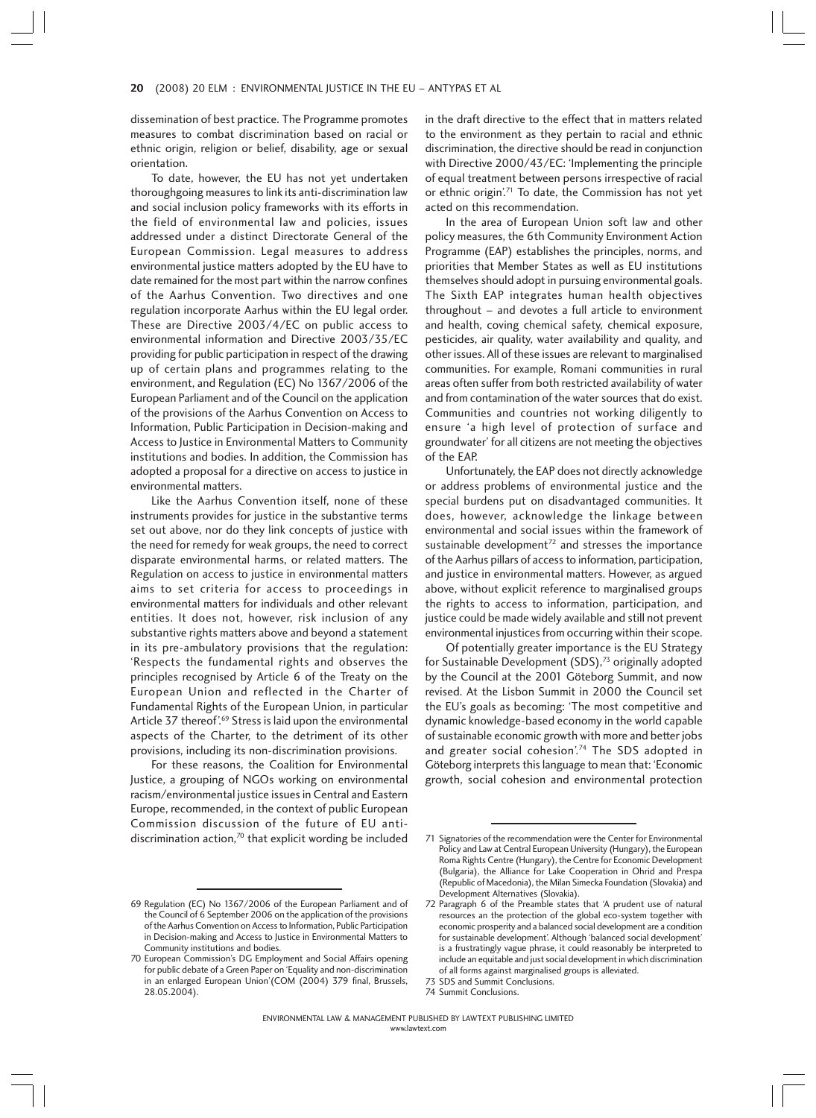dissemination of best practice. The Programme promotes measures to combat discrimination based on racial or ethnic origin, religion or belief, disability, age or sexual orientation.

To date, however, the EU has not yet undertaken thoroughgoing measures to link its anti-discrimination law and social inclusion policy frameworks with its efforts in the field of environmental law and policies, issues addressed under a distinct Directorate General of the European Commission. Legal measures to address environmental justice matters adopted by the EU have to date remained for the most part within the narrow confines of the Aarhus Convention. Two directives and one regulation incorporate Aarhus within the EU legal order. These are Directive 2003/4/EC on public access to environmental information and Directive 2003/35/EC providing for public participation in respect of the drawing up of certain plans and programmes relating to the environment, and Regulation (EC) No 1367/2006 of the European Parliament and of the Council on the application of the provisions of the Aarhus Convention on Access to Information, Public Participation in Decision-making and Access to Justice in Environmental Matters to Community institutions and bodies. In addition, the Commission has adopted a proposal for a directive on access to justice in environmental matters.

Like the Aarhus Convention itself, none of these instruments provides for justice in the substantive terms set out above, nor do they link concepts of justice with the need for remedy for weak groups, the need to correct disparate environmental harms, or related matters. The Regulation on access to justice in environmental matters aims to set criteria for access to proceedings in environmental matters for individuals and other relevant entities. It does not, however, risk inclusion of any substantive rights matters above and beyond a statement in its pre-ambulatory provisions that the regulation: 'Respects the fundamental rights and observes the principles recognised by Article 6 of the Treaty on the European Union and reflected in the Charter of Fundamental Rights of the European Union, in particular Article 37 thereof<sup>'.69</sup> Stress is laid upon the environmental aspects of the Charter, to the detriment of its other provisions, including its non-discrimination provisions.

For these reasons, the Coalition for Environmental Justice, a grouping of NGOs working on environmental racism/environmental justice issues in Central and Eastern Europe, recommended, in the context of public European Commission discussion of the future of EU antidiscrimination action,<sup>70</sup> that explicit wording be included

in the draft directive to the effect that in matters related to the environment as they pertain to racial and ethnic discrimination, the directive should be read in conjunction with Directive 2000/43/EC: 'Implementing the principle of equal treatment between persons irrespective of racial or ethnic origin'.<sup>71</sup> To date, the Commission has not yet acted on this recommendation.

In the area of European Union soft law and other policy measures, the 6th Community Environment Action Programme (EAP) establishes the principles, norms, and priorities that Member States as well as EU institutions themselves should adopt in pursuing environmental goals. The Sixth EAP integrates human health objectives throughout – and devotes a full article to environment and health, coving chemical safety, chemical exposure, pesticides, air quality, water availability and quality, and other issues. All of these issues are relevant to marginalised communities. For example, Romani communities in rural areas often suffer from both restricted availability of water and from contamination of the water sources that do exist. Communities and countries not working diligently to ensure 'a high level of protection of surface and groundwater' for all citizens are not meeting the objectives of the EAP.

Unfortunately, the EAP does not directly acknowledge or address problems of environmental justice and the special burdens put on disadvantaged communities. It does, however, acknowledge the linkage between environmental and social issues within the framework of sustainable development $^{72}$  and stresses the importance of the Aarhus pillars of access to information, participation, and justice in environmental matters. However, as argued above, without explicit reference to marginalised groups the rights to access to information, participation, and justice could be made widely available and still not prevent environmental injustices from occurring within their scope.

Of potentially greater importance is the EU Strategy for Sustainable Development (SDS),<sup>73</sup> originally adopted by the Council at the 2001 Göteborg Summit, and now revised. At the Lisbon Summit in 2000 the Council set the EU's goals as becoming: 'The most competitive and dynamic knowledge-based economy in the world capable of sustainable economic growth with more and better jobs and greater social cohesion'.74 The SDS adopted in Göteborg interprets this language to mean that: 'Economic growth, social cohesion and environmental protection

73 SDS and Summit Conclusions.

74 Summit Conclusions.

<sup>69</sup> Regulation (EC) No 1367/2006 of the European Parliament and of the Council of 6 September 2006 on the application of the provisions of the Aarhus Convention on Access to Information, Public Participation in Decision-making and Access to Justice in Environmental Matters to Community institutions and bodies.

<sup>70</sup> European Commission's DG Employment and Social Affairs opening for public debate of a Green Paper on 'Equality and non-discrimination in an enlarged European Union'(COM (2004) 379 final, Brussels, 28.05.2004).

<sup>71</sup> Signatories of the recommendation were the Center for Environmental Policy and Law at Central European University (Hungary), the European Roma Rights Centre (Hungary), the Centre for Economic Development (Bulgaria), the Alliance for Lake Cooperation in Ohrid and Prespa (Republic of Macedonia), the Milan Simecka Foundation (Slovakia) and Development Alternatives (Slovakia).

<sup>72</sup> Paragraph 6 of the Preamble states that 'A prudent use of natural resources an the protection of the global eco-system together with economic prosperity and a balanced social development are a condition for sustainable development'. Although 'balanced social development' is a frustratingly vague phrase, it could reasonably be interpreted to include an equitable and just social development in which discrimination of all forms against marginalised groups is alleviated.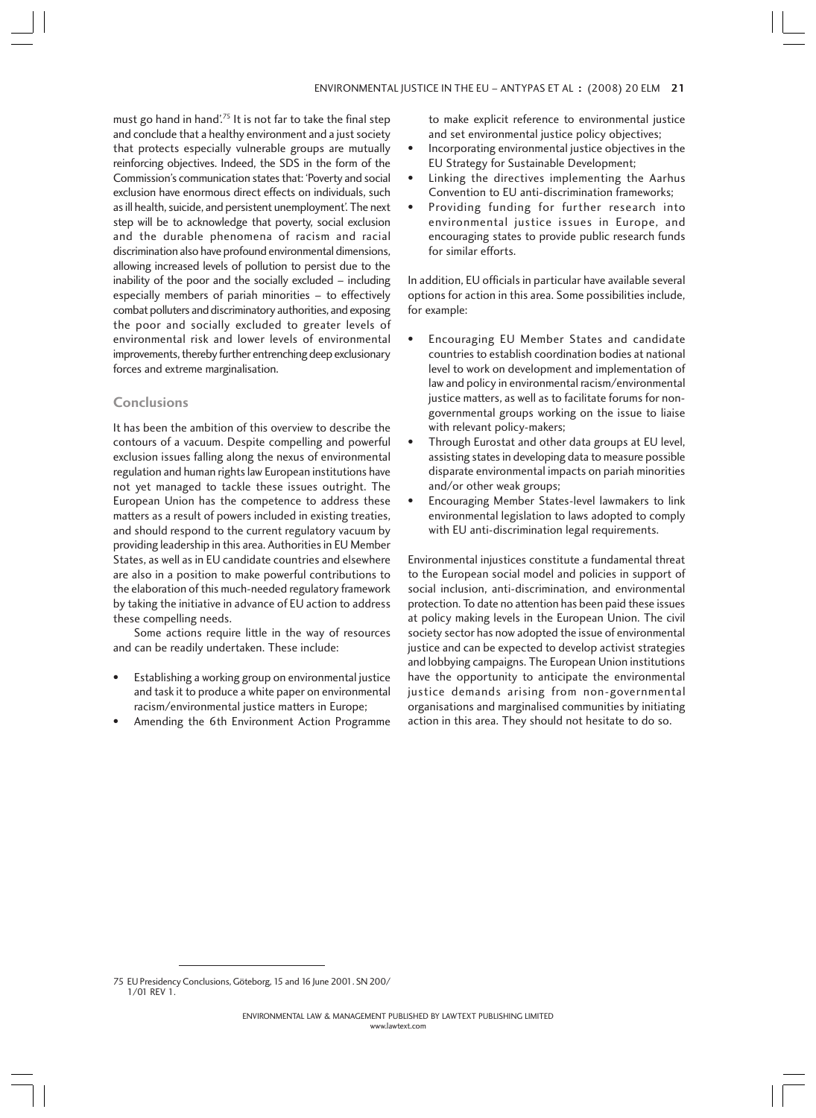must go hand in hand'.75 It is not far to take the final step and conclude that a healthy environment and a just society that protects especially vulnerable groups are mutually reinforcing objectives. Indeed, the SDS in the form of the Commission's communication states that: 'Poverty and social exclusion have enormous direct effects on individuals, such as ill health, suicide, and persistent unemployment'. The next step will be to acknowledge that poverty, social exclusion and the durable phenomena of racism and racial discrimination also have profound environmental dimensions, allowing increased levels of pollution to persist due to the inability of the poor and the socially excluded – including especially members of pariah minorities – to effectively combat polluters and discriminatory authorities, and exposing the poor and socially excluded to greater levels of environmental risk and lower levels of environmental improvements, thereby further entrenching deep exclusionary forces and extreme marginalisation.

# **Conclusions**

It has been the ambition of this overview to describe the contours of a vacuum. Despite compelling and powerful exclusion issues falling along the nexus of environmental regulation and human rights law European institutions have not yet managed to tackle these issues outright. The European Union has the competence to address these matters as a result of powers included in existing treaties, and should respond to the current regulatory vacuum by providing leadership in this area. Authorities in EU Member States, as well as in EU candidate countries and elsewhere are also in a position to make powerful contributions to the elaboration of this much-needed regulatory framework by taking the initiative in advance of EU action to address these compelling needs.

Some actions require little in the way of resources and can be readily undertaken. These include:

- Establishing a working group on environmental justice and task it to produce a white paper on environmental racism/environmental justice matters in Europe;
- Amending the 6th Environment Action Programme

to make explicit reference to environmental justice and set environmental justice policy objectives;

- Incorporating environmental justice objectives in the EU Strategy for Sustainable Development;
- Linking the directives implementing the Aarhus Convention to EU anti-discrimination frameworks;
- Providing funding for further research into environmental justice issues in Europe, and encouraging states to provide public research funds for similar efforts.

In addition, EU officials in particular have available several options for action in this area. Some possibilities include, for example:

- Encouraging EU Member States and candidate countries to establish coordination bodies at national level to work on development and implementation of law and policy in environmental racism/environmental justice matters, as well as to facilitate forums for nongovernmental groups working on the issue to liaise with relevant policy-makers;
- Through Eurostat and other data groups at EU level, assisting states in developing data to measure possible disparate environmental impacts on pariah minorities and/or other weak groups;
- Encouraging Member States-level lawmakers to link environmental legislation to laws adopted to comply with EU anti-discrimination legal requirements.

Environmental injustices constitute a fundamental threat to the European social model and policies in support of social inclusion, anti-discrimination, and environmental protection. To date no attention has been paid these issues at policy making levels in the European Union. The civil society sector has now adopted the issue of environmental justice and can be expected to develop activist strategies and lobbying campaigns. The European Union institutions have the opportunity to anticipate the environmental justice demands arising from non-governmental organisations and marginalised communities by initiating action in this area. They should not hesitate to do so.

<sup>75</sup> EU Presidency Conclusions, Göteborg, 15 and 16 June 2001. SN 200/ 1/01 REV 1.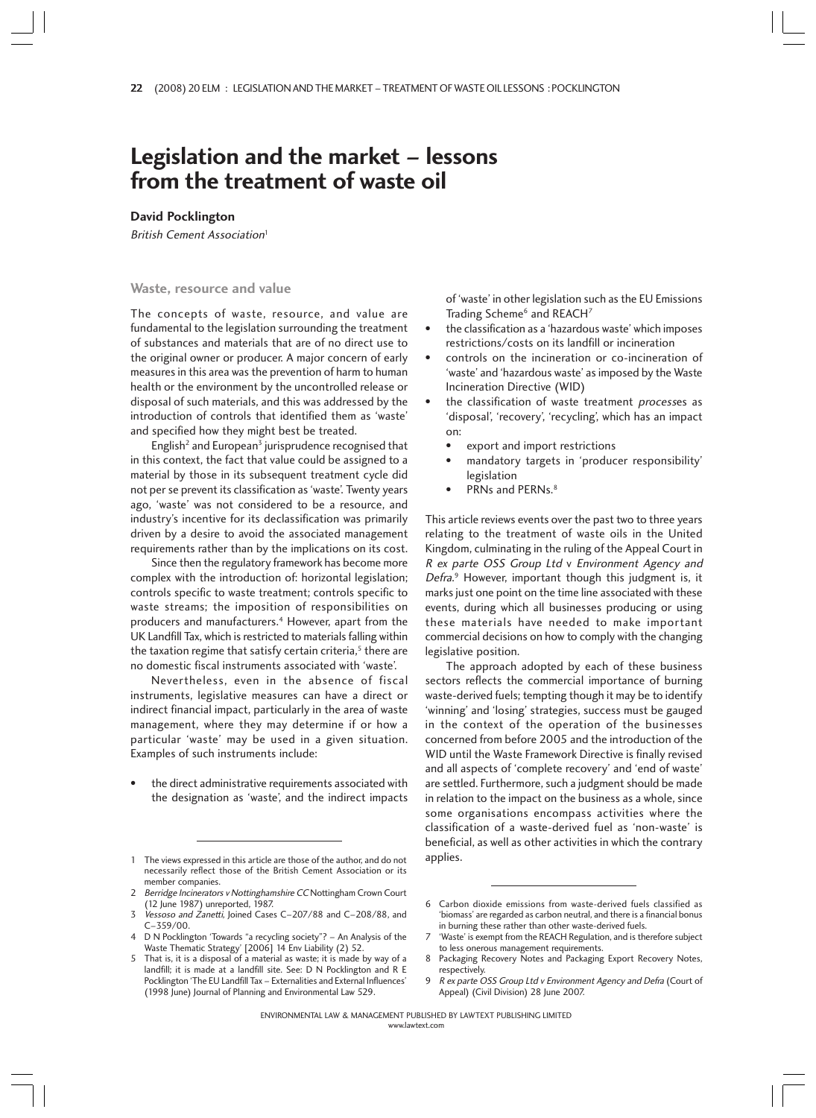# **Legislation and the market – lessons from the treatment of waste oil**

**David Pocklington**

British Cement Association<sup>1</sup>

## **Waste, resource and value**

The concepts of waste, resource, and value are fundamental to the legislation surrounding the treatment of substances and materials that are of no direct use to the original owner or producer. A major concern of early measures in this area was the prevention of harm to human health or the environment by the uncontrolled release or disposal of such materials, and this was addressed by the introduction of controls that identified them as 'waste' and specified how they might best be treated.

English<sup>2</sup> and European<sup>3</sup> jurisprudence recognised that in this context, the fact that value could be assigned to a material by those in its subsequent treatment cycle did not per se prevent its classification as 'waste'. Twenty years ago, 'waste' was not considered to be a resource, and industry's incentive for its declassification was primarily driven by a desire to avoid the associated management requirements rather than by the implications on its cost.

Since then the regulatory framework has become more complex with the introduction of: horizontal legislation; controls specific to waste treatment; controls specific to waste streams; the imposition of responsibilities on producers and manufacturers.<sup>4</sup> However, apart from the UK Landfill Tax, which is restricted to materials falling within the taxation regime that satisfy certain criteria, $5$  there are no domestic fiscal instruments associated with 'waste'.

Nevertheless, even in the absence of fiscal instruments, legislative measures can have a direct or indirect financial impact, particularly in the area of waste management, where they may determine if or how a particular 'waste' may be used in a given situation. Examples of such instruments include:

the direct administrative requirements associated with the designation as 'waste', and the indirect impacts

of 'waste' in other legislation such as the EU Emissions Trading Scheme<sup>6</sup> and REACH<sup>7</sup>

- the classification as a 'hazardous waste' which imposes restrictions/costs on its landfill or incineration
- controls on the incineration or co-incineration of 'waste' and 'hazardous waste' as imposed by the Waste Incineration Directive (WID)
- the classification of waste treatment processes as 'disposal', 'recovery', 'recycling', which has an impact on:
	- export and import restrictions
	- mandatory targets in 'producer responsibility' legislation
	- PRNs and PERNs.<sup>8</sup>

This article reviews events over the past two to three years relating to the treatment of waste oils in the United Kingdom, culminating in the ruling of the Appeal Court in R ex parte OSS Group Ltd v Environment Agency and Defra. 9 However, important though this judgment is, it marks just one point on the time line associated with these events, during which all businesses producing or using these materials have needed to make important commercial decisions on how to comply with the changing legislative position.

The approach adopted by each of these business sectors reflects the commercial importance of burning waste-derived fuels; tempting though it may be to identify 'winning' and 'losing' strategies, success must be gauged in the context of the operation of the businesses concerned from before 2005 and the introduction of the WID until the Waste Framework Directive is finally revised and all aspects of 'complete recovery' and 'end of waste' are settled. Furthermore, such a judgment should be made in relation to the impact on the business as a whole, since some organisations encompass activities where the classification of a waste-derived fuel as 'non-waste' is beneficial, as well as other activities in which the contrary

<sup>1</sup> The views expressed in this article are those of the author, and do not applies. necessarily reflect those of the British Cement Association or its member companies.

<sup>2</sup> Berridge Incinerators v Nottinghamshire CC Nottingham Crown Court (12 June 1987) unreported, 1987.

Vessoso and Zanetti, Joined Cases C-207/88 and C-208/88, and C–359/00.

<sup>4</sup> D N Pocklington 'Towards "a recycling society"? – An Analysis of the Waste Thematic Strategy' [2006] 14 Env Liability (2) 52.

<sup>5</sup> That is, it is a disposal of a material as waste; it is made by way of a landfill; it is made at a landfill site. See: D N Pocklington and R E Pocklington 'The EU Landfill Tax – Externalities and External Influences' (1998 June) Journal of Planning and Environmental Law 529.

<sup>6</sup> Carbon dioxide emissions from waste-derived fuels classified as 'biomass' are regarded as carbon neutral, and there is a financial bonus in burning these rather than other waste-derived fuels.

<sup>&#</sup>x27;Waste' is exempt from the REACH Regulation, and is therefore subject to less onerous management requirements.

<sup>8</sup> Packaging Recovery Notes and Packaging Export Recovery Notes, respectively.

R ex parte OSS Group Ltd v Environment Agency and Defra (Court of Appeal) (Civil Division) 28 June 2007.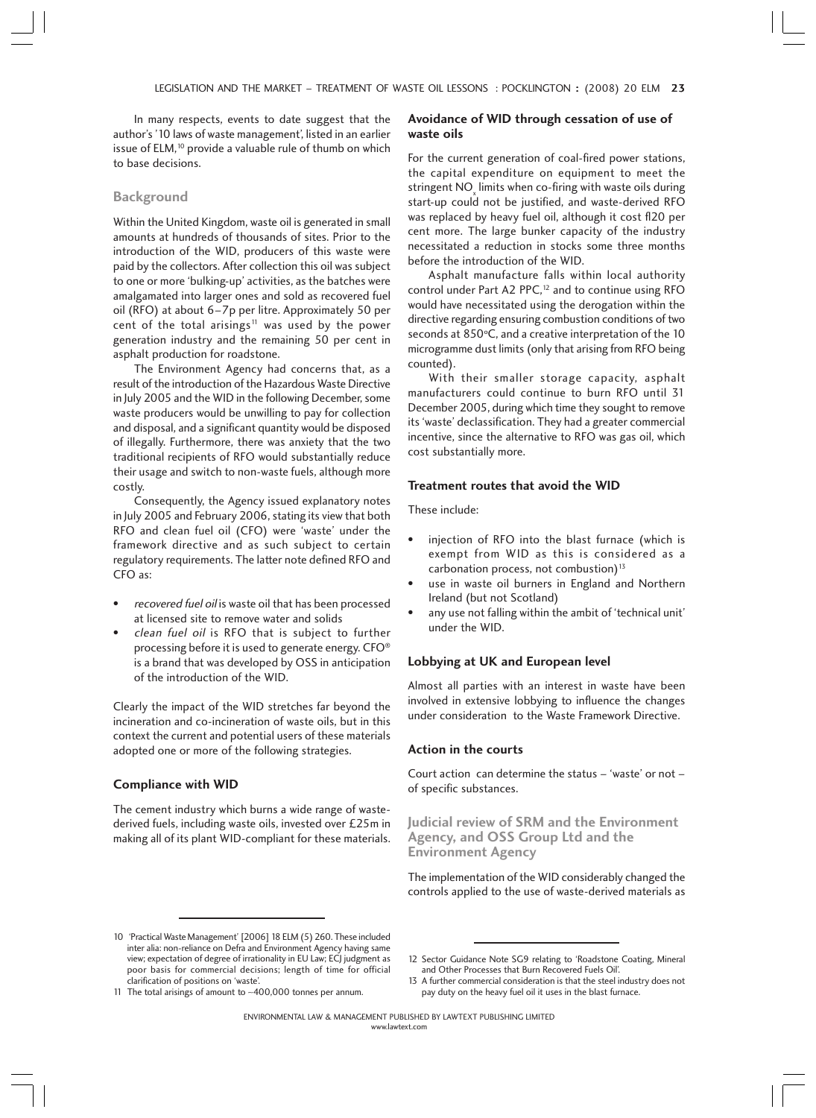In many respects, events to date suggest that the author's '10 laws of waste management', listed in an earlier issue of ELM,<sup>10</sup> provide a valuable rule of thumb on which to base decisions.

#### **Background**

Within the United Kingdom, waste oil is generated in small amounts at hundreds of thousands of sites. Prior to the introduction of the WID, producers of this waste were paid by the collectors. After collection this oil was subject to one or more 'bulking-up' activities, as the batches were amalgamated into larger ones and sold as recovered fuel oil (RFO) at about 6–7p per litre. Approximately 50 per cent of the total arisings<sup>11</sup> was used by the power generation industry and the remaining 50 per cent in asphalt production for roadstone.

The Environment Agency had concerns that, as a result of the introduction of the Hazardous Waste Directive in July 2005 and the WID in the following December, some waste producers would be unwilling to pay for collection and disposal, and a significant quantity would be disposed of illegally. Furthermore, there was anxiety that the two traditional recipients of RFO would substantially reduce their usage and switch to non-waste fuels, although more costly.

Consequently, the Agency issued explanatory notes in July 2005 and February 2006, stating its view that both RFO and clean fuel oil (CFO) were 'waste' under the framework directive and as such subject to certain regulatory requirements. The latter note defined RFO and CFO as:

- recovered fuel oil is waste oil that has been processed at licensed site to remove water and solids
- clean fuel oil is RFO that is subject to further processing before it is used to generate energy. CFO® is a brand that was developed by OSS in anticipation of the introduction of the WID.

Clearly the impact of the WID stretches far beyond the incineration and co-incineration of waste oils, but in this context the current and potential users of these materials adopted one or more of the following strategies.

#### **Compliance with WID**

The cement industry which burns a wide range of wastederived fuels, including waste oils, invested over £25m in making all of its plant WID-compliant for these materials.

## **Avoidance of WID through cessation of use of waste oils**

For the current generation of coal-fired power stations, the capital expenditure on equipment to meet the stringent  $\mathsf{NO}_{\mathsf{x}}$  limits when co-firing with waste oils during start-up could not be justified, and waste-derived RFO was replaced by heavy fuel oil, although it cost fl20 per cent more. The large bunker capacity of the industry necessitated a reduction in stocks some three months before the introduction of the WID.

Asphalt manufacture falls within local authority control under Part A2 PPC,<sup>12</sup> and to continue using RFO would have necessitated using the derogation within the directive regarding ensuring combustion conditions of two seconds at 850°C, and a creative interpretation of the 10 microgramme dust limits (only that arising from RFO being counted).

With their smaller storage capacity, asphalt manufacturers could continue to burn RFO until 31 December 2005, during which time they sought to remove its 'waste' declassification. They had a greater commercial incentive, since the alternative to RFO was gas oil, which cost substantially more.

## **Treatment routes that avoid the WID**

These include:

- injection of RFO into the blast furnace (which is exempt from WID as this is considered as a carbonation process, not combustion) $13$
- use in waste oil burners in England and Northern Ireland (but not Scotland)
- any use not falling within the ambit of 'technical unit' under the WID.

# **Lobbying at UK and European level**

Almost all parties with an interest in waste have been involved in extensive lobbying to influence the changes under consideration to the Waste Framework Directive.

### **Action in the courts**

Court action can determine the status – 'waste' or not – of specific substances.

**Judicial review of SRM and the Environment Agency, and OSS Group Ltd and the Environment Agency**

The implementation of the WID considerably changed the controls applied to the use of waste-derived materials as

<sup>10 &#</sup>x27;Practical Waste Management' [2006] 18 ELM (5) 260. These included inter alia: non-reliance on Defra and Environment Agency having same view; expectation of degree of irrationality in EU Law; ECJ judgment as poor basis for commercial decisions; length of time for official clarification of positions on 'waste'. 11 The total arisings of amount to ∼400,000 tonnes per annum.

<sup>12</sup> Sector Guidance Note SG9 relating to 'Roadstone Coating, Mineral and Other Processes that Burn Recovered Fuels Oil'.

<sup>13</sup> A further commercial consideration is that the steel industry does not pay duty on the heavy fuel oil it uses in the blast furnace.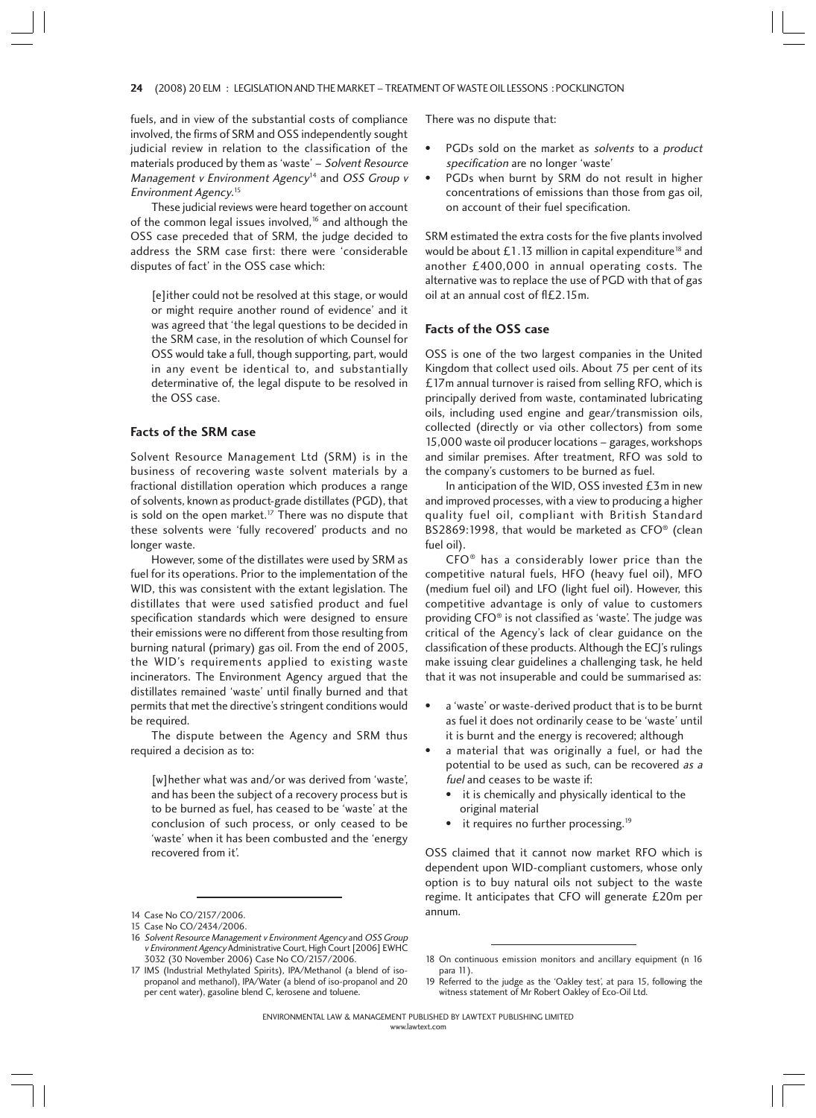#### 24 (2008) 20 ELM : LEGISLATION AND THE MARKET – TREATMENT OF WASTE OIL LESSONS : POCKLINGTON 4

fuels, and in view of the substantial costs of compliance involved, the firms of SRM and OSS independently sought judicial review in relation to the classification of the materials produced by them as 'waste' – Solvent Resource Management v Environment Agency<sup>14</sup> and OSS Group v Environment Agency. 15

These judicial reviews were heard together on account of the common legal issues involved, $16$  and although the OSS case preceded that of SRM, the judge decided to address the SRM case first: there were 'considerable disputes of fact' in the OSS case which:

[e]ither could not be resolved at this stage, or would or might require another round of evidence' and it was agreed that 'the legal questions to be decided in the SRM case, in the resolution of which Counsel for OSS would take a full, though supporting, part, would in any event be identical to, and substantially determinative of, the legal dispute to be resolved in the OSS case.

## **Facts of the SRM case**

Solvent Resource Management Ltd (SRM) is in the business of recovering waste solvent materials by a fractional distillation operation which produces a range of solvents, known as product-grade distillates (PGD), that is sold on the open market.<sup>17</sup> There was no dispute that these solvents were 'fully recovered' products and no longer waste.

However, some of the distillates were used by SRM as fuel for its operations. Prior to the implementation of the WID, this was consistent with the extant legislation. The distillates that were used satisfied product and fuel specification standards which were designed to ensure their emissions were no different from those resulting from burning natural (primary) gas oil. From the end of 2005, the WID's requirements applied to existing waste incinerators. The Environment Agency argued that the distillates remained 'waste' until finally burned and that permits that met the directive's stringent conditions would be required.

The dispute between the Agency and SRM thus required a decision as to:

[w]hether what was and/or was derived from 'waste', and has been the subject of a recovery process but is to be burned as fuel, has ceased to be 'waste' at the conclusion of such process, or only ceased to be 'waste' when it has been combusted and the 'energy recovered from it'.

There was no dispute that:

- PGDs sold on the market as solvents to a product specification are no longer 'waste'
- PGDs when burnt by SRM do not result in higher concentrations of emissions than those from gas oil, on account of their fuel specification.

SRM estimated the extra costs for the five plants involved would be about £1.13 million in capital expenditure<sup>18</sup> and another £400,000 in annual operating costs. The alternative was to replace the use of PGD with that of gas  $oil$  at an annual cost of  $f/fL2.15m$ .

### **Facts of the OSS case**

OSS is one of the two largest companies in the United Kingdom that collect used oils. About 75 per cent of its £17m annual turnover is raised from selling RFO, which is principally derived from waste, contaminated lubricating oils, including used engine and gear/transmission oils, collected (directly or via other collectors) from some 15,000 waste oil producer locations – garages, workshops and similar premises. After treatment, RFO was sold to the company's customers to be burned as fuel.

In anticipation of the WID, OSS invested £3m in new and improved processes, with a view to producing a higher quality fuel oil, compliant with British Standard BS2869:1998, that would be marketed as CFO® (clean fuel oil).

CFO® has a considerably lower price than the competitive natural fuels, HFO (heavy fuel oil), MFO (medium fuel oil) and LFO (light fuel oil). However, this competitive advantage is only of value to customers providing CFO® is not classified as 'waste'. The judge was critical of the Agency's lack of clear guidance on the classification of these products. Although the ECJ's rulings make issuing clear guidelines a challenging task, he held that it was not insuperable and could be summarised as:

- a 'waste' or waste-derived product that is to be burnt as fuel it does not ordinarily cease to be 'waste' until it is burnt and the energy is recovered; although
- a material that was originally a fuel, or had the potential to be used as such, can be recovered as a fuel and ceases to be waste if:
	- it is chemically and physically identical to the original material
	- it requires no further processing.<sup>19</sup>

OSS claimed that it cannot now market RFO which is dependent upon WID-compliant customers, whose only option is to buy natural oils not subject to the waste regime. It anticipates that CFO will generate £20m per

<sup>14</sup> Case No CO/2157/2006. **annum. annum.** 

<sup>15</sup> Case No CO/2434/2006.

<sup>16</sup> Solvent Resource Management v Environment Agency and OSS Group <sup>v</sup> Environment Agency Administrative Court, High Court [2006] EWHC 3032 (30 November 2006) Case No CO/2157/2006.

<sup>17</sup> IMS (Industrial Methylated Spirits), IPA/Methanol (a blend of isopropanol and methanol), IPA/Water (a blend of iso-propanol and 20 per cent water), gasoline blend C, kerosene and toluene.

<sup>18</sup> On continuous emission monitors and ancillary equipment (n 16 para 11)

<sup>19</sup> Referred to the judge as the 'Oakley test', at para 15, following the witness statement of Mr Robert Oakley of Eco-Oil Ltd.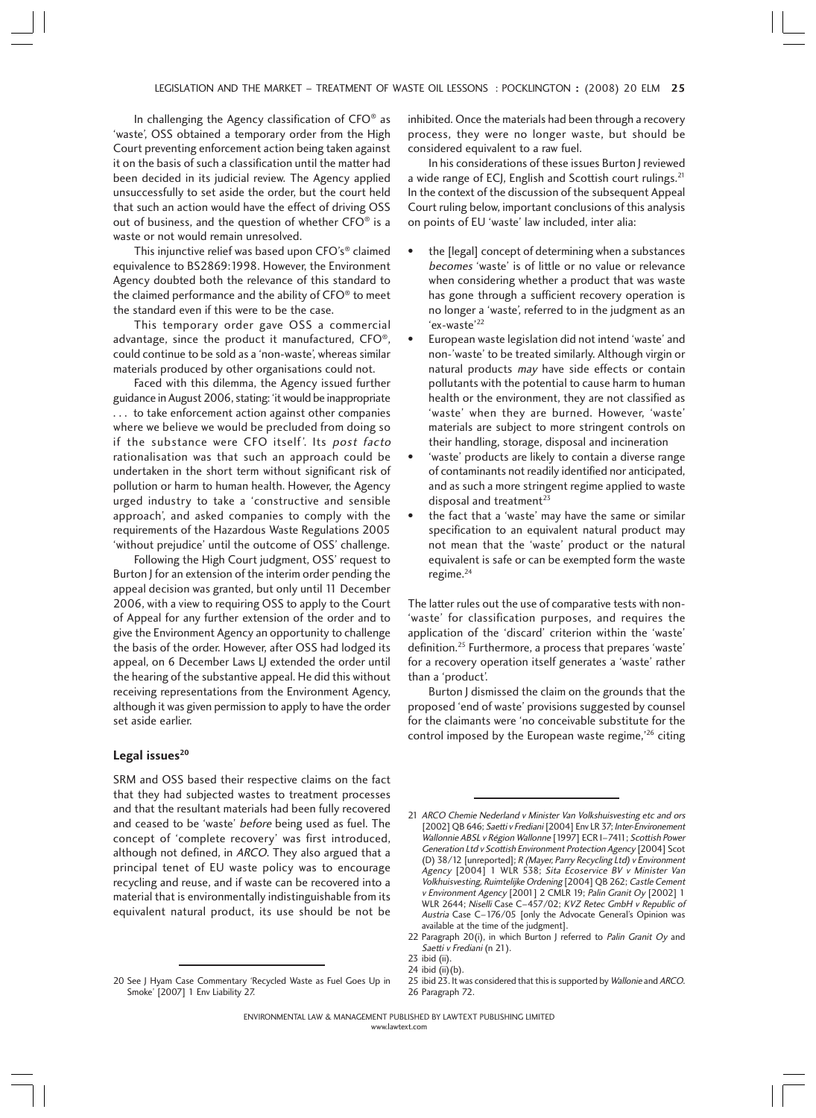In challenging the Agency classification of CFO® as 'waste', OSS obtained a temporary order from the High Court preventing enforcement action being taken against it on the basis of such a classification until the matter had been decided in its judicial review. The Agency applied unsuccessfully to set aside the order, but the court held that such an action would have the effect of driving OSS out of business, and the question of whether CFO® is a waste or not would remain unresolved.

This injunctive relief was based upon CFO's® claimed equivalence to BS2869:1998. However, the Environment Agency doubted both the relevance of this standard to the claimed performance and the ability of CFO® to meet the standard even if this were to be the case.

This temporary order gave OSS a commercial advantage, since the product it manufactured, CFO®, could continue to be sold as a 'non-waste', whereas similar materials produced by other organisations could not.

Faced with this dilemma, the Agency issued further guidance in August 2006, stating: 'it would be inappropriate . . . to take enforcement action against other companies where we believe we would be precluded from doing so if the substance were CFO itself'. Its post facto rationalisation was that such an approach could be undertaken in the short term without significant risk of pollution or harm to human health. However, the Agency urged industry to take a 'constructive and sensible approach', and asked companies to comply with the requirements of the Hazardous Waste Regulations 2005 'without prejudice' until the outcome of OSS' challenge.

Following the High Court judgment, OSS' request to Burton J for an extension of the interim order pending the appeal decision was granted, but only until 11 December 2006, with a view to requiring OSS to apply to the Court of Appeal for any further extension of the order and to give the Environment Agency an opportunity to challenge the basis of the order. However, after OSS had lodged its appeal, on 6 December Laws LJ extended the order until the hearing of the substantive appeal. He did this without receiving representations from the Environment Agency, although it was given permission to apply to have the order set aside earlier.

# Legal issues<sup>20</sup>

SRM and OSS based their respective claims on the fact that they had subjected wastes to treatment processes and that the resultant materials had been fully recovered and ceased to be 'waste' before being used as fuel. The concept of 'complete recovery' was first introduced, although not defined, in ARCO. They also argued that a principal tenet of EU waste policy was to encourage recycling and reuse, and if waste can be recovered into a material that is environmentally indistinguishable from its equivalent natural product, its use should be not be

20 See J Hyam Case Commentary 'Recycled Waste as Fuel Goes Up in Smoke' [2007] 1 Env Liability 27.

inhibited. Once the materials had been through a recovery process, they were no longer waste, but should be considered equivalent to a raw fuel.

In his considerations of these issues Burton J reviewed a wide range of ECJ, English and Scottish court rulings.<sup>21</sup> In the context of the discussion of the subsequent Appeal Court ruling below, important conclusions of this analysis on points of EU 'waste' law included, inter alia:

- the [legal] concept of determining when a substances becomes 'waste' is of little or no value or relevance when considering whether a product that was waste has gone through a sufficient recovery operation is no longer a 'waste', referred to in the judgment as an 'ex-waste'22
- European waste legislation did not intend 'waste' and non-'waste' to be treated similarly. Although virgin or natural products may have side effects or contain pollutants with the potential to cause harm to human health or the environment, they are not classified as 'waste' when they are burned. However, 'waste' materials are subject to more stringent controls on their handling, storage, disposal and incineration
- 'waste' products are likely to contain a diverse range of contaminants not readily identified nor anticipated, and as such a more stringent regime applied to waste disposal and treatment<sup>23</sup>
- the fact that a 'waste' may have the same or similar specification to an equivalent natural product may not mean that the 'waste' product or the natural equivalent is safe or can be exempted form the waste regime. $24$

The latter rules out the use of comparative tests with non- 'waste' for classification purposes, and requires the application of the 'discard' criterion within the 'waste' definition.25 Furthermore, a process that prepares 'waste' for a recovery operation itself generates a 'waste' rather than a 'product'.

Burton J dismissed the claim on the grounds that the proposed 'end of waste' provisions suggested by counsel for the claimants were 'no conceivable substitute for the control imposed by the European waste regime,<sup>'26</sup> citing

<sup>21</sup> ARCO Chemie Nederland v Minister Van Volkshuisvesting etc and ors [2002] QB 646; Saetti v Frediani [2004] Env LR 37; Inter-Environement Wallonnie ABSL v Région Wallonne [1997] ECR I–7411; Scottish Power Generation Ltd v Scottish Environment Protection Agency [2004] Scot (D) 38/12 [unreported]; R (Mayer, Parry Recycling Ltd) v Environment Agency [2004] 1 WLR 538; Sita Ecoservice BV <sup>v</sup> Minister Van Volkhuisvesting, Ruimtelijke Ordening [2004] QB 262; Castle Cement v Environment Agency [2001] 2 CMLR 19; Palin Granit Oy [2002] 1 WLR 2644; Niselli Case C–457/02; KVZ Retec GmbH v Republic of Austria Case C–176/05 [only the Advocate General's Opinion was available at the time of the judgment].

<sup>22</sup> Paragraph 20(i), in which Burton J referred to Palin Granit Oy and Saetti v Frediani (n 21).

<sup>23</sup> ibid (ii).

<sup>24</sup> ibid  $(ii)(b)$ .

<sup>25</sup> ibid 23. It was considered that this is supported by Wallonie and ARCO. 26 Paragraph 72.

www.lawtext.com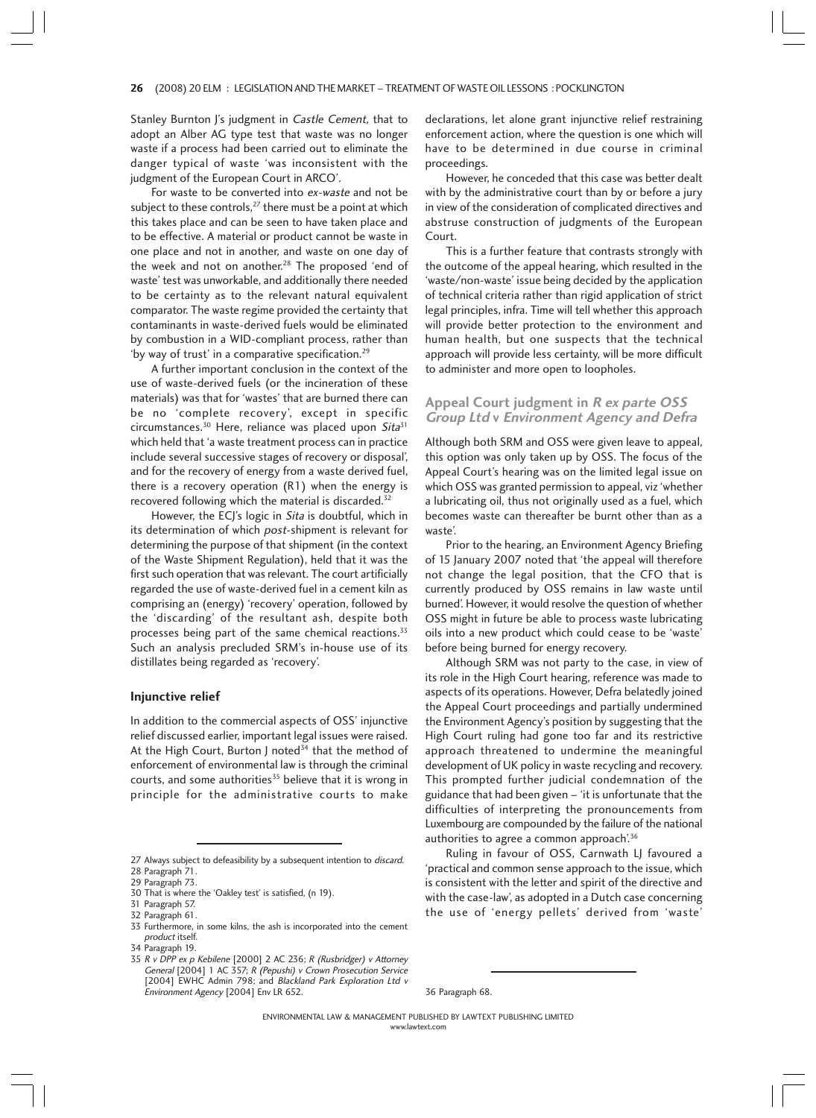#### 26 (2008) 20 ELM : LEGISLATION AND THE MARKET – TREATMENT OF WASTE OIL LESSONS : POCKLINGTON 6

Stanley Burnton J's judgment in Castle Cement, that to adopt an Alber AG type test that waste was no longer waste if a process had been carried out to eliminate the danger typical of waste 'was inconsistent with the judgment of the European Court in ARCO'.

For waste to be converted into ex-waste and not be subject to these controls, $27$  there must be a point at which this takes place and can be seen to have taken place and to be effective. A material or product cannot be waste in one place and not in another, and waste on one day of the week and not on another.<sup>28</sup> The proposed 'end of waste' test was unworkable, and additionally there needed to be certainty as to the relevant natural equivalent comparator. The waste regime provided the certainty that contaminants in waste-derived fuels would be eliminated by combustion in a WID-compliant process, rather than 'by way of trust' in a comparative specification.<sup>29</sup>

A further important conclusion in the context of the use of waste-derived fuels (or the incineration of these materials) was that for 'wastes' that are burned there can be no 'complete recovery', except in specific circumstances.<sup>30</sup> Here, reliance was placed upon  $Sita^{31}$ which held that 'a waste treatment process can in practice include several successive stages of recovery or disposal', and for the recovery of energy from a waste derived fuel, there is a recovery operation (R1) when the energy is recovered following which the material is discarded.<sup>32</sup>

However, the ECJ's logic in Sita is doubtful, which in its determination of which post-shipment is relevant for determining the purpose of that shipment (in the context of the Waste Shipment Regulation), held that it was the first such operation that was relevant. The court artificially regarded the use of waste-derived fuel in a cement kiln as comprising an (energy) 'recovery' operation, followed by the 'discarding' of the resultant ash, despite both processes being part of the same chemical reactions.<sup>33</sup> Such an analysis precluded SRM's in-house use of its distillates being regarded as 'recovery'.

#### **Injunctive relief**

In addition to the commercial aspects of OSS' injunctive relief discussed earlier, important legal issues were raised. At the High Court, Burton J noted<sup>34</sup> that the method of enforcement of environmental law is through the criminal courts, and some authorities $35$  believe that it is wrong in principle for the administrative courts to make declarations, let alone grant injunctive relief restraining enforcement action, where the question is one which will have to be determined in due course in criminal proceedings.

However, he conceded that this case was better dealt with by the administrative court than by or before a jury in view of the consideration of complicated directives and abstruse construction of judgments of the European Court.

This is a further feature that contrasts strongly with the outcome of the appeal hearing, which resulted in the 'waste/non-waste' issue being decided by the application of technical criteria rather than rigid application of strict legal principles, infra. Time will tell whether this approach will provide better protection to the environment and human health, but one suspects that the technical approach will provide less certainty, will be more difficult to administer and more open to loopholes.

# **Appeal Court judgment in R ex parte OSS Group Ltd v Environment Agency and Defra**

Although both SRM and OSS were given leave to appeal, this option was only taken up by OSS. The focus of the Appeal Court's hearing was on the limited legal issue on which OSS was granted permission to appeal, viz 'whether a lubricating oil, thus not originally used as a fuel, which becomes waste can thereafter be burnt other than as a waste'.

Prior to the hearing, an Environment Agency Briefing of 15 January 2007 noted that 'the appeal will therefore not change the legal position, that the CFO that is currently produced by OSS remains in law waste until burned'. However, it would resolve the question of whether OSS might in future be able to process waste lubricating oils into a new product which could cease to be 'waste' before being burned for energy recovery.

Although SRM was not party to the case, in view of its role in the High Court hearing, reference was made to aspects of its operations. However, Defra belatedly joined the Appeal Court proceedings and partially undermined the Environment Agency's position by suggesting that the High Court ruling had gone too far and its restrictive approach threatened to undermine the meaningful development of UK policy in waste recycling and recovery. This prompted further judicial condemnation of the guidance that had been given – 'it is unfortunate that the difficulties of interpreting the pronouncements from Luxembourg are compounded by the failure of the national authorities to agree a common approach'.<sup>36</sup>

Ruling in favour of OSS, Carnwath LJ favoured a 'practical and common sense approach to the issue, which is consistent with the letter and spirit of the directive and with the case-law', as adopted in a Dutch case concerning the use of 'energy pellets' derived from 'waste'

<sup>27</sup> Always subject to defeasibility by a subsequent intention to *discard*. 28 Paragraph 71.

<sup>29</sup> Paragraph 73.

<sup>30</sup> That is where the 'Oakley test' is satisfied, (n 19).

<sup>31</sup> Paragraph 57.

<sup>32</sup> Paragraph 61.

<sup>33</sup> Furthermore, in some kilns, the ash is incorporated into the cement product itself.

<sup>34</sup> Paragraph 19.

<sup>35</sup> R v DPP ex p Kebilene [2000] 2 AC 236; R (Rusbridger) v Attorney General [2004] 1 AC 357; R (Pepushi) v Crown Prosecution Service [2004] EWHC Admin 798; and Blackland Park Exploration Ltd v Environment Agency [2004] Env LR 652. 36 Paragraph 68.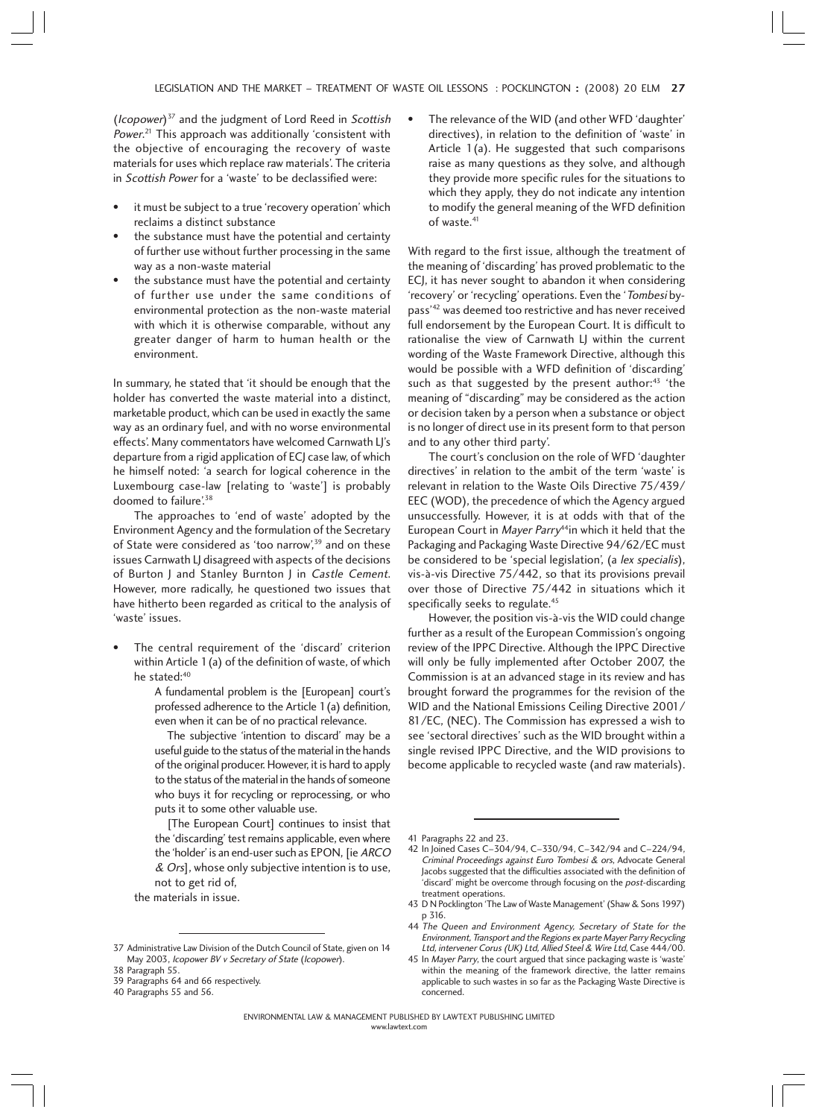$(Isopower)^{37}$  and the judgment of Lord Reed in Scottish *Power*.<sup>21</sup> This approach was additionally 'consistent with the objective of encouraging the recovery of waste materials for uses which replace raw materials'. The criteria in Scottish Power for a 'waste' to be declassified were:

- it must be subject to a true 'recovery operation' which reclaims a distinct substance
- the substance must have the potential and certainty of further use without further processing in the same way as a non-waste material
- the substance must have the potential and certainty of further use under the same conditions of environmental protection as the non-waste material with which it is otherwise comparable, without any greater danger of harm to human health or the environment.

In summary, he stated that 'it should be enough that the holder has converted the waste material into a distinct, marketable product, which can be used in exactly the same way as an ordinary fuel, and with no worse environmental effects'. Many commentators have welcomed Carnwath LJ's departure from a rigid application of ECJ case law, of which he himself noted: 'a search for logical coherence in the Luxembourg case-law [relating to 'waste'] is probably doomed to failure'.<sup>38</sup>

The approaches to 'end of waste' adopted by the Environment Agency and the formulation of the Secretary of State were considered as 'too narrow',<sup>39</sup> and on these issues Carnwath LJ disagreed with aspects of the decisions of Burton J and Stanley Burnton J in Castle Cement. However, more radically, he questioned two issues that have hitherto been regarded as critical to the analysis of 'waste' issues.

- The central requirement of the 'discard' criterion within Article 1(a) of the definition of waste, of which he stated:40
	- A fundamental problem is the [European] court's professed adherence to the Article 1(a) definition, even when it can be of no practical relevance.
	- The subjective 'intention to discard' may be a useful guide to the status of the material in the hands of the original producer. However, it is hard to apply to the status of the material in the hands of someone who buys it for recycling or reprocessing, or who puts it to some other valuable use.
	- [The European Court] continues to insist that the 'discarding' test remains applicable, even where the 'holder' is an end-user such as EPON, [ie ARCO  $&$  Ors], whose only subjective intention is to use, not to get rid of,
	- the materials in issue.

40 Paragraphs 55 and 56.

The relevance of the WID (and other WFD 'daughter' directives), in relation to the definition of 'waste' in Article 1(a). He suggested that such comparisons raise as many questions as they solve, and although they provide more specific rules for the situations to which they apply, they do not indicate any intention to modify the general meaning of the WFD definition of waste.<sup>41</sup>

With regard to the first issue, although the treatment of the meaning of 'discarding' has proved problematic to the ECJ, it has never sought to abandon it when considering 'recovery' or 'recycling' operations. Even the 'Tombesi bypass'42 was deemed too restrictive and has never received full endorsement by the European Court. It is difficult to rationalise the view of Carnwath LJ within the current wording of the Waste Framework Directive, although this would be possible with a WFD definition of 'discarding' such as that suggested by the present author: $43$  'the meaning of "discarding" may be considered as the action or decision taken by a person when a substance or object is no longer of direct use in its present form to that person and to any other third party'.

The court's conclusion on the role of WFD 'daughter directives' in relation to the ambit of the term 'waste' is relevant in relation to the Waste Oils Directive 75/439/ EEC (WOD), the precedence of which the Agency argued unsuccessfully. However, it is at odds with that of the European Court in Mayer Parry<sup>44</sup>in which it held that the Packaging and Packaging Waste Directive 94/62/EC must be considered to be 'special legislation', (a lex specialis), vis-à-vis Directive 75/442, so that its provisions prevail over those of Directive 75/442 in situations which it specifically seeks to regulate.<sup>45</sup>

However, the position vis-à-vis the WID could change further as a result of the European Commission's ongoing review of the IPPC Directive. Although the IPPC Directive will only be fully implemented after October 2007, the Commission is at an advanced stage in its review and has brought forward the programmes for the revision of the WID and the National Emissions Ceiling Directive 2001/ 81/EC, (NEC). The Commission has expressed a wish to see 'sectoral directives' such as the WID brought within a single revised IPPC Directive, and the WID provisions to become applicable to recycled waste (and raw materials).

- 43 D N Pocklington 'The Law of Waste Management' (Shaw & Sons 1997) p 316.
- 44 The Queen and Environment Agency, Secretary of State for the Environment, Transport and the Regions ex parte Mayer Parry Recycling Ltd, intervener Corus (UK) Ltd, Allied Steel & Wire Ltd, Case 444/00.
- 45 In Mayer Parry, the court argued that since packaging waste is 'waste' within the meaning of the framework directive, the latter remains applicable to such wastes in so far as the Packaging Waste Directive is concerned.

<sup>37</sup> Administrative Law Division of the Dutch Council of State, given on 14 May 2003, Icopower BV v Secretary of State (Icopower).

<sup>38</sup> Paragraph 55.

<sup>39</sup> Paragraphs 64 and 66 respectively.

<sup>41</sup> Paragraphs 22 and 23.

<sup>42</sup> In Joined Cases C–304/94, C–330/94, C–342/94 and C–224/94, Criminal Proceedings against Euro Tombesi & ors, Advocate General Jacobs suggested that the difficulties associated with the definition of 'discard' might be overcome through focusing on the *post-*discarding treatment operations.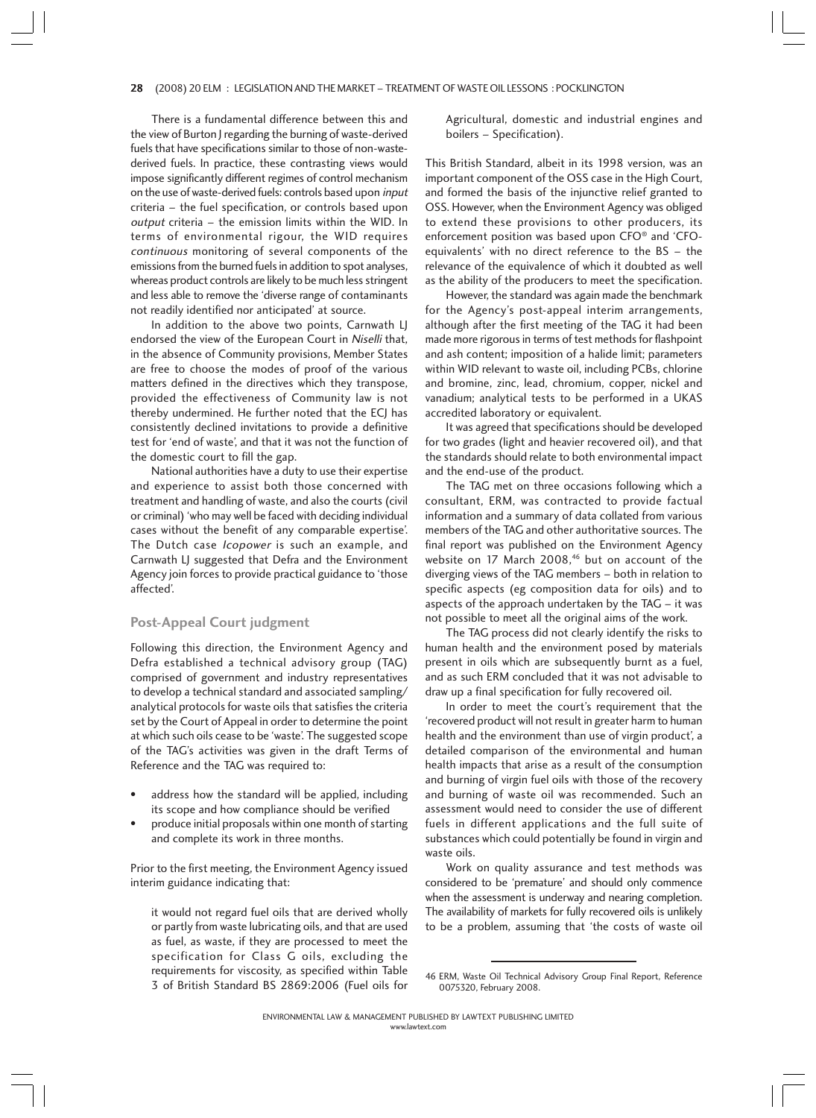#### 28 (2008) 20 ELM : LEGISLATION AND THE MARKET - TREATMENT OF WASTE OIL LESSONS : POCKLINGTON

There is a fundamental difference between this and the view of Burton J regarding the burning of waste-derived fuels that have specifications similar to those of non-wastederived fuels. In practice, these contrasting views would impose significantly different regimes of control mechanism on the use of waste-derived fuels: controls based upon input criteria – the fuel specification, or controls based upon output criteria – the emission limits within the WID. In terms of environmental rigour, the WID requires continuous monitoring of several components of the emissions from the burned fuels in addition to spot analyses, whereas product controls are likely to be much less stringent and less able to remove the 'diverse range of contaminants not readily identified nor anticipated' at source.

In addition to the above two points, Carnwath LJ endorsed the view of the European Court in Niselli that, in the absence of Community provisions, Member States are free to choose the modes of proof of the various matters defined in the directives which they transpose, provided the effectiveness of Community law is not thereby undermined. He further noted that the ECJ has consistently declined invitations to provide a definitive test for 'end of waste', and that it was not the function of the domestic court to fill the gap.

National authorities have a duty to use their expertise and experience to assist both those concerned with treatment and handling of waste, and also the courts (civil or criminal) 'who may well be faced with deciding individual cases without the benefit of any comparable expertise'. The Dutch case *Icopower* is such an example, and Carnwath LJ suggested that Defra and the Environment Agency join forces to provide practical guidance to 'those affected'.

## **Post-Appeal Court judgment**

Following this direction, the Environment Agency and Defra established a technical advisory group (TAG) comprised of government and industry representatives to develop a technical standard and associated sampling/ analytical protocols for waste oils that satisfies the criteria set by the Court of Appeal in order to determine the point at which such oils cease to be 'waste'. The suggested scope of the TAG's activities was given in the draft Terms of Reference and the TAG was required to:

- address how the standard will be applied, including its scope and how compliance should be verified
- produce initial proposals within one month of starting and complete its work in three months.

Prior to the first meeting, the Environment Agency issued interim guidance indicating that:

it would not regard fuel oils that are derived wholly or partly from waste lubricating oils, and that are used as fuel, as waste, if they are processed to meet the specification for Class G oils, excluding the requirements for viscosity, as specified within Table 3 of British Standard BS 2869:2006 (Fuel oils for

Agricultural, domestic and industrial engines and boilers – Specification).

This British Standard, albeit in its 1998 version, was an important component of the OSS case in the High Court, and formed the basis of the injunctive relief granted to OSS. However, when the Environment Agency was obliged to extend these provisions to other producers, its enforcement position was based upon CFO® and 'CFOequivalents' with no direct reference to the BS – the relevance of the equivalence of which it doubted as well as the ability of the producers to meet the specification.

However, the standard was again made the benchmark for the Agency's post-appeal interim arrangements, although after the first meeting of the TAG it had been made more rigorous in terms of test methods for flashpoint and ash content; imposition of a halide limit; parameters within WID relevant to waste oil, including PCBs, chlorine and bromine, zinc, lead, chromium, copper, nickel and vanadium; analytical tests to be performed in a UKAS accredited laboratory or equivalent.

It was agreed that specifications should be developed for two grades (light and heavier recovered oil), and that the standards should relate to both environmental impact and the end-use of the product.

The TAG met on three occasions following which a consultant, ERM, was contracted to provide factual information and a summary of data collated from various members of the TAG and other authoritative sources. The final report was published on the Environment Agency website on 17 March 2008,<sup>46</sup> but on account of the diverging views of the TAG members – both in relation to specific aspects (eg composition data for oils) and to aspects of the approach undertaken by the TAG – it was not possible to meet all the original aims of the work.

The TAG process did not clearly identify the risks to human health and the environment posed by materials present in oils which are subsequently burnt as a fuel, and as such ERM concluded that it was not advisable to draw up a final specification for fully recovered oil.

In order to meet the court's requirement that the 'recovered product will not result in greater harm to human health and the environment than use of virgin product', a detailed comparison of the environmental and human health impacts that arise as a result of the consumption and burning of virgin fuel oils with those of the recovery and burning of waste oil was recommended. Such an assessment would need to consider the use of different fuels in different applications and the full suite of substances which could potentially be found in virgin and waste oils.

Work on quality assurance and test methods was considered to be 'premature' and should only commence when the assessment is underway and nearing completion. The availability of markets for fully recovered oils is unlikely to be a problem, assuming that 'the costs of waste oil

<sup>46</sup> ERM, Waste Oil Technical Advisory Group Final Report, Reference 0075320, February 2008.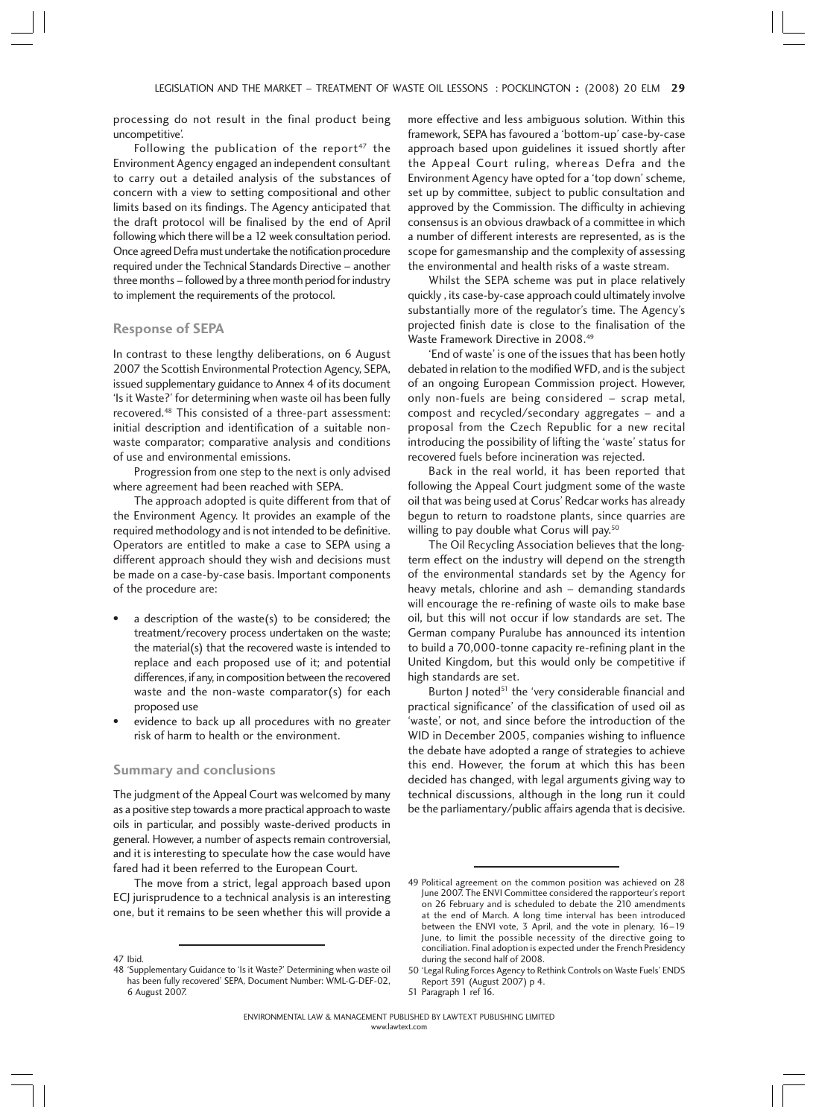processing do not result in the final product being uncompetitive'.

Following the publication of the report<sup>47</sup> the Environment Agency engaged an independent consultant to carry out a detailed analysis of the substances of concern with a view to setting compositional and other limits based on its findings. The Agency anticipated that the draft protocol will be finalised by the end of April following which there will be a 12 week consultation period. Once agreed Defra must undertake the notification procedure required under the Technical Standards Directive – another three months – followed by a three month period for industry to implement the requirements of the protocol.

#### **Response of SEPA**

In contrast to these lengthy deliberations, on 6 August 2007 the Scottish Environmental Protection Agency, SEPA, issued supplementary guidance to Annex 4 of its document 'Is it Waste?' for determining when waste oil has been fully recovered.48 This consisted of a three-part assessment: initial description and identification of a suitable nonwaste comparator; comparative analysis and conditions of use and environmental emissions.

Progression from one step to the next is only advised where agreement had been reached with SEPA.

The approach adopted is quite different from that of the Environment Agency. It provides an example of the required methodology and is not intended to be definitive. Operators are entitled to make a case to SEPA using a different approach should they wish and decisions must be made on a case-by-case basis. Important components of the procedure are:

- a description of the waste(s) to be considered; the treatment/recovery process undertaken on the waste; the material(s) that the recovered waste is intended to replace and each proposed use of it; and potential differences, if any, in composition between the recovered waste and the non-waste comparator(s) for each proposed use
- evidence to back up all procedures with no greater risk of harm to health or the environment.

#### **Summary and conclusions**

The judgment of the Appeal Court was welcomed by many as a positive step towards a more practical approach to waste oils in particular, and possibly waste-derived products in general. However, a number of aspects remain controversial, and it is interesting to speculate how the case would have fared had it been referred to the European Court.

The move from a strict, legal approach based upon ECJ jurisprudence to a technical analysis is an interesting one, but it remains to be seen whether this will provide a more effective and less ambiguous solution. Within this framework, SEPA has favoured a 'bottom-up' case-by-case approach based upon guidelines it issued shortly after the Appeal Court ruling, whereas Defra and the Environment Agency have opted for a 'top down' scheme, set up by committee, subject to public consultation and approved by the Commission. The difficulty in achieving consensus is an obvious drawback of a committee in which a number of different interests are represented, as is the scope for gamesmanship and the complexity of assessing the environmental and health risks of a waste stream.

Whilst the SEPA scheme was put in place relatively quickly , its case-by-case approach could ultimately involve substantially more of the regulator's time. The Agency's projected finish date is close to the finalisation of the Waste Framework Directive in 2008.49

'End of waste' is one of the issues that has been hotly debated in relation to the modified WFD, and is the subject of an ongoing European Commission project. However, only non-fuels are being considered – scrap metal, compost and recycled/secondary aggregates – and a proposal from the Czech Republic for a new recital introducing the possibility of lifting the 'waste' status for recovered fuels before incineration was rejected.

Back in the real world, it has been reported that following the Appeal Court judgment some of the waste oil that was being used at Corus' Redcar works has already begun to return to roadstone plants, since quarries are willing to pay double what Corus will pay.<sup>50</sup>

The Oil Recycling Association believes that the longterm effect on the industry will depend on the strength of the environmental standards set by the Agency for heavy metals, chlorine and ash – demanding standards will encourage the re-refining of waste oils to make base oil, but this will not occur if low standards are set. The German company Puralube has announced its intention to build a 70,000-tonne capacity re-refining plant in the United Kingdom, but this would only be competitive if high standards are set.

Burton J noted<sup>51</sup> the 'very considerable financial and practical significance' of the classification of used oil as 'waste', or not, and since before the introduction of the WID in December 2005, companies wishing to influence the debate have adopted a range of strategies to achieve this end. However, the forum at which this has been decided has changed, with legal arguments giving way to technical discussions, although in the long run it could be the parliamentary/public affairs agenda that is decisive.

51 Paragraph 1 ref 16.

<sup>47</sup> Ibid.

<sup>48 &#</sup>x27;Supplementary Guidance to 'Is it Waste?' Determining when waste oil has been fully recovered' SEPA, Document Number: WML-G-DEF-02, 6 August 2007.

<sup>49</sup> Political agreement on the common position was achieved on 28 June 2007. The ENVI Committee considered the rapporteur's report on 26 February and is scheduled to debate the 210 amendments at the end of March. A long time interval has been introduced between the ENVI vote, 3 April, and the vote in plenary, 16–19 June, to limit the possible necessity of the directive going to conciliation. Final adoption is expected under the French Presidency during the second half of 2008.

<sup>50 &#</sup>x27;Legal Ruling Forces Agency to Rethink Controls on Waste Fuels' ENDS Report 391 (August 2007) p 4.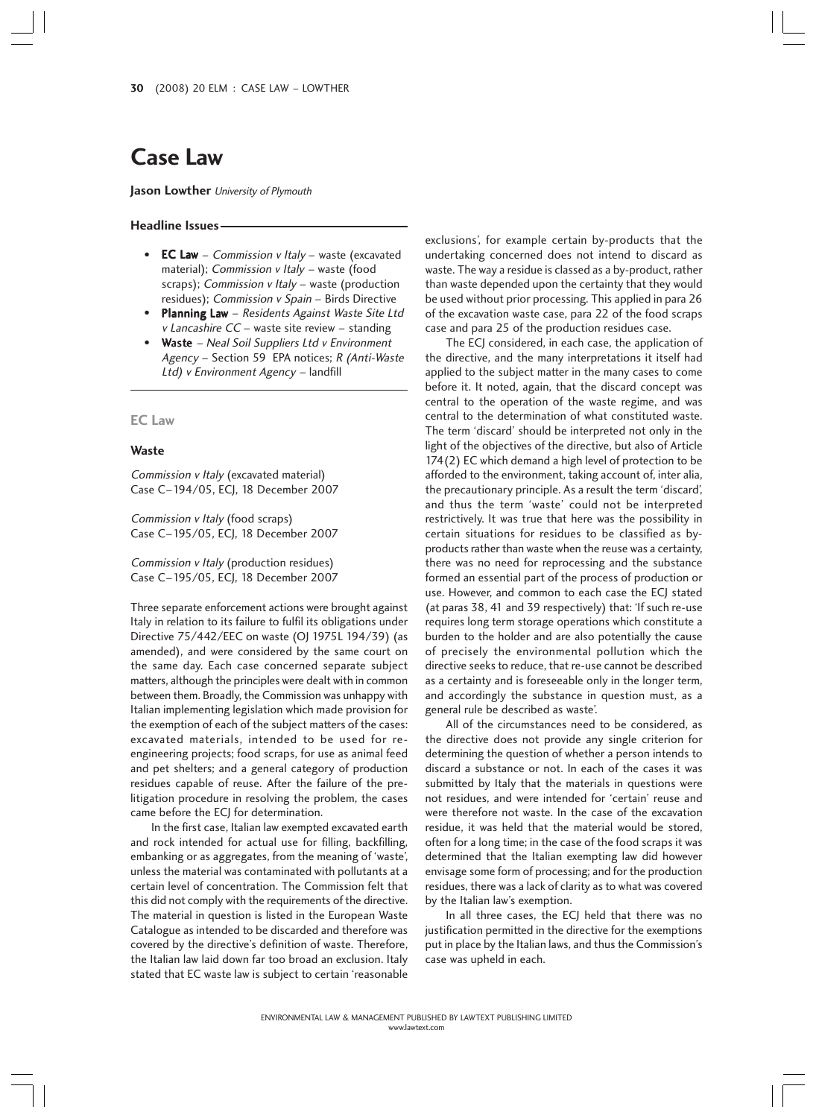# **Case Law**

**Jason Lowther** University of Plymouth

#### **Headline Issues**

- EC Law Commission  $v$  Italy waste (excavated material); Commission v Italy - waste (food scraps); Commission v Italy - waste (production residues); Commission v Spain – Birds Directive
- Planning Law Residents Against Waste Site Ltd v Lancashire CC – waste site review – standing
- Waste Neal Soil Suppliers Ltd v Environment Agency – Section 59 EPA notices; R (Anti-Waste Ltd) v Environment Agency – landfill

#### **EC Law**

#### **Waste**

Commission v Italy (excavated material) Case C–194/05, ECJ, 18 December 2007

Commission v Italy (food scraps) Case C–195/05, ECJ, 18 December 2007

Commission v Italy (production residues) Case C–195/05, ECJ, 18 December 2007

Three separate enforcement actions were brought against Italy in relation to its failure to fulfil its obligations under Directive 75/442/EEC on waste (OJ 1975L 194/39) (as amended), and were considered by the same court on the same day. Each case concerned separate subject matters, although the principles were dealt with in common between them. Broadly, the Commission was unhappy with Italian implementing legislation which made provision for the exemption of each of the subject matters of the cases: excavated materials, intended to be used for reengineering projects; food scraps, for use as animal feed and pet shelters; and a general category of production residues capable of reuse. After the failure of the prelitigation procedure in resolving the problem, the cases came before the ECJ for determination.

In the first case, Italian law exempted excavated earth and rock intended for actual use for filling, backfilling, embanking or as aggregates, from the meaning of 'waste', unless the material was contaminated with pollutants at a certain level of concentration. The Commission felt that this did not comply with the requirements of the directive. The material in question is listed in the European Waste Catalogue as intended to be discarded and therefore was covered by the directive's definition of waste. Therefore, the Italian law laid down far too broad an exclusion. Italy stated that EC waste law is subject to certain 'reasonable

exclusions', for example certain by-products that the undertaking concerned does not intend to discard as waste. The way a residue is classed as a by-product, rather than waste depended upon the certainty that they would be used without prior processing. This applied in para 26 of the excavation waste case, para 22 of the food scraps case and para 25 of the production residues case.

The ECJ considered, in each case, the application of the directive, and the many interpretations it itself had applied to the subject matter in the many cases to come before it. It noted, again, that the discard concept was central to the operation of the waste regime, and was central to the determination of what constituted waste. The term 'discard' should be interpreted not only in the light of the objectives of the directive, but also of Article 174(2) EC which demand a high level of protection to be afforded to the environment, taking account of, inter alia, the precautionary principle. As a result the term 'discard', and thus the term 'waste' could not be interpreted restrictively. It was true that here was the possibility in certain situations for residues to be classified as byproducts rather than waste when the reuse was a certainty, there was no need for reprocessing and the substance formed an essential part of the process of production or use. However, and common to each case the ECJ stated (at paras 38, 41 and 39 respectively) that: 'If such re-use requires long term storage operations which constitute a burden to the holder and are also potentially the cause of precisely the environmental pollution which the directive seeks to reduce, that re-use cannot be described as a certainty and is foreseeable only in the longer term, and accordingly the substance in question must, as a general rule be described as waste'.

All of the circumstances need to be considered, as the directive does not provide any single criterion for determining the question of whether a person intends to discard a substance or not. In each of the cases it was submitted by Italy that the materials in questions were not residues, and were intended for 'certain' reuse and were therefore not waste. In the case of the excavation residue, it was held that the material would be stored, often for a long time; in the case of the food scraps it was determined that the Italian exempting law did however envisage some form of processing; and for the production residues, there was a lack of clarity as to what was covered by the Italian law's exemption.

In all three cases, the ECJ held that there was no justification permitted in the directive for the exemptions put in place by the Italian laws, and thus the Commission's case was upheld in each.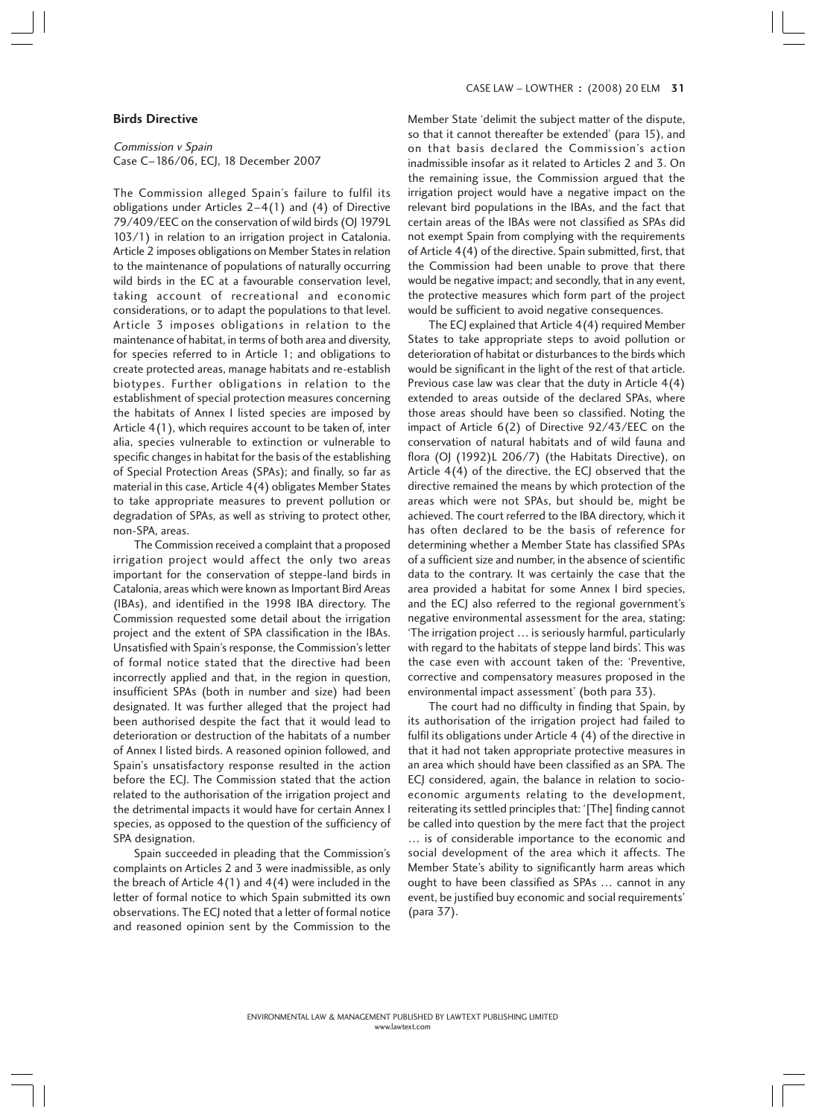## **Birds Directive**

Commission v Spain Case C–186/06, ECJ, 18 December 2007

The Commission alleged Spain's failure to fulfil its obligations under Articles 2–4(1) and (4) of Directive 79/409/EEC on the conservation of wild birds (OJ 1979L 103/1) in relation to an irrigation project in Catalonia. Article 2 imposes obligations on Member States in relation to the maintenance of populations of naturally occurring wild birds in the EC at a favourable conservation level, taking account of recreational and economic considerations, or to adapt the populations to that level. Article 3 imposes obligations in relation to the maintenance of habitat, in terms of both area and diversity, for species referred to in Article 1; and obligations to create protected areas, manage habitats and re-establish biotypes. Further obligations in relation to the establishment of special protection measures concerning the habitats of Annex I listed species are imposed by Article 4(1), which requires account to be taken of, inter alia, species vulnerable to extinction or vulnerable to specific changes in habitat for the basis of the establishing of Special Protection Areas (SPAs); and finally, so far as material in this case, Article 4(4) obligates Member States to take appropriate measures to prevent pollution or degradation of SPAs, as well as striving to protect other, non-SPA, areas.

The Commission received a complaint that a proposed irrigation project would affect the only two areas important for the conservation of steppe-land birds in Catalonia, areas which were known as Important Bird Areas (IBAs), and identified in the 1998 IBA directory. The Commission requested some detail about the irrigation project and the extent of SPA classification in the IBAs. Unsatisfied with Spain's response, the Commission's letter of formal notice stated that the directive had been incorrectly applied and that, in the region in question, insufficient SPAs (both in number and size) had been designated. It was further alleged that the project had been authorised despite the fact that it would lead to deterioration or destruction of the habitats of a number of Annex I listed birds. A reasoned opinion followed, and Spain's unsatisfactory response resulted in the action before the ECJ. The Commission stated that the action related to the authorisation of the irrigation project and the detrimental impacts it would have for certain Annex I species, as opposed to the question of the sufficiency of SPA designation.

Spain succeeded in pleading that the Commission's complaints on Articles 2 and 3 were inadmissible, as only the breach of Article 4(1) and 4(4) were included in the letter of formal notice to which Spain submitted its own observations. The ECJ noted that a letter of formal notice and reasoned opinion sent by the Commission to the Member State 'delimit the subject matter of the dispute, so that it cannot thereafter be extended' (para 15), and on that basis declared the Commission's action inadmissible insofar as it related to Articles 2 and 3. On the remaining issue, the Commission argued that the irrigation project would have a negative impact on the relevant bird populations in the IBAs, and the fact that certain areas of the IBAs were not classified as SPAs did not exempt Spain from complying with the requirements of Article 4(4) of the directive. Spain submitted, first, that the Commission had been unable to prove that there would be negative impact; and secondly, that in any event, the protective measures which form part of the project would be sufficient to avoid negative consequences.

The ECJ explained that Article 4(4) required Member States to take appropriate steps to avoid pollution or deterioration of habitat or disturbances to the birds which would be significant in the light of the rest of that article. Previous case law was clear that the duty in Article 4(4) extended to areas outside of the declared SPAs, where those areas should have been so classified. Noting the impact of Article 6(2) of Directive 92/43/EEC on the conservation of natural habitats and of wild fauna and flora (OJ (1992)L 206/7) (the Habitats Directive), on Article 4(4) of the directive, the ECJ observed that the directive remained the means by which protection of the areas which were not SPAs, but should be, might be achieved. The court referred to the IBA directory, which it has often declared to be the basis of reference for determining whether a Member State has classified SPAs of a sufficient size and number, in the absence of scientific data to the contrary. It was certainly the case that the area provided a habitat for some Annex I bird species, and the ECJ also referred to the regional government's negative environmental assessment for the area, stating: 'The irrigation project … is seriously harmful, particularly with regard to the habitats of steppe land birds'. This was the case even with account taken of the: 'Preventive, corrective and compensatory measures proposed in the environmental impact assessment' (both para 33).

The court had no difficulty in finding that Spain, by its authorisation of the irrigation project had failed to fulfil its obligations under Article 4 (4) of the directive in that it had not taken appropriate protective measures in an area which should have been classified as an SPA. The ECJ considered, again, the balance in relation to socioeconomic arguments relating to the development, reiterating its settled principles that: '[The] finding cannot be called into question by the mere fact that the project … is of considerable importance to the economic and social development of the area which it affects. The Member State's ability to significantly harm areas which ought to have been classified as SPAs … cannot in any event, be justified buy economic and social requirements' (para 37).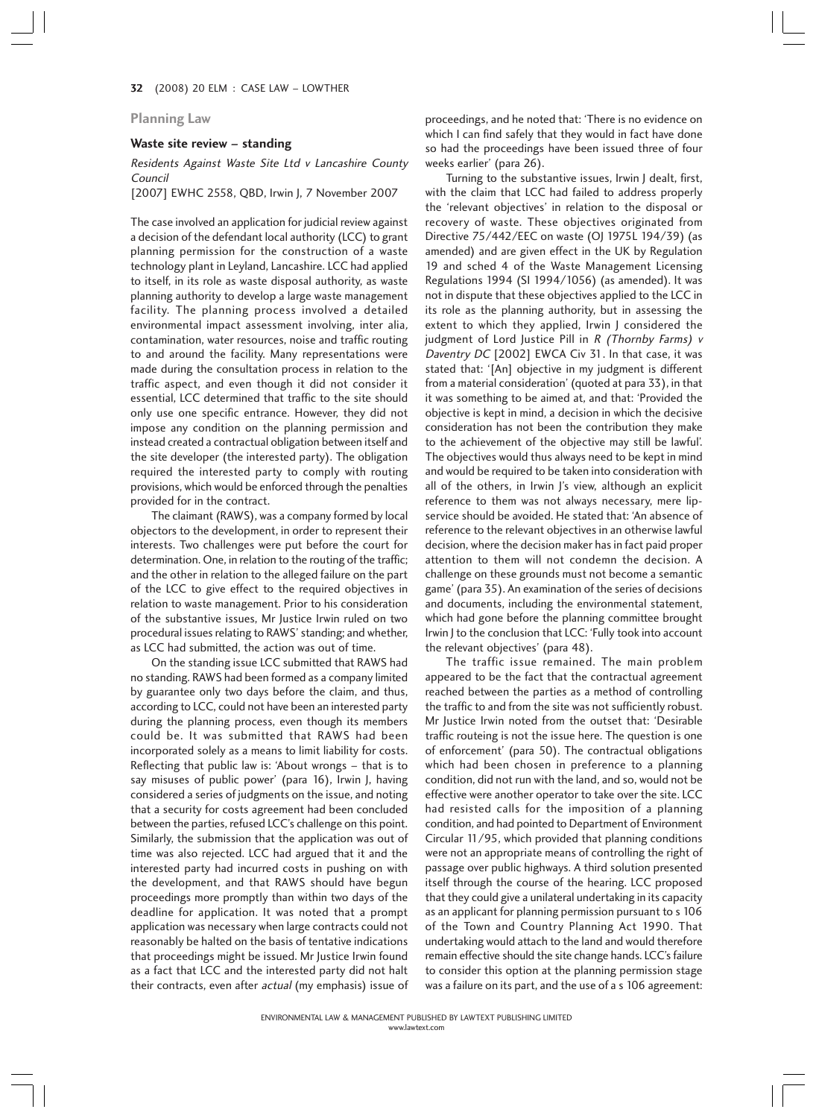32 (2008) 20 ELM : CASE LAW – LOWTHER 2

## **Planning Law**

## **Waste site review – standing**

Residents Against Waste Site Ltd v Lancashire County Council

[2007] EWHC 2558, QBD, Irwin J, 7 November 2007

The case involved an application for judicial review against a decision of the defendant local authority (LCC) to grant planning permission for the construction of a waste technology plant in Leyland, Lancashire. LCC had applied to itself, in its role as waste disposal authority, as waste planning authority to develop a large waste management facility. The planning process involved a detailed environmental impact assessment involving, inter alia, contamination, water resources, noise and traffic routing to and around the facility. Many representations were made during the consultation process in relation to the traffic aspect, and even though it did not consider it essential, LCC determined that traffic to the site should only use one specific entrance. However, they did not impose any condition on the planning permission and instead created a contractual obligation between itself and the site developer (the interested party). The obligation required the interested party to comply with routing provisions, which would be enforced through the penalties provided for in the contract.

The claimant (RAWS), was a company formed by local objectors to the development, in order to represent their interests. Two challenges were put before the court for determination. One, in relation to the routing of the traffic; and the other in relation to the alleged failure on the part of the LCC to give effect to the required objectives in relation to waste management. Prior to his consideration of the substantive issues, Mr Justice Irwin ruled on two procedural issues relating to RAWS' standing; and whether, as LCC had submitted, the action was out of time.

On the standing issue LCC submitted that RAWS had no standing. RAWS had been formed as a company limited by guarantee only two days before the claim, and thus, according to LCC, could not have been an interested party during the planning process, even though its members could be. It was submitted that RAWS had been incorporated solely as a means to limit liability for costs. Reflecting that public law is: 'About wrongs – that is to say misuses of public power' (para 16), Irwin J, having considered a series of judgments on the issue, and noting that a security for costs agreement had been concluded between the parties, refused LCC's challenge on this point. Similarly, the submission that the application was out of time was also rejected. LCC had argued that it and the interested party had incurred costs in pushing on with the development, and that RAWS should have begun proceedings more promptly than within two days of the deadline for application. It was noted that a prompt application was necessary when large contracts could not reasonably be halted on the basis of tentative indications that proceedings might be issued. Mr Justice Irwin found as a fact that LCC and the interested party did not halt their contracts, even after *actual* (my emphasis) issue of proceedings, and he noted that: 'There is no evidence on which I can find safely that they would in fact have done so had the proceedings have been issued three of four weeks earlier' (para 26).

Turning to the substantive issues, Irwin J dealt, first, with the claim that LCC had failed to address properly the 'relevant objectives' in relation to the disposal or recovery of waste. These objectives originated from Directive 75/442/EEC on waste (OJ 1975L 194/39) (as amended) and are given effect in the UK by Regulation 19 and sched 4 of the Waste Management Licensing Regulations 1994 (SI 1994/1056) (as amended). It was not in dispute that these objectives applied to the LCC in its role as the planning authority, but in assessing the extent to which they applied, Irwin J considered the judgment of Lord Justice Pill in  $R$  (Thornby Farms) v Daventry DC [2002] EWCA Civ 31. In that case, it was stated that: '[An] objective in my judgment is different from a material consideration' (quoted at para 33), in that it was something to be aimed at, and that: 'Provided the objective is kept in mind, a decision in which the decisive consideration has not been the contribution they make to the achievement of the objective may still be lawful'. The objectives would thus always need to be kept in mind and would be required to be taken into consideration with all of the others, in Irwin J's view, although an explicit reference to them was not always necessary, mere lipservice should be avoided. He stated that: 'An absence of reference to the relevant objectives in an otherwise lawful decision, where the decision maker has in fact paid proper attention to them will not condemn the decision. A challenge on these grounds must not become a semantic game' (para 35). An examination of the series of decisions and documents, including the environmental statement, which had gone before the planning committee brought Irwin J to the conclusion that LCC: 'Fully took into account the relevant objectives' (para 48).

The traffic issue remained. The main problem appeared to be the fact that the contractual agreement reached between the parties as a method of controlling the traffic to and from the site was not sufficiently robust. Mr Justice Irwin noted from the outset that: 'Desirable traffic routeing is not the issue here. The question is one of enforcement' (para 50). The contractual obligations which had been chosen in preference to a planning condition, did not run with the land, and so, would not be effective were another operator to take over the site. LCC had resisted calls for the imposition of a planning condition, and had pointed to Department of Environment Circular 11/95, which provided that planning conditions were not an appropriate means of controlling the right of passage over public highways. A third solution presented itself through the course of the hearing. LCC proposed that they could give a unilateral undertaking in its capacity as an applicant for planning permission pursuant to s 106 of the Town and Country Planning Act 1990. That undertaking would attach to the land and would therefore remain effective should the site change hands. LCC's failure to consider this option at the planning permission stage was a failure on its part, and the use of a s 106 agreement: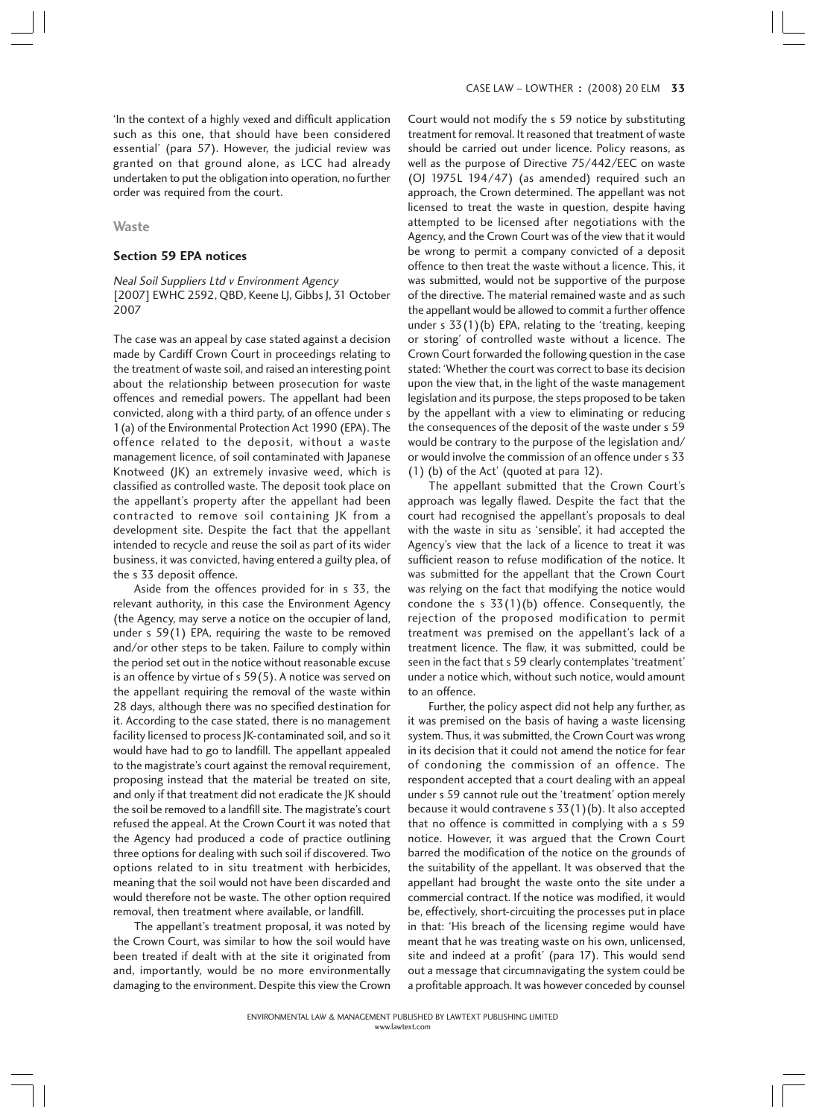'In the context of a highly vexed and difficult application such as this one, that should have been considered essential' (para 57). However, the judicial review was granted on that ground alone, as LCC had already undertaken to put the obligation into operation, no further order was required from the court.

#### **Waste**

#### **Section 59 EPA notices**

## Neal Soil Suppliers Ltd v Environment Agency [2007] EWHC 2592, QBD, Keene LJ, Gibbs J, 31 October 2007

The case was an appeal by case stated against a decision made by Cardiff Crown Court in proceedings relating to the treatment of waste soil, and raised an interesting point about the relationship between prosecution for waste offences and remedial powers. The appellant had been convicted, along with a third party, of an offence under s 1(a) of the Environmental Protection Act 1990 (EPA). The offence related to the deposit, without a waste management licence, of soil contaminated with Japanese Knotweed (JK) an extremely invasive weed, which is classified as controlled waste. The deposit took place on the appellant's property after the appellant had been contracted to remove soil containing JK from a development site. Despite the fact that the appellant intended to recycle and reuse the soil as part of its wider business, it was convicted, having entered a guilty plea, of the s 33 deposit offence.

Aside from the offences provided for in s 33, the relevant authority, in this case the Environment Agency (the Agency, may serve a notice on the occupier of land, under s 59(1) EPA, requiring the waste to be removed and/or other steps to be taken. Failure to comply within the period set out in the notice without reasonable excuse is an offence by virtue of s 59(5). A notice was served on the appellant requiring the removal of the waste within 28 days, although there was no specified destination for it. According to the case stated, there is no management facility licensed to process JK-contaminated soil, and so it would have had to go to landfill. The appellant appealed to the magistrate's court against the removal requirement, proposing instead that the material be treated on site, and only if that treatment did not eradicate the JK should the soil be removed to a landfill site. The magistrate's court refused the appeal. At the Crown Court it was noted that the Agency had produced a code of practice outlining three options for dealing with such soil if discovered. Two options related to in situ treatment with herbicides, meaning that the soil would not have been discarded and would therefore not be waste. The other option required removal, then treatment where available, or landfill.

The appellant's treatment proposal, it was noted by the Crown Court, was similar to how the soil would have been treated if dealt with at the site it originated from and, importantly, would be no more environmentally damaging to the environment. Despite this view the Crown Court would not modify the s 59 notice by substituting treatment for removal. It reasoned that treatment of waste should be carried out under licence. Policy reasons, as well as the purpose of Directive 75/442/EEC on waste (OJ 1975L 194/47) (as amended) required such an approach, the Crown determined. The appellant was not licensed to treat the waste in question, despite having attempted to be licensed after negotiations with the Agency, and the Crown Court was of the view that it would be wrong to permit a company convicted of a deposit offence to then treat the waste without a licence. This, it was submitted, would not be supportive of the purpose of the directive. The material remained waste and as such the appellant would be allowed to commit a further offence under s 33(1)(b) EPA, relating to the 'treating, keeping or storing' of controlled waste without a licence. The Crown Court forwarded the following question in the case stated: 'Whether the court was correct to base its decision upon the view that, in the light of the waste management legislation and its purpose, the steps proposed to be taken by the appellant with a view to eliminating or reducing the consequences of the deposit of the waste under s 59 would be contrary to the purpose of the legislation and/ or would involve the commission of an offence under s 33 (1) (b) of the Act' (quoted at para 12).

The appellant submitted that the Crown Court's approach was legally flawed. Despite the fact that the court had recognised the appellant's proposals to deal with the waste in situ as 'sensible', it had accepted the Agency's view that the lack of a licence to treat it was sufficient reason to refuse modification of the notice. It was submitted for the appellant that the Crown Court was relying on the fact that modifying the notice would condone the s  $33(1)(b)$  offence. Consequently, the rejection of the proposed modification to permit treatment was premised on the appellant's lack of a treatment licence. The flaw, it was submitted, could be seen in the fact that s 59 clearly contemplates 'treatment' under a notice which, without such notice, would amount to an offence.

Further, the policy aspect did not help any further, as it was premised on the basis of having a waste licensing system. Thus, it was submitted, the Crown Court was wrong in its decision that it could not amend the notice for fear of condoning the commission of an offence. The respondent accepted that a court dealing with an appeal under s 59 cannot rule out the 'treatment' option merely because it would contravene s 33(1)(b). It also accepted that no offence is committed in complying with a s 59 notice. However, it was argued that the Crown Court barred the modification of the notice on the grounds of the suitability of the appellant. It was observed that the appellant had brought the waste onto the site under a commercial contract. If the notice was modified, it would be, effectively, short-circuiting the processes put in place in that: 'His breach of the licensing regime would have meant that he was treating waste on his own, unlicensed, site and indeed at a profit' (para 17). This would send out a message that circumnavigating the system could be a profitable approach. It was however conceded by counsel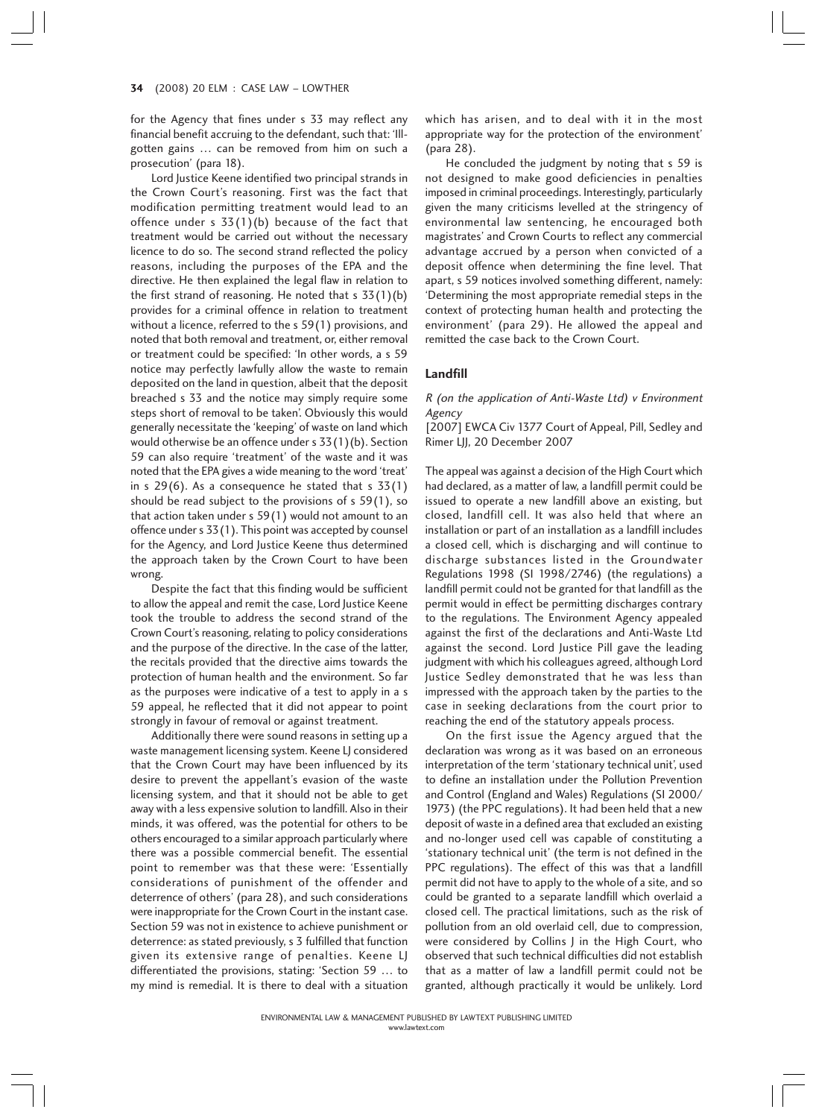#### 34 (2008) 20 ELM : CASE LAW – LOWTHER 4

for the Agency that fines under s 33 may reflect any financial benefit accruing to the defendant, such that: 'Illgotten gains … can be removed from him on such a prosecution' (para 18).

Lord Justice Keene identified two principal strands in the Crown Court's reasoning. First was the fact that modification permitting treatment would lead to an offence under s  $33(1)(b)$  because of the fact that treatment would be carried out without the necessary licence to do so. The second strand reflected the policy reasons, including the purposes of the EPA and the directive. He then explained the legal flaw in relation to the first strand of reasoning. He noted that  $s$  33(1)(b) provides for a criminal offence in relation to treatment without a licence, referred to the s 59(1) provisions, and noted that both removal and treatment, or, either removal or treatment could be specified: 'In other words, a s 59 notice may perfectly lawfully allow the waste to remain deposited on the land in question, albeit that the deposit breached s 33 and the notice may simply require some steps short of removal to be taken'. Obviously this would generally necessitate the 'keeping' of waste on land which would otherwise be an offence under s 33(1)(b). Section 59 can also require 'treatment' of the waste and it was noted that the EPA gives a wide meaning to the word 'treat' in s  $29(6)$ . As a consequence he stated that s  $33(1)$ should be read subject to the provisions of s 59(1), so that action taken under s 59(1) would not amount to an offence under s 33(1). This point was accepted by counsel for the Agency, and Lord Justice Keene thus determined the approach taken by the Crown Court to have been wrong.

Despite the fact that this finding would be sufficient to allow the appeal and remit the case, Lord Justice Keene took the trouble to address the second strand of the Crown Court's reasoning, relating to policy considerations and the purpose of the directive. In the case of the latter, the recitals provided that the directive aims towards the protection of human health and the environment. So far as the purposes were indicative of a test to apply in a s 59 appeal, he reflected that it did not appear to point strongly in favour of removal or against treatment.

Additionally there were sound reasons in setting up a waste management licensing system. Keene LJ considered that the Crown Court may have been influenced by its desire to prevent the appellant's evasion of the waste licensing system, and that it should not be able to get away with a less expensive solution to landfill. Also in their minds, it was offered, was the potential for others to be others encouraged to a similar approach particularly where there was a possible commercial benefit. The essential point to remember was that these were: 'Essentially considerations of punishment of the offender and deterrence of others' (para 28), and such considerations were inappropriate for the Crown Court in the instant case. Section 59 was not in existence to achieve punishment or deterrence: as stated previously, s 3 fulfilled that function given its extensive range of penalties. Keene LJ differentiated the provisions, stating: 'Section 59 … to my mind is remedial. It is there to deal with a situation

which has arisen, and to deal with it in the most appropriate way for the protection of the environment' (para 28).

He concluded the judgment by noting that s 59 is not designed to make good deficiencies in penalties imposed in criminal proceedings. Interestingly, particularly given the many criticisms levelled at the stringency of environmental law sentencing, he encouraged both magistrates' and Crown Courts to reflect any commercial advantage accrued by a person when convicted of a deposit offence when determining the fine level. That apart, s 59 notices involved something different, namely: 'Determining the most appropriate remedial steps in the context of protecting human health and protecting the environment' (para 29). He allowed the appeal and remitted the case back to the Crown Court.

## **Landfill**

## R (on the application of Anti-Waste Ltd) v Environment Agency

[2007] EWCA Civ 1377 Court of Appeal, Pill, Sedley and Rimer LJJ, 20 December 2007

The appeal was against a decision of the High Court which had declared, as a matter of law, a landfill permit could be issued to operate a new landfill above an existing, but closed, landfill cell. It was also held that where an installation or part of an installation as a landfill includes a closed cell, which is discharging and will continue to discharge substances listed in the Groundwater Regulations 1998 (SI 1998/2746) (the regulations) a landfill permit could not be granted for that landfill as the permit would in effect be permitting discharges contrary to the regulations. The Environment Agency appealed against the first of the declarations and Anti-Waste Ltd against the second. Lord Justice Pill gave the leading judgment with which his colleagues agreed, although Lord Justice Sedley demonstrated that he was less than impressed with the approach taken by the parties to the case in seeking declarations from the court prior to reaching the end of the statutory appeals process.

On the first issue the Agency argued that the declaration was wrong as it was based on an erroneous interpretation of the term 'stationary technical unit', used to define an installation under the Pollution Prevention and Control (England and Wales) Regulations (SI 2000/ 1973) (the PPC regulations). It had been held that a new deposit of waste in a defined area that excluded an existing and no-longer used cell was capable of constituting a 'stationary technical unit' (the term is not defined in the PPC regulations). The effect of this was that a landfill permit did not have to apply to the whole of a site, and so could be granted to a separate landfill which overlaid a closed cell. The practical limitations, such as the risk of pollution from an old overlaid cell, due to compression, were considered by Collins J in the High Court, who observed that such technical difficulties did not establish that as a matter of law a landfill permit could not be granted, although practically it would be unlikely. Lord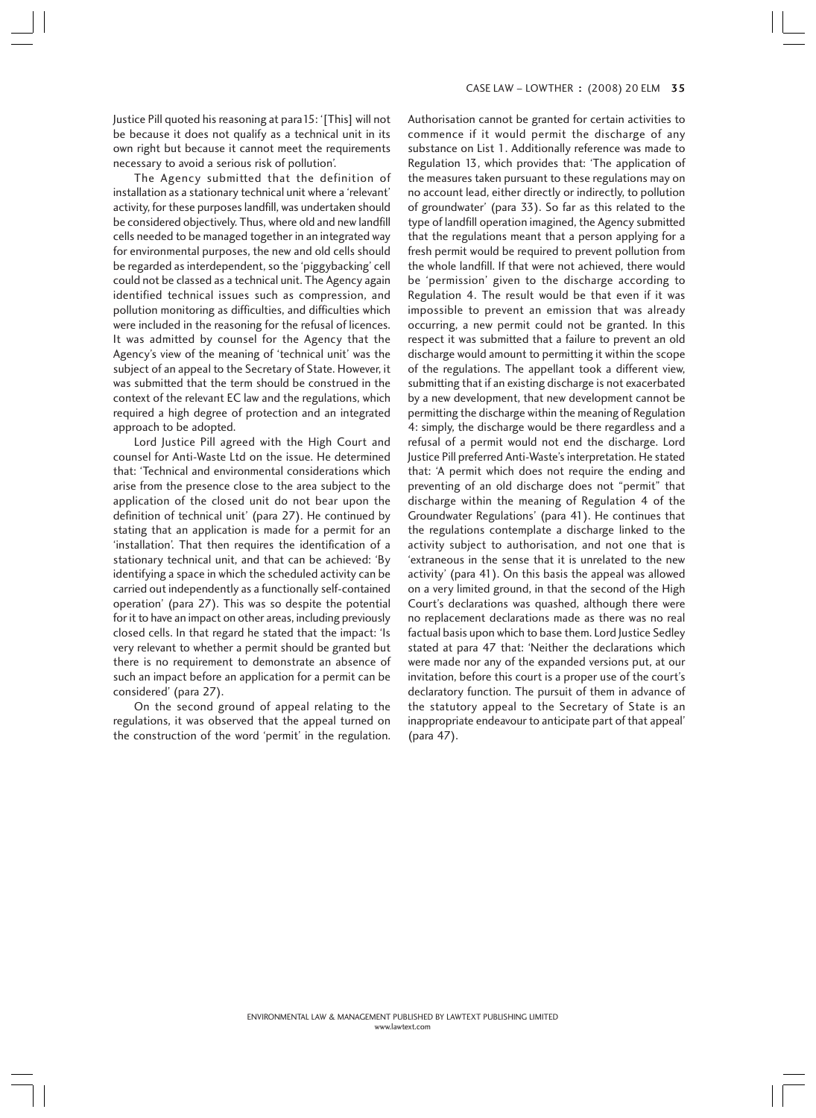Justice Pill quoted his reasoning at para15: '[This] will not be because it does not qualify as a technical unit in its own right but because it cannot meet the requirements necessary to avoid a serious risk of pollution'.

The Agency submitted that the definition of installation as a stationary technical unit where a 'relevant' activity, for these purposes landfill, was undertaken should be considered objectively. Thus, where old and new landfill cells needed to be managed together in an integrated way for environmental purposes, the new and old cells should be regarded as interdependent, so the 'piggybacking' cell could not be classed as a technical unit. The Agency again identified technical issues such as compression, and pollution monitoring as difficulties, and difficulties which were included in the reasoning for the refusal of licences. It was admitted by counsel for the Agency that the Agency's view of the meaning of 'technical unit' was the subject of an appeal to the Secretary of State. However, it was submitted that the term should be construed in the context of the relevant EC law and the regulations, which required a high degree of protection and an integrated approach to be adopted.

Lord Justice Pill agreed with the High Court and counsel for Anti-Waste Ltd on the issue. He determined that: 'Technical and environmental considerations which arise from the presence close to the area subject to the application of the closed unit do not bear upon the definition of technical unit' (para 27). He continued by stating that an application is made for a permit for an 'installation'. That then requires the identification of a stationary technical unit, and that can be achieved: 'By identifying a space in which the scheduled activity can be carried out independently as a functionally self-contained operation' (para 27). This was so despite the potential for it to have an impact on other areas, including previously closed cells. In that regard he stated that the impact: 'Is very relevant to whether a permit should be granted but there is no requirement to demonstrate an absence of such an impact before an application for a permit can be considered' (para 27).

On the second ground of appeal relating to the regulations, it was observed that the appeal turned on the construction of the word 'permit' in the regulation. Authorisation cannot be granted for certain activities to commence if it would permit the discharge of any substance on List 1. Additionally reference was made to Regulation 13, which provides that: 'The application of the measures taken pursuant to these regulations may on no account lead, either directly or indirectly, to pollution of groundwater' (para 33). So far as this related to the type of landfill operation imagined, the Agency submitted that the regulations meant that a person applying for a fresh permit would be required to prevent pollution from the whole landfill. If that were not achieved, there would be 'permission' given to the discharge according to Regulation 4. The result would be that even if it was impossible to prevent an emission that was already occurring, a new permit could not be granted. In this respect it was submitted that a failure to prevent an old discharge would amount to permitting it within the scope of the regulations. The appellant took a different view, submitting that if an existing discharge is not exacerbated by a new development, that new development cannot be permitting the discharge within the meaning of Regulation 4: simply, the discharge would be there regardless and a refusal of a permit would not end the discharge. Lord Justice Pill preferred Anti-Waste's interpretation. He stated that: 'A permit which does not require the ending and preventing of an old discharge does not "permit" that discharge within the meaning of Regulation 4 of the Groundwater Regulations' (para 41). He continues that the regulations contemplate a discharge linked to the activity subject to authorisation, and not one that is 'extraneous in the sense that it is unrelated to the new activity' (para 41). On this basis the appeal was allowed on a very limited ground, in that the second of the High Court's declarations was quashed, although there were no replacement declarations made as there was no real factual basis upon which to base them. Lord Justice Sedley stated at para 47 that: 'Neither the declarations which were made nor any of the expanded versions put, at our invitation, before this court is a proper use of the court's declaratory function. The pursuit of them in advance of the statutory appeal to the Secretary of State is an inappropriate endeavour to anticipate part of that appeal' (para 47).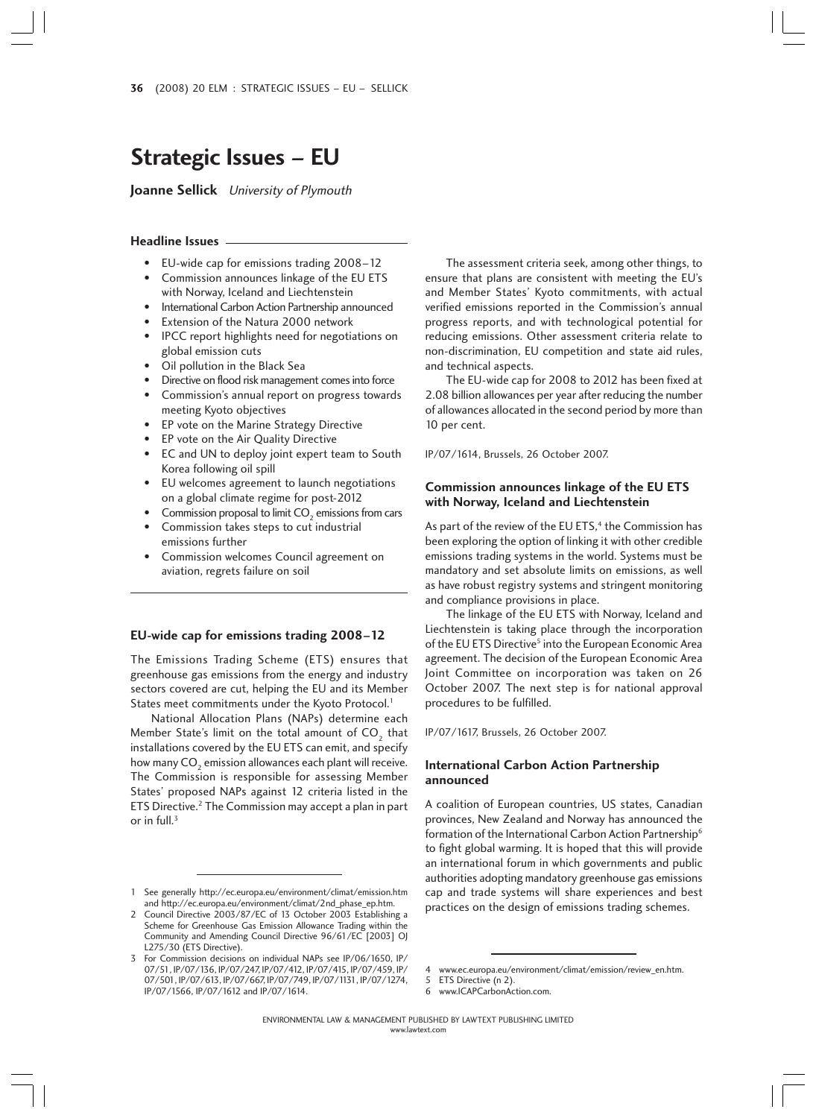# **Strategic Issues – EU**

**Joanne Sellick** University of Plymouth

#### **Headline Issues**

- EU-wide cap for emissions trading 2008–12
- Commission announces linkage of the EU ETS with Norway, Iceland and Liechtenstein
- International Carbon Action Partnership announced
- Extension of the Natura 2000 network
- IPCC report highlights need for negotiations on global emission cuts
- Oil pollution in the Black Sea
- Directive on flood risk management comes into force
- Commission's annual report on progress towards meeting Kyoto objectives
- EP vote on the Marine Strategy Directive
- EP vote on the Air Quality Directive
- EC and UN to deploy joint expert team to South Korea following oil spill
- EU welcomes agreement to launch negotiations on a global climate regime for post-2012
- Commission proposal to limit  $CO<sub>2</sub>$  emissions from cars • Commission takes steps to cut industrial
- emissions further
- Commission welcomes Council agreement on aviation, regrets failure on soil

#### **EU-wide cap for emissions trading 2008–12**

The Emissions Trading Scheme (ETS) ensures that greenhouse gas emissions from the energy and industry sectors covered are cut, helping the EU and its Member States meet commitments under the Kyoto Protocol.<sup>1</sup>

National Allocation Plans (NAPs) determine each Member State's limit on the total amount of  $CO<sub>2</sub>$  that installations covered by the EU ETS can emit, and specify how many  $CO<sub>2</sub>$  emission allowances each plant will receive. The Commission is responsible for assessing Member States' proposed NAPs against 12 criteria listed in the ETS Directive.2 The Commission may accept a plan in part or in full. $3$ 

The assessment criteria seek, among other things, to ensure that plans are consistent with meeting the EU's and Member States' Kyoto commitments, with actual verified emissions reported in the Commission's annual progress reports, and with technological potential for reducing emissions. Other assessment criteria relate to non-discrimination, EU competition and state aid rules, and technical aspects.

The EU-wide cap for 2008 to 2012 has been fixed at 2.08 billion allowances per year after reducing the number of allowances allocated in the second period by more than 10 per cent.

IP/07/1614, Brussels, 26 October 2007.

## **Commission announces linkage of the EU ETS with Norway, Iceland and Liechtenstein**

As part of the review of the EU ETS,<sup>4</sup> the Commission has been exploring the option of linking it with other credible emissions trading systems in the world. Systems must be mandatory and set absolute limits on emissions, as well as have robust registry systems and stringent monitoring and compliance provisions in place.

The linkage of the EU ETS with Norway, Iceland and Liechtenstein is taking place through the incorporation of the EU ETS Directive<sup>5</sup> into the European Economic Area agreement. The decision of the European Economic Area Joint Committee on incorporation was taken on 26 October 2007. The next step is for national approval procedures to be fulfilled.

#### IP/07/1617, Brussels, 26 October 2007.

## **International Carbon Action Partnership announced**

A coalition of European countries, US states, Canadian provinces, New Zealand and Norway has announced the formation of the International Carbon Action Partnership<sup>6</sup> to fight global warming. It is hoped that this will provide an international forum in which governments and public authorities adopting mandatory greenhouse gas emissions cap and trade systems will share experiences and best practices on the design of emissions trading schemes.

<sup>1</sup> See generally http://ec.europa.eu/environment/climat/emission.htm and http://ec.europa.eu/environment/climat/2nd\_phase\_ep.htm.

<sup>2</sup> Council Directive 2003/87/EC of 13 October 2003 Establishing a Scheme for Greenhouse Gas Emission Allowance Trading within the Community and Amending Council Directive 96/61/EC [2003] OJ L275/30 (ETS Directive).

<sup>3</sup> For Commission decisions on individual NAPs see IP/06/1650, IP/ 07/51, IP/07/136, IP/07/247, IP/07/412, IP/07/415, IP/07/459, IP/ 07/501, IP/07/613, IP/07/667, IP/07/749, IP/07/1131, IP/07/1274, IP/07/1566, IP/07/1612 and IP/07/1614.

www.ec.europa.eu/environment/climat/emission/review\_en.htm.

<sup>5</sup> ETS Directive (n 2)<br>6 www.ICAPCarbonAo www.ICAPCarbonAction.com.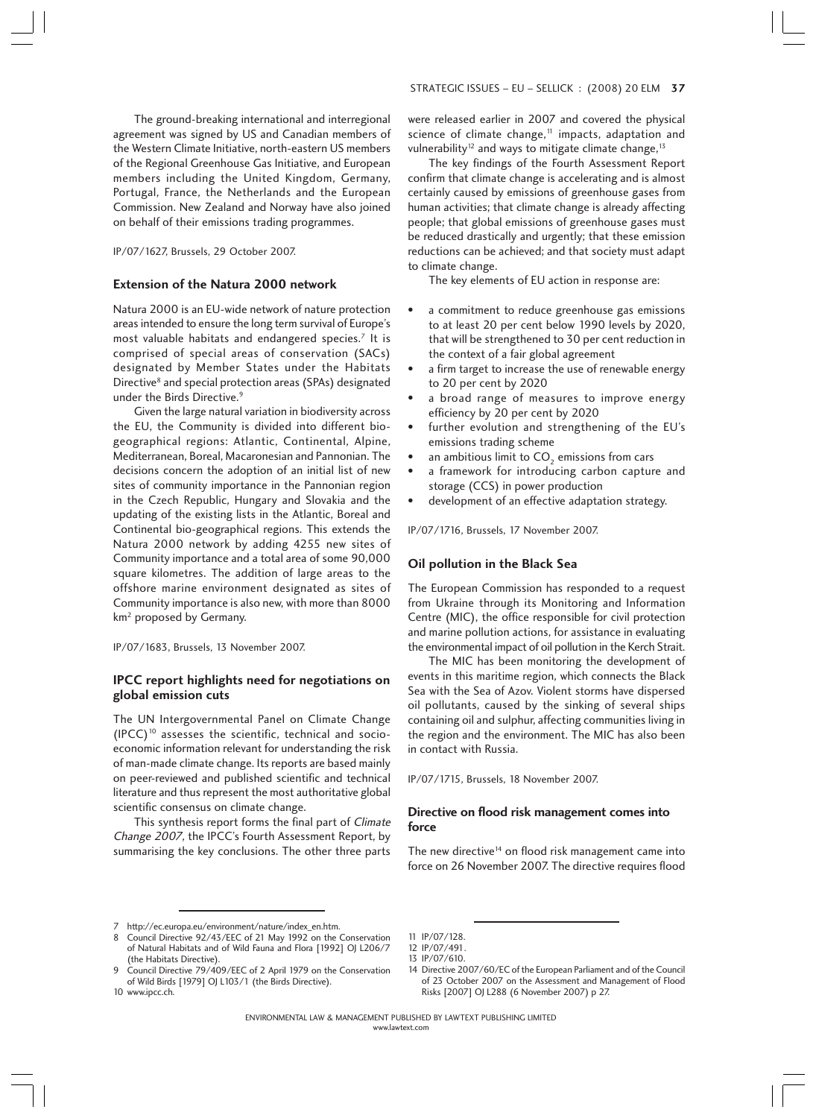The ground-breaking international and interregional agreement was signed by US and Canadian members of the Western Climate Initiative, north-eastern US members of the Regional Greenhouse Gas Initiative, and European members including the United Kingdom, Germany, Portugal, France, the Netherlands and the European Commission. New Zealand and Norway have also joined on behalf of their emissions trading programmes.

IP/07/1627, Brussels, 29 October 2007.

## **Extension of the Natura 2000 network**

Natura 2000 is an EU-wide network of nature protection areas intended to ensure the long term survival of Europe's most valuable habitats and endangered species.7 It is comprised of special areas of conservation (SACs) designated by Member States under the Habitats Directive<sup>8</sup> and special protection areas (SPAs) designated under the Birds Directive.<sup>9</sup>

Given the large natural variation in biodiversity across the EU, the Community is divided into different biogeographical regions: Atlantic, Continental, Alpine, Mediterranean, Boreal, Macaronesian and Pannonian. The decisions concern the adoption of an initial list of new sites of community importance in the Pannonian region in the Czech Republic, Hungary and Slovakia and the updating of the existing lists in the Atlantic, Boreal and Continental bio-geographical regions. This extends the Natura 2000 network by adding 4255 new sites of Community importance and a total area of some 90,000 square kilometres. The addition of large areas to the offshore marine environment designated as sites of Community importance is also new, with more than 8000 km<sup>2</sup> proposed by Germany.

IP/07/1683, Brussels, 13 November 2007.

## **IPCC report highlights need for negotiations on global emission cuts**

The UN Intergovernmental Panel on Climate Change  $(IPCC)^{10}$  assesses the scientific, technical and socioeconomic information relevant for understanding the risk of man-made climate change. Its reports are based mainly on peer-reviewed and published scientific and technical literature and thus represent the most authoritative global scientific consensus on climate change.

This synthesis report forms the final part of Climate Change 2007, the IPCC's Fourth Assessment Report, by summarising the key conclusions. The other three parts were released earlier in 2007 and covered the physical science of climate change, $11$  impacts, adaptation and vulnerability<sup>12</sup> and ways to mitigate climate change,<sup>13</sup>

The key findings of the Fourth Assessment Report confirm that climate change is accelerating and is almost certainly caused by emissions of greenhouse gases from human activities; that climate change is already affecting people; that global emissions of greenhouse gases must be reduced drastically and urgently; that these emission reductions can be achieved; and that society must adapt to climate change.

The key elements of EU action in response are:

- a commitment to reduce greenhouse gas emissions to at least 20 per cent below 1990 levels by 2020, that will be strengthened to 30 per cent reduction in the context of a fair global agreement
- a firm target to increase the use of renewable energy to 20 per cent by 2020
- a broad range of measures to improve energy efficiency by 20 per cent by 2020
- further evolution and strengthening of the EU's emissions trading scheme
- an ambitious limit to CO<sub>2</sub> emissions from cars
- a framework for introducing carbon capture and storage (CCS) in power production
- development of an effective adaptation strategy.

IP/07/1716, Brussels, 17 November 2007.

## **Oil pollution in the Black Sea**

The European Commission has responded to a request from Ukraine through its Monitoring and Information Centre (MIC), the office responsible for civil protection and marine pollution actions, for assistance in evaluating the environmental impact of oil pollution in the Kerch Strait.

The MIC has been monitoring the development of events in this maritime region, which connects the Black Sea with the Sea of Azov. Violent storms have dispersed oil pollutants, caused by the sinking of several ships containing oil and sulphur, affecting communities living in the region and the environment. The MIC has also been in contact with Russia.

IP/07/1715, Brussels, 18 November 2007.

# **Directive on flood risk management comes into force**

The new directive<sup>14</sup> on flood risk management came into force on 26 November 2007. The directive requires flood

10 www.ipcc.ch.

- 
- 14 Directive 2007/60/EC of the European Parliament and of the Council of 23 October 2007 on the Assessment and Management of Flood Risks [2007] OJ L288 (6 November 2007) p 27.

<sup>7</sup> http://ec.europa.eu/environment/nature/index\_en.htm.

<sup>8</sup> Council Directive 92/43/EEC of 21 May 1992 on the Conservation of Natural Habitats and of Wild Fauna and Flora [1992] OJ L206/7 (the Habitats Directive).

<sup>9</sup> Council Directive 79/409/EEC of 2 April 1979 on the Conservation

of Wild Birds [1979] OJ L103/1 (the Birds Directive).

<sup>11</sup> IP/07/128. 12 IP/07/491.

<sup>13</sup> IP/07/610.

ENVIRONMENTAL LAW & MANAGEMENT PUBLISHED BY LAWTEXT PUBLISHING LIMITED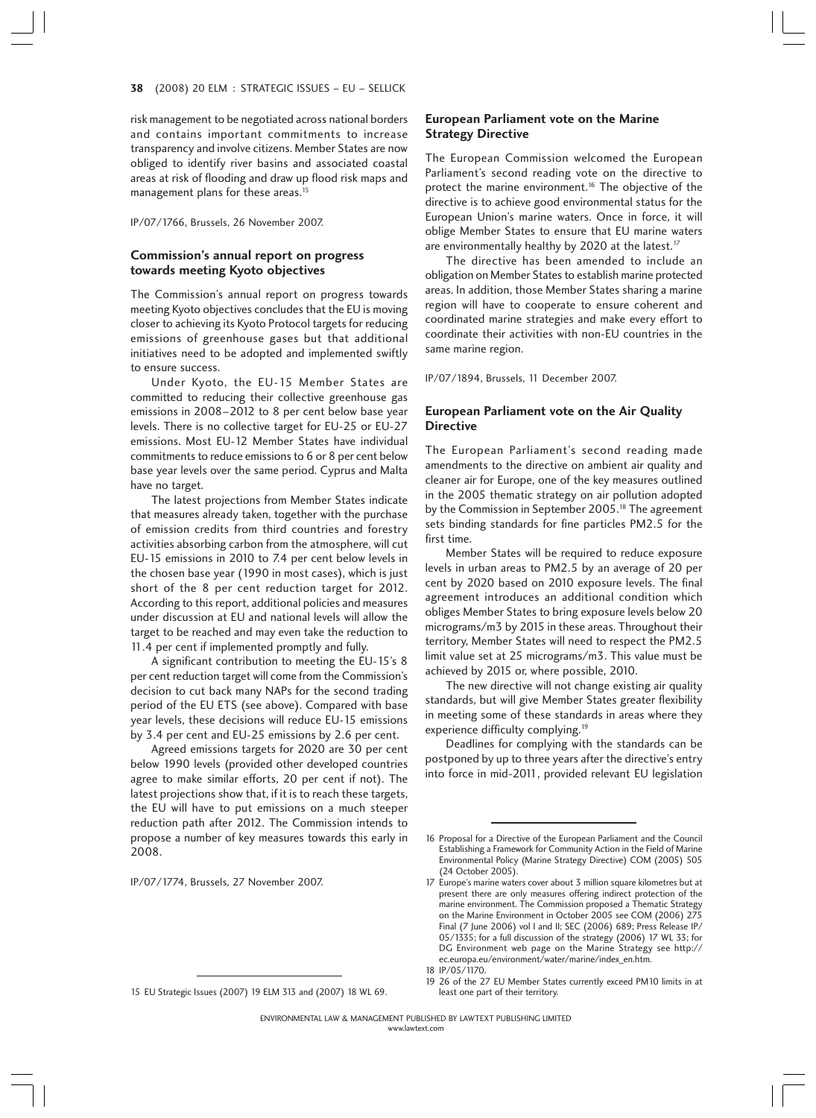risk management to be negotiated across national borders and contains important commitments to increase transparency and involve citizens. Member States are now obliged to identify river basins and associated coastal areas at risk of flooding and draw up flood risk maps and management plans for these areas.<sup>15</sup>

IP/07/1766, Brussels, 26 November 2007.

## **Commission's annual report on progress towards meeting Kyoto objectives**

The Commission's annual report on progress towards meeting Kyoto objectives concludes that the EU is moving closer to achieving its Kyoto Protocol targets for reducing emissions of greenhouse gases but that additional initiatives need to be adopted and implemented swiftly to ensure success.

Under Kyoto, the EU-15 Member States are committed to reducing their collective greenhouse gas emissions in 2008–2012 to 8 per cent below base year levels. There is no collective target for EU-25 or EU-27 emissions. Most EU-12 Member States have individual commitments to reduce emissions to 6 or 8 per cent below base year levels over the same period. Cyprus and Malta have no target.

The latest projections from Member States indicate that measures already taken, together with the purchase of emission credits from third countries and forestry activities absorbing carbon from the atmosphere, will cut EU-15 emissions in 2010 to 7.4 per cent below levels in the chosen base year (1990 in most cases), which is just short of the 8 per cent reduction target for 2012. According to this report, additional policies and measures under discussion at EU and national levels will allow the target to be reached and may even take the reduction to 11.4 per cent if implemented promptly and fully.

A significant contribution to meeting the EU-15's 8 per cent reduction target will come from the Commission's decision to cut back many NAPs for the second trading period of the EU ETS (see above). Compared with base year levels, these decisions will reduce EU-15 emissions by 3.4 per cent and EU-25 emissions by 2.6 per cent.

Agreed emissions targets for 2020 are 30 per cent below 1990 levels (provided other developed countries agree to make similar efforts, 20 per cent if not). The latest projections show that, if it is to reach these targets, the EU will have to put emissions on a much steeper reduction path after 2012. The Commission intends to propose a number of key measures towards this early in 2008.

IP/07/1774, Brussels, 27 November 2007.

## **European Parliament vote on the Marine Strategy Directive**

The European Commission welcomed the European Parliament's second reading vote on the directive to protect the marine environment.<sup>16</sup> The objective of the directive is to achieve good environmental status for the European Union's marine waters. Once in force, it will oblige Member States to ensure that EU marine waters are environmentally healthy by 2020 at the latest.<sup>17</sup>

The directive has been amended to include an obligation on Member States to establish marine protected areas. In addition, those Member States sharing a marine region will have to cooperate to ensure coherent and coordinated marine strategies and make every effort to coordinate their activities with non-EU countries in the same marine region.

IP/07/1894, Brussels, 11 December 2007.

## **European Parliament vote on the Air Quality Directive**

The European Parliament's second reading made amendments to the directive on ambient air quality and cleaner air for Europe, one of the key measures outlined in the 2005 thematic strategy on air pollution adopted by the Commission in September 2005.<sup>18</sup> The agreement sets binding standards for fine particles PM2.5 for the first time.

Member States will be required to reduce exposure levels in urban areas to PM2.5 by an average of 20 per cent by 2020 based on 2010 exposure levels. The final agreement introduces an additional condition which obliges Member States to bring exposure levels below 20 micrograms/m3 by 2015 in these areas. Throughout their territory, Member States will need to respect the PM2.5 limit value set at 25 micrograms/m3. This value must be achieved by 2015 or, where possible, 2010.

The new directive will not change existing air quality standards, but will give Member States greater flexibility in meeting some of these standards in areas where they experience difficulty complying.19

Deadlines for complying with the standards can be postponed by up to three years after the directive's entry into force in mid-2011, provided relevant EU legislation

<sup>15</sup> EU Strategic Issues (2007) 19 ELM 313 and (2007) 18 WL 69.

<sup>16</sup> Proposal for a Directive of the European Parliament and the Council Establishing a Framework for Community Action in the Field of Marine Environmental Policy (Marine Strategy Directive) COM (2005) 505 (24 October 2005).

<sup>17</sup> Europe's marine waters cover about 3 million square kilometres but at present there are only measures offering indirect protection of the marine environment. The Commission proposed a Thematic Strategy on the Marine Environment in October 2005 see COM (2006) 275 Final (7 June 2006) vol I and II; SEC (2006) 689; Press Release IP/ 05/1335; for a full discussion of the strategy (2006) 17 WL 33; for DG Environment web page on the Marine Strategy see http:// ec.europa.eu/environment/water/marine/index\_en.htm.

<sup>18</sup> IP/05/1170.

<sup>19 26</sup> of the 27 EU Member States currently exceed PM10 limits in at least one part of their territory.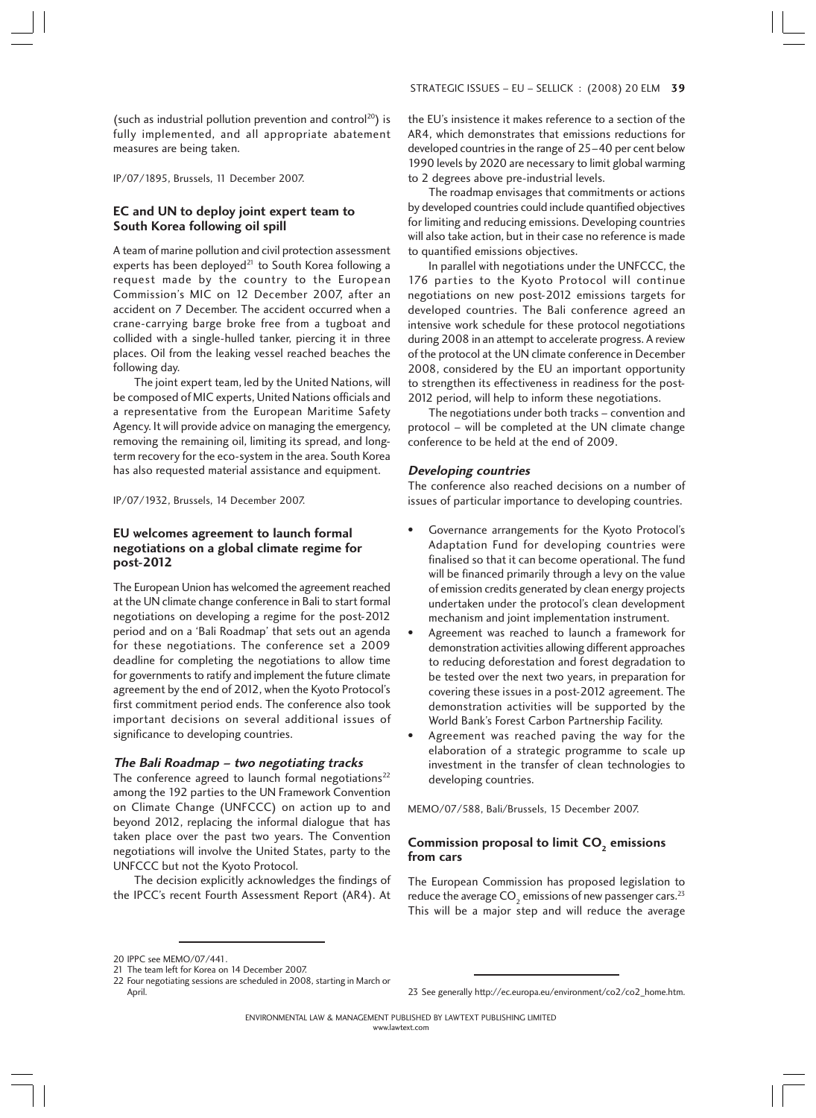(such as industrial pollution prevention and control<sup>20</sup>) is fully implemented, and all appropriate abatement measures are being taken.

IP/07/1895, Brussels, 11 December 2007.

## **EC and UN to deploy joint expert team to South Korea following oil spill**

A team of marine pollution and civil protection assessment experts has been deployed<sup>21</sup> to South Korea following a request made by the country to the European Commission's MIC on 12 December 2007, after an accident on 7 December. The accident occurred when a crane-carrying barge broke free from a tugboat and collided with a single-hulled tanker, piercing it in three places. Oil from the leaking vessel reached beaches the following day.

The joint expert team, led by the United Nations, will be composed of MIC experts, United Nations officials and a representative from the European Maritime Safety Agency. It will provide advice on managing the emergency, removing the remaining oil, limiting its spread, and longterm recovery for the eco-system in the area. South Korea has also requested material assistance and equipment.

IP/07/1932, Brussels, 14 December 2007.

## **EU welcomes agreement to launch formal negotiations on a global climate regime for post-2012**

The European Union has welcomed the agreement reached at the UN climate change conference in Bali to start formal negotiations on developing a regime for the post-2012 period and on a 'Bali Roadmap' that sets out an agenda for these negotiations. The conference set a 2009 deadline for completing the negotiations to allow time for governments to ratify and implement the future climate agreement by the end of 2012, when the Kyoto Protocol's first commitment period ends. The conference also took important decisions on several additional issues of significance to developing countries.

#### **The Bali Roadmap – two negotiating tracks**

The conference agreed to launch formal negotiations<sup>22</sup> among the 192 parties to the UN Framework Convention on Climate Change (UNFCCC) on action up to and beyond 2012, replacing the informal dialogue that has taken place over the past two years. The Convention negotiations will involve the United States, party to the UNFCCC but not the Kyoto Protocol.

The decision explicitly acknowledges the findings of the IPCC's recent Fourth Assessment Report (AR4). At the EU's insistence it makes reference to a section of the AR4, which demonstrates that emissions reductions for developed countries in the range of 25–40 per cent below 1990 levels by 2020 are necessary to limit global warming to 2 degrees above pre-industrial levels.

The roadmap envisages that commitments or actions by developed countries could include quantified objectives for limiting and reducing emissions. Developing countries will also take action, but in their case no reference is made to quantified emissions objectives.

In parallel with negotiations under the UNFCCC, the 176 parties to the Kyoto Protocol will continue negotiations on new post-2012 emissions targets for developed countries. The Bali conference agreed an intensive work schedule for these protocol negotiations during 2008 in an attempt to accelerate progress. A review of the protocol at the UN climate conference in December 2008, considered by the EU an important opportunity to strengthen its effectiveness in readiness for the post-2012 period, will help to inform these negotiations.

The negotiations under both tracks – convention and protocol – will be completed at the UN climate change conference to be held at the end of 2009.

#### **Developing countries**

The conference also reached decisions on a number of issues of particular importance to developing countries.

- Governance arrangements for the Kyoto Protocol's Adaptation Fund for developing countries were finalised so that it can become operational. The fund will be financed primarily through a levy on the value of emission credits generated by clean energy projects undertaken under the protocol's clean development mechanism and joint implementation instrument.
- Agreement was reached to launch a framework for demonstration activities allowing different approaches to reducing deforestation and forest degradation to be tested over the next two years, in preparation for covering these issues in a post-2012 agreement. The demonstration activities will be supported by the World Bank's Forest Carbon Partnership Facility.
- Agreement was reached paving the way for the elaboration of a strategic programme to scale up investment in the transfer of clean technologies to developing countries.

MEMO/07/588, Bali/Brussels, 15 December 2007.

## Commission proposal to limit CO<sub>2</sub> emissions **from cars**

The European Commission has proposed legislation to reduce the average  $CO<sub>2</sub>$  emissions of new passenger cars.<sup>23</sup> This will be a major step and will reduce the average

<sup>20</sup> IPPC see MEMO/07/441.

<sup>21</sup> The team left for Korea on 14 December 2007.

<sup>22</sup> Four negotiating sessions are scheduled in 2008, starting in March or

<sup>23</sup> See generally http://ec.europa.eu/environment/co2/co2\_home.htm.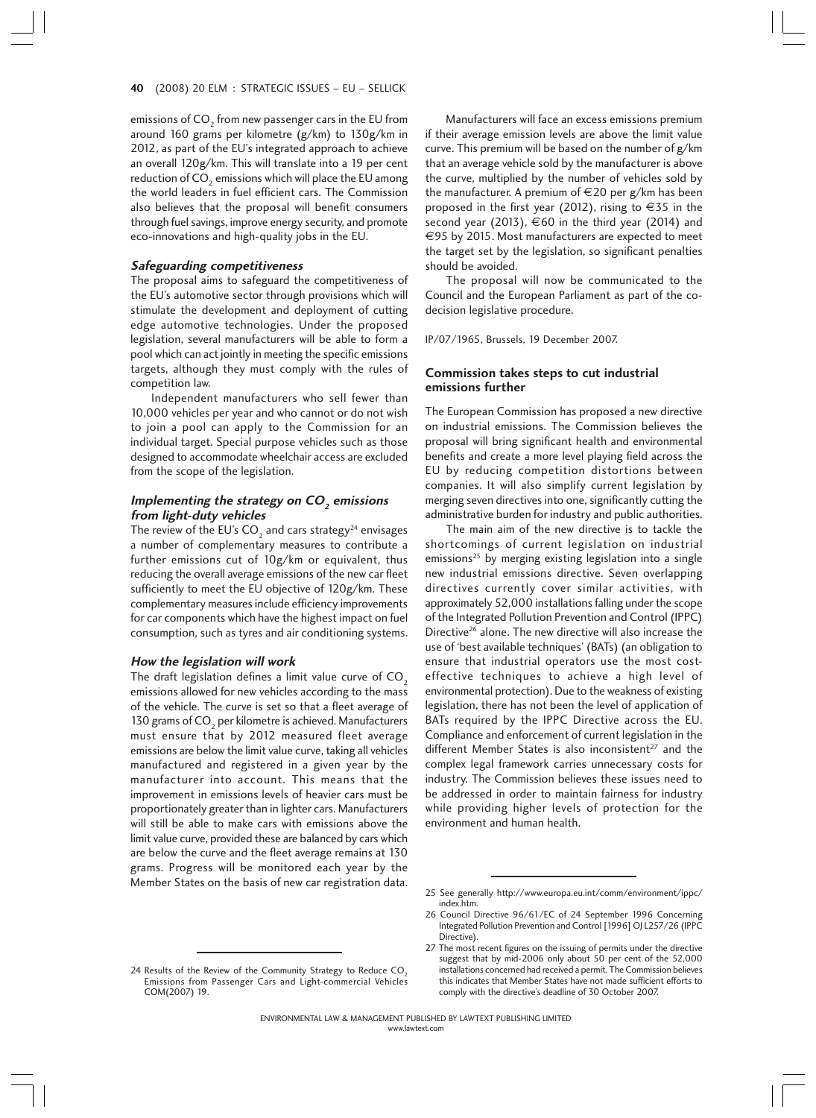#### 40 (2008) 20 ELM : STRATEGIC ISSUES – EU – SELLICK 0

emissions of CO<sub>2</sub> from new passenger cars in the EU from around 160 grams per kilometre (g/km) to 130g/km in 2012, as part of the EU's integrated approach to achieve an overall 120g/km. This will translate into a 19 per cent reduction of CO<sub>2</sub> emissions which will place the EU among the world leaders in fuel efficient cars. The Commission also believes that the proposal will benefit consumers through fuel savings, improve energy security, and promote eco-innovations and high-quality jobs in the EU.

#### **Safeguarding competitiveness**

The proposal aims to safeguard the competitiveness of the EU's automotive sector through provisions which will stimulate the development and deployment of cutting edge automotive technologies. Under the proposed legislation, several manufacturers will be able to form a pool which can act jointly in meeting the specific emissions targets, although they must comply with the rules of competition law.

Independent manufacturers who sell fewer than 10,000 vehicles per year and who cannot or do not wish to join a pool can apply to the Commission for an individual target. Special purpose vehicles such as those designed to accommodate wheelchair access are excluded from the scope of the legislation.

## **Implementing the strategy on CO<sup>2</sup> emissions from light-duty vehicles**

The review of the EU's  $CO<sub>2</sub>$  and cars strategy<sup>24</sup> envisages a number of complementary measures to contribute a further emissions cut of 10g/km or equivalent, thus reducing the overall average emissions of the new car fleet sufficiently to meet the EU objective of 120g/km. These complementary measures include efficiency improvements for car components which have the highest impact on fuel consumption, such as tyres and air conditioning systems.

#### **How the legislation will work**

The draft legislation defines a limit value curve of  $CO<sub>2</sub>$ emissions allowed for new vehicles according to the mass of the vehicle. The curve is set so that a fleet average of 130 grams of  $CO<sub>2</sub>$  per kilometre is achieved. Manufacturers must ensure that by 2012 measured fleet average emissions are below the limit value curve, taking all vehicles manufactured and registered in a given year by the manufacturer into account. This means that the improvement in emissions levels of heavier cars must be proportionately greater than in lighter cars. Manufacturers will still be able to make cars with emissions above the limit value curve, provided these are balanced by cars which are below the curve and the fleet average remains at 130 grams. Progress will be monitored each year by the Member States on the basis of new car registration data.

24 Results of the Review of the Community Strategy to Reduce  $CO<sub>2</sub>$ Emissions from Passenger Cars and Light-commercial Vehicles COM(2007) 19.

Manufacturers will face an excess emissions premium if their average emission levels are above the limit value curve. This premium will be based on the number of g/km that an average vehicle sold by the manufacturer is above the curve, multiplied by the number of vehicles sold by the manufacturer. A premium of  $\epsilon$ 20 per g/km has been proposed in the first year (2012), rising to  $\epsilon$ 35 in the second year (2013),  $\epsilon$ 60 in the third year (2014) and €95 by 2015. Most manufacturers are expected to meet the target set by the legislation, so significant penalties should be avoided.

The proposal will now be communicated to the Council and the European Parliament as part of the codecision legislative procedure.

IP/07/1965, Brussels, 19 December 2007.

#### **Commission takes steps to cut industrial emissions further**

The European Commission has proposed a new directive on industrial emissions. The Commission believes the proposal will bring significant health and environmental benefits and create a more level playing field across the EU by reducing competition distortions between companies. It will also simplify current legislation by merging seven directives into one, significantly cutting the administrative burden for industry and public authorities.

The main aim of the new directive is to tackle the shortcomings of current legislation on industrial emissions<sup>25</sup> by merging existing legislation into a single new industrial emissions directive. Seven overlapping directives currently cover similar activities, with approximately 52,000 installations falling under the scope of the Integrated Pollution Prevention and Control (IPPC) Directive<sup>26</sup> alone. The new directive will also increase the use of 'best available techniques' (BATs) (an obligation to ensure that industrial operators use the most costeffective techniques to achieve a high level of environmental protection). Due to the weakness of existing legislation, there has not been the level of application of BATs required by the IPPC Directive across the EU. Compliance and enforcement of current legislation in the different Member States is also inconsistent $27$  and the complex legal framework carries unnecessary costs for industry. The Commission believes these issues need to be addressed in order to maintain fairness for industry while providing higher levels of protection for the environment and human health.

<sup>25</sup> See generally http://www.europa.eu.int/comm/environment/ippc/ index.htm.

<sup>26</sup> Council Directive 96/61/EC of 24 September 1996 Concerning Integrated Pollution Prevention and Control [1996] OJ L257/26 (IPPC Directive).

<sup>27</sup> The most recent figures on the issuing of permits under the directive suggest that by mid-2006 only about 50 per cent of the 52,000 installations concerned had received a permit. The Commission believes this indicates that Member States have not made sufficient efforts to comply with the directive's deadline of 30 October 2007.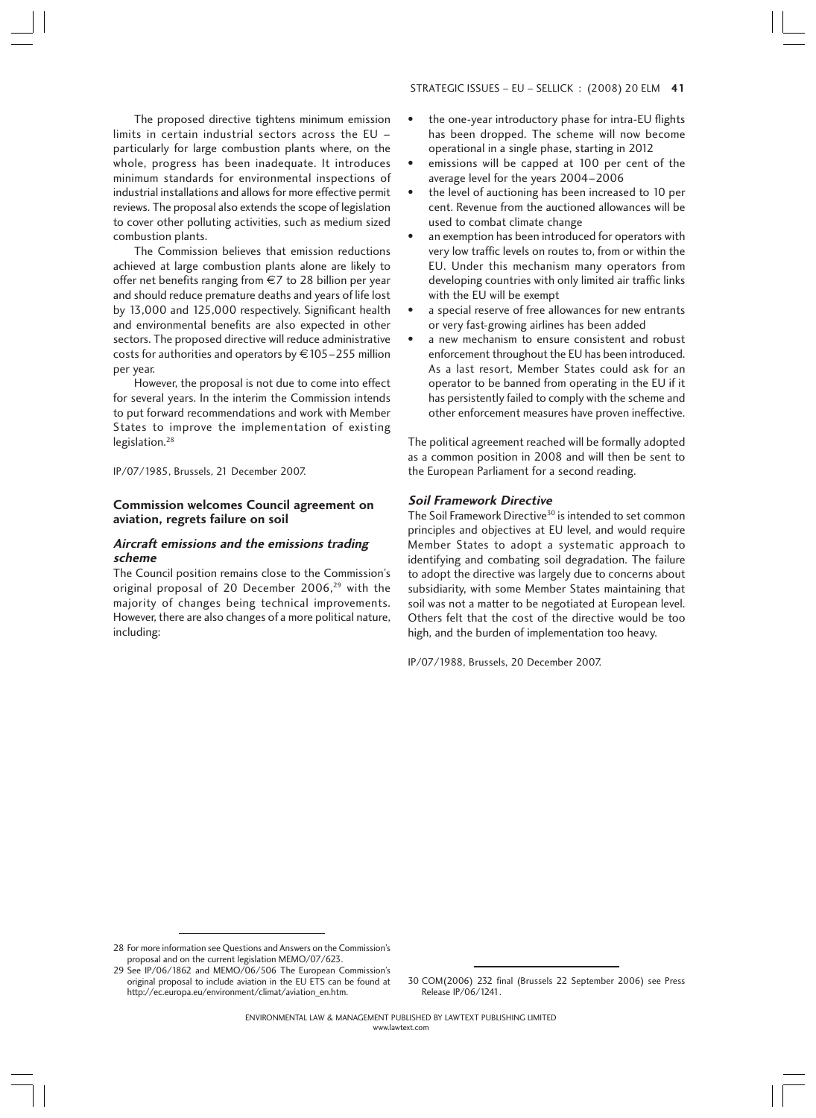# The proposed directive tightens minimum emission limits in certain industrial sectors across the EU – particularly for large combustion plants where, on the whole, progress has been inadequate. It introduces minimum standards for environmental inspections of industrial installations and allows for more effective permit reviews. The proposal also extends the scope of legislation to cover other polluting activities, such as medium sized combustion plants.

The Commission believes that emission reductions achieved at large combustion plants alone are likely to offer net benefits ranging from €7 to 28 billion per year and should reduce premature deaths and years of life lost by 13,000 and 125,000 respectively. Significant health and environmental benefits are also expected in other sectors. The proposed directive will reduce administrative costs for authorities and operators by  $\text{\large\ensuremath{\in}} 105$  – 255 million per year.

However, the proposal is not due to come into effect for several years. In the interim the Commission intends to put forward recommendations and work with Member States to improve the implementation of existing legislation.<sup>28</sup>

IP/07/1985, Brussels, 21 December 2007.

## **Commission welcomes Council agreement on aviation, regrets failure on soil**

## **Aircraft emissions and the emissions trading scheme**

The Council position remains close to the Commission's original proposal of 20 December 2006,<sup>29</sup> with the majority of changes being technical improvements. However, there are also changes of a more political nature, including:

#### STRATEGIC ISSUES – EU – SELLICK : (2008) 20 ELM 41

- the one-year introductory phase for intra-EU flights has been dropped. The scheme will now become operational in a single phase, starting in 2012
- emissions will be capped at 100 per cent of the average level for the years 2004–2006
- the level of auctioning has been increased to 10 per cent. Revenue from the auctioned allowances will be used to combat climate change
- an exemption has been introduced for operators with very low traffic levels on routes to, from or within the EU. Under this mechanism many operators from developing countries with only limited air traffic links with the EU will be exempt
- a special reserve of free allowances for new entrants or very fast-growing airlines has been added
- a new mechanism to ensure consistent and robust enforcement throughout the EU has been introduced. As a last resort, Member States could ask for an operator to be banned from operating in the EU if it has persistently failed to comply with the scheme and other enforcement measures have proven ineffective.

The political agreement reached will be formally adopted as a common position in 2008 and will then be sent to the European Parliament for a second reading.

#### **Soil Framework Directive**

The Soil Framework Directive<sup>30</sup> is intended to set common principles and objectives at EU level, and would require Member States to adopt a systematic approach to identifying and combating soil degradation. The failure to adopt the directive was largely due to concerns about subsidiarity, with some Member States maintaining that soil was not a matter to be negotiated at European level. Others felt that the cost of the directive would be too high, and the burden of implementation too heavy.

IP/07/1988, Brussels, 20 December 2007.

28 For more information see Questions and Answers on the Commission's proposal and on the current legislation MEMO/07/623.

29 See IP/06/1862 and MEMO/06/506 The European Commission's original proposal to include aviation in the EU ETS can be found at http://ec.europa.eu/environment/climat/aviation\_en.htm.

30 COM(2006) 232 final (Brussels 22 September 2006) see Press Release IP/06/1241.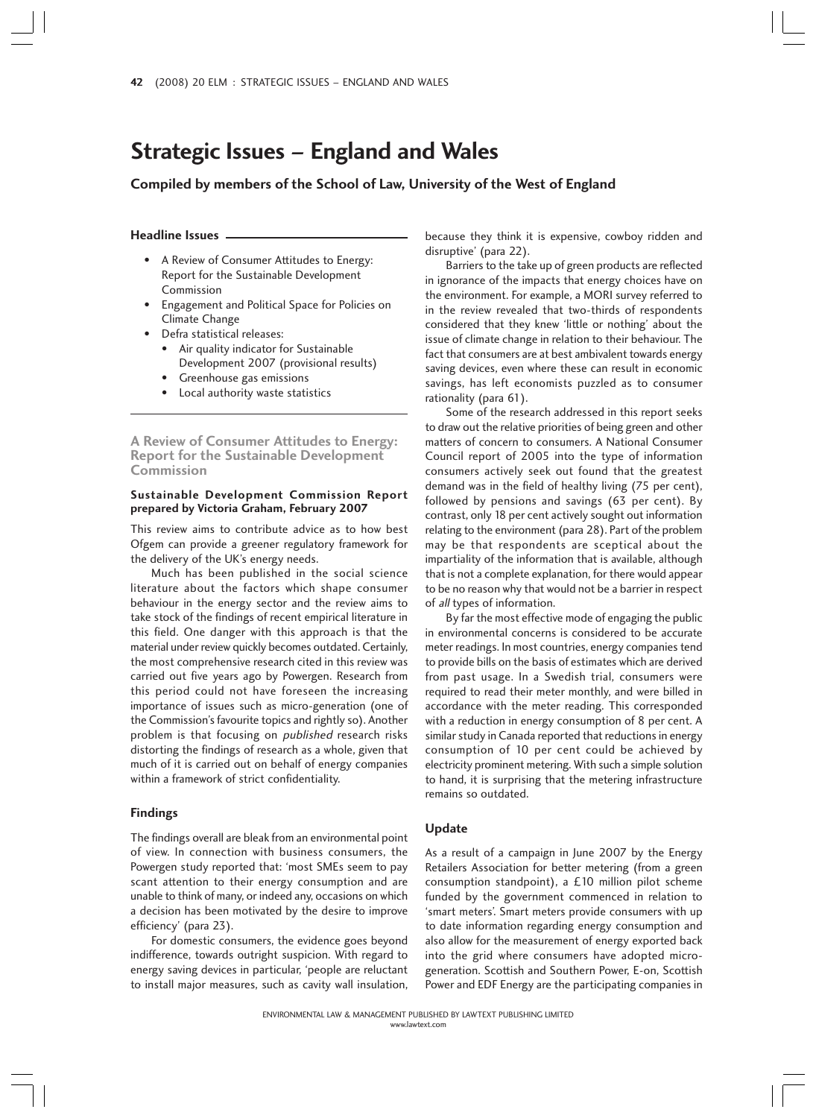# **Strategic Issues – England and Wales**

**Compiled by members of the School of Law, University of the West of England**

#### **Headline Issues**

- A Review of Consumer Attitudes to Energy: Report for the Sustainable Development Commission
- Engagement and Political Space for Policies on Climate Change
- Defra statistical releases:
	- Air quality indicator for Sustainable Development 2007 (provisional results)
	- Greenhouse gas emissions
	- Local authority waste statistics

**A Review of Consumer Attitudes to Energy: Report for the Sustainable Development Commission**

## **Sustainable Development Commission Report prepared by Victoria Graham, February 2007**

This review aims to contribute advice as to how best Ofgem can provide a greener regulatory framework for the delivery of the UK's energy needs.

Much has been published in the social science literature about the factors which shape consumer behaviour in the energy sector and the review aims to take stock of the findings of recent empirical literature in this field. One danger with this approach is that the material under review quickly becomes outdated. Certainly, the most comprehensive research cited in this review was carried out five years ago by Powergen. Research from this period could not have foreseen the increasing importance of issues such as micro-generation (one of the Commission's favourite topics and rightly so). Another problem is that focusing on *published* research risks distorting the findings of research as a whole, given that much of it is carried out on behalf of energy companies within a framework of strict confidentiality.

### **Findings**

The findings overall are bleak from an environmental point of view. In connection with business consumers, the Powergen study reported that: 'most SMEs seem to pay scant attention to their energy consumption and are unable to think of many, or indeed any, occasions on which a decision has been motivated by the desire to improve efficiency' (para 23).

For domestic consumers, the evidence goes beyond indifference, towards outright suspicion. With regard to energy saving devices in particular, 'people are reluctant to install major measures, such as cavity wall insulation,

because they think it is expensive, cowboy ridden and disruptive' (para 22).

Barriers to the take up of green products are reflected in ignorance of the impacts that energy choices have on the environment. For example, a MORI survey referred to in the review revealed that two-thirds of respondents considered that they knew 'little or nothing' about the issue of climate change in relation to their behaviour. The fact that consumers are at best ambivalent towards energy saving devices, even where these can result in economic savings, has left economists puzzled as to consumer rationality (para 61).

Some of the research addressed in this report seeks to draw out the relative priorities of being green and other matters of concern to consumers. A National Consumer Council report of 2005 into the type of information consumers actively seek out found that the greatest demand was in the field of healthy living (75 per cent), followed by pensions and savings (63 per cent). By contrast, only 18 per cent actively sought out information relating to the environment (para 28). Part of the problem may be that respondents are sceptical about the impartiality of the information that is available, although that is not a complete explanation, for there would appear to be no reason why that would not be a barrier in respect of all types of information.

By far the most effective mode of engaging the public in environmental concerns is considered to be accurate meter readings. In most countries, energy companies tend to provide bills on the basis of estimates which are derived from past usage. In a Swedish trial, consumers were required to read their meter monthly, and were billed in accordance with the meter reading. This corresponded with a reduction in energy consumption of 8 per cent. A similar study in Canada reported that reductions in energy consumption of 10 per cent could be achieved by electricity prominent metering. With such a simple solution to hand, it is surprising that the metering infrastructure remains so outdated.

#### **Update**

As a result of a campaign in June 2007 by the Energy Retailers Association for better metering (from a green consumption standpoint), a £10 million pilot scheme funded by the government commenced in relation to 'smart meters'. Smart meters provide consumers with up to date information regarding energy consumption and also allow for the measurement of energy exported back into the grid where consumers have adopted microgeneration. Scottish and Southern Power, E-on, Scottish Power and EDF Energy are the participating companies in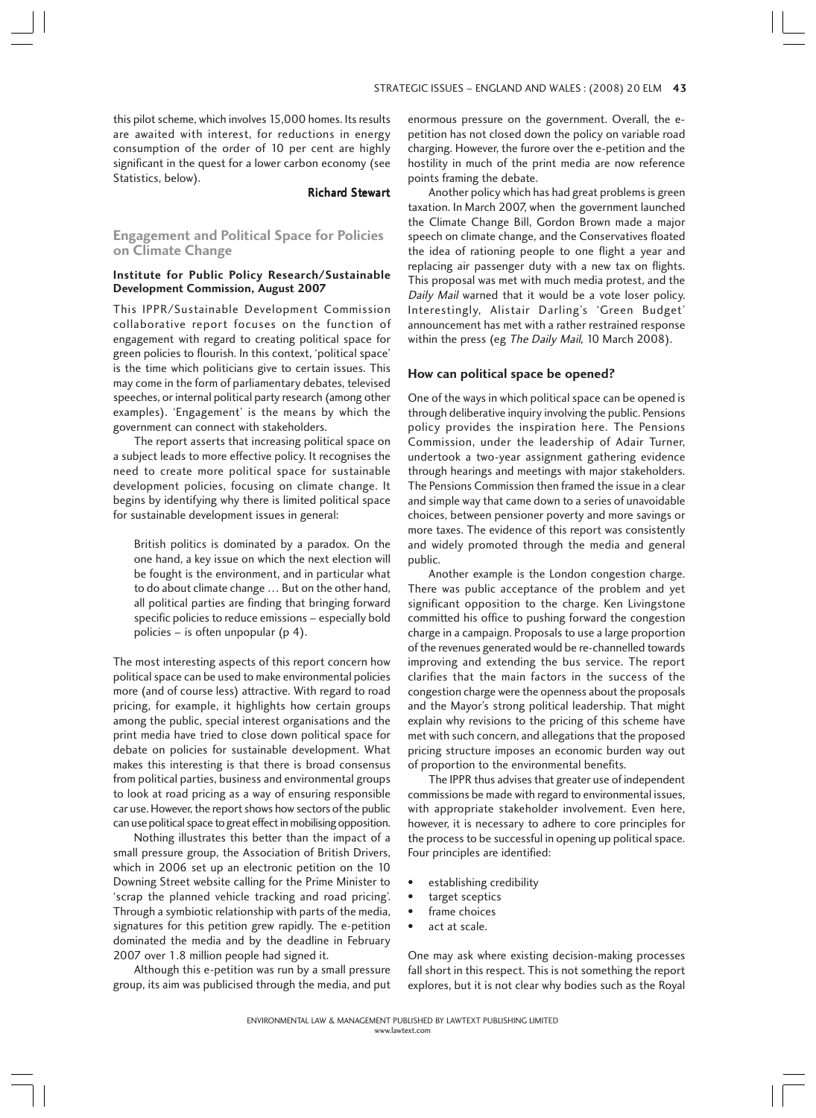this pilot scheme, which involves 15,000 homes. Its results are awaited with interest, for reductions in energy consumption of the order of 10 per cent are highly significant in the quest for a lower carbon economy (see Statistics, below).

#### Richard Stewart

**Engagement and Political Space for Policies on Climate Change**

## **Institute for Public Policy Research/Sustainable Development Commission, August 2007**

This IPPR/Sustainable Development Commission collaborative report focuses on the function of engagement with regard to creating political space for green policies to flourish. In this context, 'political space' is the time which politicians give to certain issues. This may come in the form of parliamentary debates, televised speeches, or internal political party research (among other examples). 'Engagement' is the means by which the government can connect with stakeholders.

The report asserts that increasing political space on a subject leads to more effective policy. It recognises the need to create more political space for sustainable development policies, focusing on climate change. It begins by identifying why there is limited political space for sustainable development issues in general:

British politics is dominated by a paradox. On the one hand, a key issue on which the next election will be fought is the environment, and in particular what to do about climate change … But on the other hand, all political parties are finding that bringing forward specific policies to reduce emissions – especially bold policies – is often unpopular (p 4).

The most interesting aspects of this report concern how political space can be used to make environmental policies more (and of course less) attractive. With regard to road pricing, for example, it highlights how certain groups among the public, special interest organisations and the print media have tried to close down political space for debate on policies for sustainable development. What makes this interesting is that there is broad consensus from political parties, business and environmental groups to look at road pricing as a way of ensuring responsible car use. However, the report shows how sectors of the public can use political space to great effect in mobilising opposition.

Nothing illustrates this better than the impact of a small pressure group, the Association of British Drivers, which in 2006 set up an electronic petition on the 10 Downing Street website calling for the Prime Minister to 'scrap the planned vehicle tracking and road pricing'. Through a symbiotic relationship with parts of the media, signatures for this petition grew rapidly. The e-petition dominated the media and by the deadline in February 2007 over 1.8 million people had signed it.

Although this e-petition was run by a small pressure group, its aim was publicised through the media, and put enormous pressure on the government. Overall, the epetition has not closed down the policy on variable road charging. However, the furore over the e-petition and the hostility in much of the print media are now reference points framing the debate.

Another policy which has had great problems is green taxation. In March 2007, when the government launched the Climate Change Bill, Gordon Brown made a major speech on climate change, and the Conservatives floated the idea of rationing people to one flight a year and replacing air passenger duty with a new tax on flights. This proposal was met with much media protest, and the Daily Mail warned that it would be a vote loser policy. Interestingly, Alistair Darling's 'Green Budget' announcement has met with a rather restrained response within the press (eg The Daily Mail, 10 March 2008).

#### **How can political space be opened?**

One of the ways in which political space can be opened is through deliberative inquiry involving the public. Pensions policy provides the inspiration here. The Pensions Commission, under the leadership of Adair Turner, undertook a two-year assignment gathering evidence through hearings and meetings with major stakeholders. The Pensions Commission then framed the issue in a clear and simple way that came down to a series of unavoidable choices, between pensioner poverty and more savings or more taxes. The evidence of this report was consistently and widely promoted through the media and general public.

Another example is the London congestion charge. There was public acceptance of the problem and yet significant opposition to the charge. Ken Livingstone committed his office to pushing forward the congestion charge in a campaign. Proposals to use a large proportion of the revenues generated would be re-channelled towards improving and extending the bus service. The report clarifies that the main factors in the success of the congestion charge were the openness about the proposals and the Mayor's strong political leadership. That might explain why revisions to the pricing of this scheme have met with such concern, and allegations that the proposed pricing structure imposes an economic burden way out of proportion to the environmental benefits.

The IPPR thus advises that greater use of independent commissions be made with regard to environmental issues, with appropriate stakeholder involvement. Even here, however, it is necessary to adhere to core principles for the process to be successful in opening up political space. Four principles are identified:

- establishing credibility
- target sceptics
- frame choices
- act at scale.

One may ask where existing decision-making processes fall short in this respect. This is not something the report explores, but it is not clear why bodies such as the Royal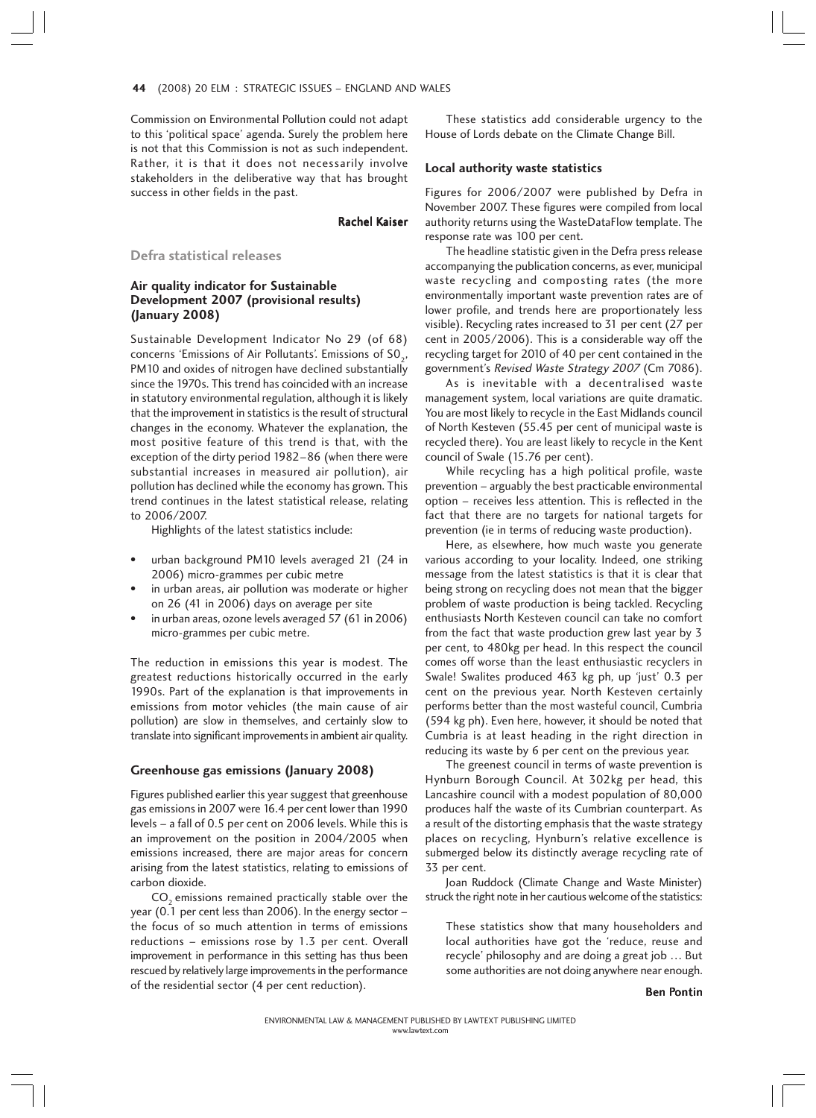Commission on Environmental Pollution could not adapt to this 'political space' agenda. Surely the problem here is not that this Commission is not as such independent. Rather, it is that it does not necessarily involve stakeholders in the deliberative way that has brought success in other fields in the past.

## Rachel Kaiser

**Defra statistical releases**

# **Air quality indicator for Sustainable Development 2007 (provisional results) (January 2008)**

Sustainable Development Indicator No 29 (of 68) concerns 'Emissions of Air Pollutants'. Emissions of SO<sub>2</sub>, PM10 and oxides of nitrogen have declined substantially since the 1970s. This trend has coincided with an increase in statutory environmental regulation, although it is likely that the improvement in statistics is the result of structural changes in the economy. Whatever the explanation, the most positive feature of this trend is that, with the exception of the dirty period 1982–86 (when there were substantial increases in measured air pollution), air pollution has declined while the economy has grown. This trend continues in the latest statistical release, relating to 2006/2007.

Highlights of the latest statistics include:

- urban background PM10 levels averaged 21 (24 in 2006) micro-grammes per cubic metre
- in urban areas, air pollution was moderate or higher on 26 (41 in 2006) days on average per site
- in urban areas, ozone levels averaged 57 (61 in 2006) micro-grammes per cubic metre.

The reduction in emissions this year is modest. The greatest reductions historically occurred in the early 1990s. Part of the explanation is that improvements in emissions from motor vehicles (the main cause of air pollution) are slow in themselves, and certainly slow to translate into significant improvements in ambient air quality.

#### **Greenhouse gas emissions (January 2008)**

Figures published earlier this year suggest that greenhouse gas emissions in 2007 were 16.4 per cent lower than 1990 levels – a fall of 0.5 per cent on 2006 levels. While this is an improvement on the position in 2004/2005 when emissions increased, there are major areas for concern arising from the latest statistics, relating to emissions of carbon dioxide.

 $CO<sub>2</sub>$  emissions remained practically stable over the year (0.1 per cent less than 2006). In the energy sector – the focus of so much attention in terms of emissions reductions – emissions rose by 1.3 per cent. Overall improvement in performance in this setting has thus been rescued by relatively large improvements in the performance of the residential sector (4 per cent reduction).

These statistics add considerable urgency to the House of Lords debate on the Climate Change Bill.

## **Local authority waste statistics**

Figures for 2006/2007 were published by Defra in November 2007. These figures were compiled from local authority returns using the WasteDataFlow template. The response rate was 100 per cent.

The headline statistic given in the Defra press release accompanying the publication concerns, as ever, municipal waste recycling and composting rates (the more environmentally important waste prevention rates are of lower profile, and trends here are proportionately less visible). Recycling rates increased to 31 per cent (27 per cent in 2005/2006). This is a considerable way off the recycling target for 2010 of 40 per cent contained in the government's Revised Waste Strategy 2007 (Cm 7086).

As is inevitable with a decentralised waste management system, local variations are quite dramatic. You are most likely to recycle in the East Midlands council of North Kesteven (55.45 per cent of municipal waste is recycled there). You are least likely to recycle in the Kent council of Swale (15.76 per cent).

While recycling has a high political profile, waste prevention – arguably the best practicable environmental option – receives less attention. This is reflected in the fact that there are no targets for national targets for prevention (ie in terms of reducing waste production).

Here, as elsewhere, how much waste you generate various according to your locality. Indeed, one striking message from the latest statistics is that it is clear that being strong on recycling does not mean that the bigger problem of waste production is being tackled. Recycling enthusiasts North Kesteven council can take no comfort from the fact that waste production grew last year by 3 per cent, to 480kg per head. In this respect the council comes off worse than the least enthusiastic recyclers in Swale! Swalites produced 463 kg ph, up 'just' 0.3 per cent on the previous year. North Kesteven certainly performs better than the most wasteful council, Cumbria (594 kg ph). Even here, however, it should be noted that Cumbria is at least heading in the right direction in reducing its waste by 6 per cent on the previous year.

The greenest council in terms of waste prevention is Hynburn Borough Council. At 302kg per head, this Lancashire council with a modest population of 80,000 produces half the waste of its Cumbrian counterpart. As a result of the distorting emphasis that the waste strategy places on recycling, Hynburn's relative excellence is submerged below its distinctly average recycling rate of 33 per cent.

Joan Ruddock (Climate Change and Waste Minister) struck the right note in her cautious welcome of the statistics:

These statistics show that many householders and local authorities have got the 'reduce, reuse and recycle' philosophy and are doing a great job … But some authorities are not doing anywhere near enough.

Ben Pontin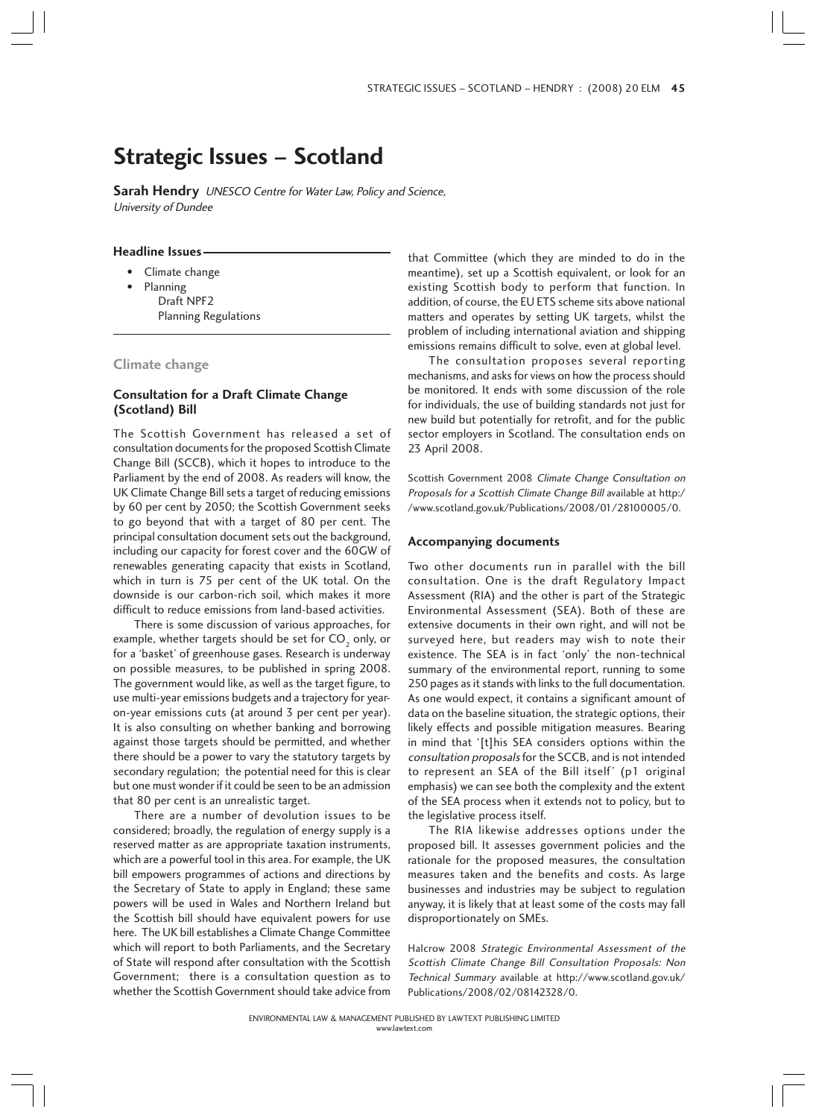# **Strategic Issues – Scotland**

**Sarah Hendry** UNESCO Centre for Water Law, Policy and Science, University of Dundee

## **Headline Issues**

- Climate change
	- Planning Draft NPF2 Planning Regulations

## **Climate change**

# **Consultation for a Draft Climate Change (Scotland) Bill**

The Scottish Government has released a set of consultation documents for the proposed Scottish Climate Change Bill (SCCB), which it hopes to introduce to the Parliament by the end of 2008. As readers will know, the UK Climate Change Bill sets a target of reducing emissions by 60 per cent by 2050; the Scottish Government seeks to go beyond that with a target of 80 per cent. The principal consultation document sets out the background, including our capacity for forest cover and the 60GW of renewables generating capacity that exists in Scotland, which in turn is 75 per cent of the UK total. On the downside is our carbon-rich soil, which makes it more difficult to reduce emissions from land-based activities.

There is some discussion of various approaches, for example, whether targets should be set for CO<sub>2</sub> only, or for a 'basket' of greenhouse gases. Research is underway on possible measures, to be published in spring 2008. The government would like, as well as the target figure, to use multi-year emissions budgets and a trajectory for yearon-year emissions cuts (at around 3 per cent per year). It is also consulting on whether banking and borrowing against those targets should be permitted, and whether there should be a power to vary the statutory targets by secondary regulation; the potential need for this is clear but one must wonder if it could be seen to be an admission that 80 per cent is an unrealistic target.

There are a number of devolution issues to be considered; broadly, the regulation of energy supply is a reserved matter as are appropriate taxation instruments, which are a powerful tool in this area. For example, the UK bill empowers programmes of actions and directions by the Secretary of State to apply in England; these same powers will be used in Wales and Northern Ireland but the Scottish bill should have equivalent powers for use here. The UK bill establishes a Climate Change Committee which will report to both Parliaments, and the Secretary of State will respond after consultation with the Scottish Government; there is a consultation question as to whether the Scottish Government should take advice from that Committee (which they are minded to do in the meantime), set up a Scottish equivalent, or look for an existing Scottish body to perform that function. In addition, of course, the EU ETS scheme sits above national matters and operates by setting UK targets, whilst the problem of including international aviation and shipping emissions remains difficult to solve, even at global level.

The consultation proposes several reporting mechanisms, and asks for views on how the process should be monitored. It ends with some discussion of the role for individuals, the use of building standards not just for new build but potentially for retrofit, and for the public sector employers in Scotland. The consultation ends on 23 April 2008.

Scottish Government 2008 Climate Change Consultation on Proposals for a Scottish Climate Change Bill available at http:/ /www.scotland.gov.uk/Publications/2008/01/28100005/0.

#### **Accompanying documents**

Two other documents run in parallel with the bill consultation. One is the draft Regulatory Impact Assessment (RIA) and the other is part of the Strategic Environmental Assessment (SEA). Both of these are extensive documents in their own right, and will not be surveyed here, but readers may wish to note their existence. The SEA is in fact 'only' the non-technical summary of the environmental report, running to some 250 pages as it stands with links to the full documentation. As one would expect, it contains a significant amount of data on the baseline situation, the strategic options, their likely effects and possible mitigation measures. Bearing in mind that '[t]his SEA considers options within the consultation proposals for the SCCB, and is not intended to represent an SEA of the Bill itself' (p1 original emphasis) we can see both the complexity and the extent of the SEA process when it extends not to policy, but to the legislative process itself.

The RIA likewise addresses options under the proposed bill. It assesses government policies and the rationale for the proposed measures, the consultation measures taken and the benefits and costs. As large businesses and industries may be subject to regulation anyway, it is likely that at least some of the costs may fall disproportionately on SMEs.

Halcrow 2008 Strategic Environmental Assessment of the Scottish Climate Change Bill Consultation Proposals: Non Technical Summary available at http://www.scotland.gov.uk/ Publications/2008/02/08142328/0.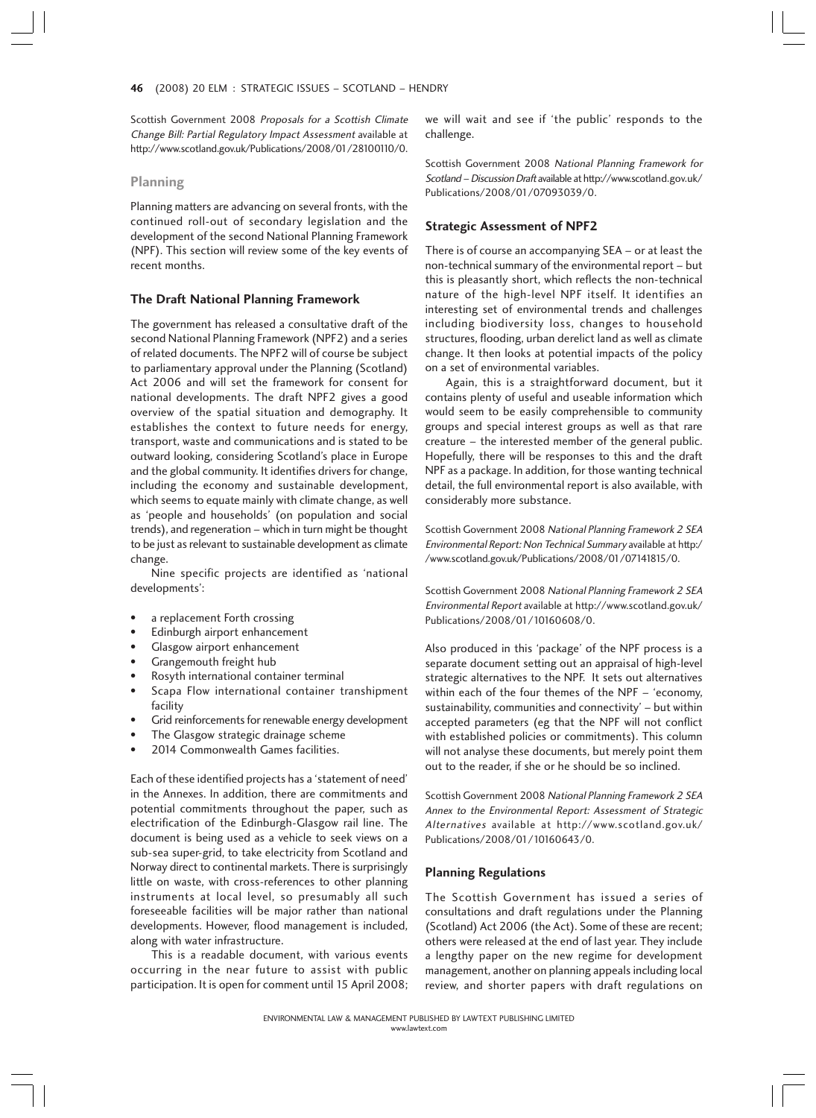Scottish Government 2008 Proposals for a Scottish Climate Change Bill: Partial Regulatory Impact Assessment available at http://www.scotland.gov.uk/Publications/2008/01/28100110/0.

#### **Planning**

Planning matters are advancing on several fronts, with the continued roll-out of secondary legislation and the development of the second National Planning Framework (NPF). This section will review some of the key events of recent months.

## **The Draft National Planning Framework**

The government has released a consultative draft of the second National Planning Framework (NPF2) and a series of related documents. The NPF2 will of course be subject to parliamentary approval under the Planning (Scotland) Act 2006 and will set the framework for consent for national developments. The draft NPF2 gives a good overview of the spatial situation and demography. It establishes the context to future needs for energy, transport, waste and communications and is stated to be outward looking, considering Scotland's place in Europe and the global community. It identifies drivers for change, including the economy and sustainable development, which seems to equate mainly with climate change, as well as 'people and households' (on population and social trends), and regeneration – which in turn might be thought to be just as relevant to sustainable development as climate change.

Nine specific projects are identified as 'national developments':

- a replacement Forth crossing
- Edinburgh airport enhancement
- Glasgow airport enhancement
- Grangemouth freight hub
- Rosyth international container terminal
- Scapa Flow international container transhipment facility
- Grid reinforcements for renewable energy development
- The Glasgow strategic drainage scheme
- 2014 Commonwealth Games facilities.

Each of these identified projects has a 'statement of need' in the Annexes. In addition, there are commitments and potential commitments throughout the paper, such as electrification of the Edinburgh-Glasgow rail line. The document is being used as a vehicle to seek views on a sub-sea super-grid, to take electricity from Scotland and Norway direct to continental markets. There is surprisingly little on waste, with cross-references to other planning instruments at local level, so presumably all such foreseeable facilities will be major rather than national developments. However, flood management is included, along with water infrastructure.

This is a readable document, with various events occurring in the near future to assist with public participation. It is open for comment until 15 April 2008; we will wait and see if 'the public' responds to the challenge.

Scottish Government 2008 National Planning Framework for Scotland – Discussion Draft available at http://www.scotland.gov.uk/ Publications/2008/01/07093039/0.

#### **Strategic Assessment of NPF2**

There is of course an accompanying SEA – or at least the non-technical summary of the environmental report – but this is pleasantly short, which reflects the non-technical nature of the high-level NPF itself. It identifies an interesting set of environmental trends and challenges including biodiversity loss, changes to household structures, flooding, urban derelict land as well as climate change. It then looks at potential impacts of the policy on a set of environmental variables.

Again, this is a straightforward document, but it contains plenty of useful and useable information which would seem to be easily comprehensible to community groups and special interest groups as well as that rare creature – the interested member of the general public. Hopefully, there will be responses to this and the draft NPF as a package. In addition, for those wanting technical detail, the full environmental report is also available, with considerably more substance.

Scottish Government 2008 National Planning Framework 2 SEA Environmental Report: Non Technical Summary available at http:/ /www.scotland.gov.uk/Publications/2008/01/07141815/0.

Scottish Government 2008 National Planning Framework 2 SEA Environmental Report available at http://www.scotland.gov.uk/ Publications/2008/01/10160608/0.

Also produced in this 'package' of the NPF process is a separate document setting out an appraisal of high-level strategic alternatives to the NPF. It sets out alternatives within each of the four themes of the NPF – 'economy, sustainability, communities and connectivity' – but within accepted parameters (eg that the NPF will not conflict with established policies or commitments). This column will not analyse these documents, but merely point them out to the reader, if she or he should be so inclined.

Scottish Government 2008 National Planning Framework 2 SEA Annex to the Environmental Report: Assessment of Strategic Alternatives available at http://www.scotland.gov.uk/ Publications/2008/01/10160643/0.

#### **Planning Regulations**

The Scottish Government has issued a series of consultations and draft regulations under the Planning (Scotland) Act 2006 (the Act). Some of these are recent; others were released at the end of last year. They include a lengthy paper on the new regime for development management, another on planning appeals including local review, and shorter papers with draft regulations on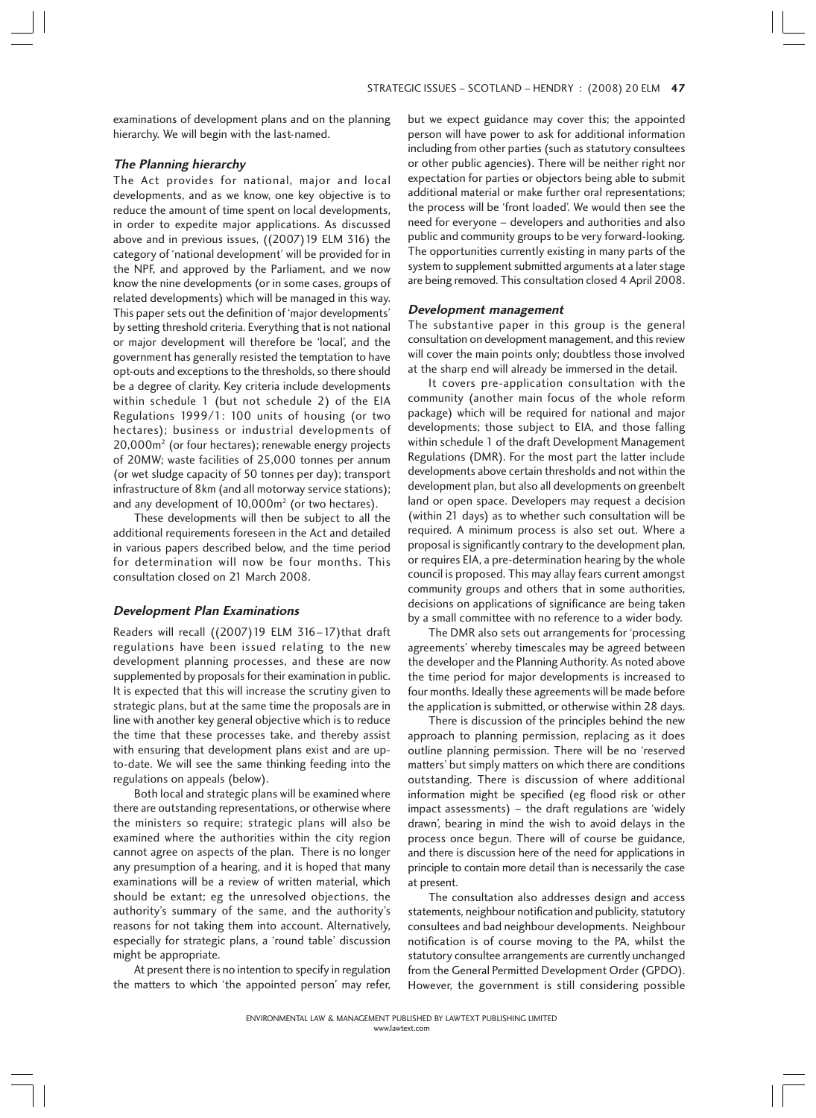examinations of development plans and on the planning hierarchy. We will begin with the last-named.

## **The Planning hierarchy**

The Act provides for national, major and local developments, and as we know, one key objective is to reduce the amount of time spent on local developments, in order to expedite major applications. As discussed above and in previous issues, ((2007)19 ELM 316) the category of 'national development' will be provided for in the NPF, and approved by the Parliament, and we now know the nine developments (or in some cases, groups of related developments) which will be managed in this way. This paper sets out the definition of 'major developments' by setting threshold criteria. Everything that is not national or major development will therefore be 'local', and the government has generally resisted the temptation to have opt-outs and exceptions to the thresholds, so there should be a degree of clarity. Key criteria include developments within schedule 1 (but not schedule 2) of the EIA Regulations 1999/1: 100 units of housing (or two hectares); business or industrial developments of 20,000m2 (or four hectares); renewable energy projects of 20MW; waste facilities of 25,000 tonnes per annum (or wet sludge capacity of 50 tonnes per day); transport infrastructure of 8km (and all motorway service stations); and any development of 10,000m<sup>2</sup> (or two hectares).

These developments will then be subject to all the additional requirements foreseen in the Act and detailed in various papers described below, and the time period for determination will now be four months. This consultation closed on 21 March 2008.

### **Development Plan Examinations**

Readers will recall ((2007)19 ELM 316–17)that draft regulations have been issued relating to the new development planning processes, and these are now supplemented by proposals for their examination in public. It is expected that this will increase the scrutiny given to strategic plans, but at the same time the proposals are in line with another key general objective which is to reduce the time that these processes take, and thereby assist with ensuring that development plans exist and are upto-date. We will see the same thinking feeding into the regulations on appeals (below).

Both local and strategic plans will be examined where there are outstanding representations, or otherwise where the ministers so require; strategic plans will also be examined where the authorities within the city region cannot agree on aspects of the plan. There is no longer any presumption of a hearing, and it is hoped that many examinations will be a review of written material, which should be extant; eg the unresolved objections, the authority's summary of the same, and the authority's reasons for not taking them into account. Alternatively, especially for strategic plans, a 'round table' discussion might be appropriate.

At present there is no intention to specify in regulation the matters to which 'the appointed person' may refer, but we expect guidance may cover this; the appointed person will have power to ask for additional information including from other parties (such as statutory consultees or other public agencies). There will be neither right nor expectation for parties or objectors being able to submit additional material or make further oral representations; the process will be 'front loaded'. We would then see the need for everyone – developers and authorities and also public and community groups to be very forward-looking. The opportunities currently existing in many parts of the system to supplement submitted arguments at a later stage are being removed. This consultation closed 4 April 2008.

#### **Development management**

The substantive paper in this group is the general consultation on development management, and this review will cover the main points only; doubtless those involved at the sharp end will already be immersed in the detail.

It covers pre-application consultation with the community (another main focus of the whole reform package) which will be required for national and major developments; those subject to EIA, and those falling within schedule 1 of the draft Development Management Regulations (DMR). For the most part the latter include developments above certain thresholds and not within the development plan, but also all developments on greenbelt land or open space. Developers may request a decision (within 21 days) as to whether such consultation will be required. A minimum process is also set out. Where a proposal is significantly contrary to the development plan, or requires EIA, a pre-determination hearing by the whole council is proposed. This may allay fears current amongst community groups and others that in some authorities, decisions on applications of significance are being taken by a small committee with no reference to a wider body.

The DMR also sets out arrangements for 'processing agreements' whereby timescales may be agreed between the developer and the Planning Authority. As noted above the time period for major developments is increased to four months. Ideally these agreements will be made before the application is submitted, or otherwise within 28 days.

There is discussion of the principles behind the new approach to planning permission, replacing as it does outline planning permission. There will be no 'reserved matters' but simply matters on which there are conditions outstanding. There is discussion of where additional information might be specified (eg flood risk or other impact assessments) – the draft regulations are 'widely drawn', bearing in mind the wish to avoid delays in the process once begun. There will of course be guidance, and there is discussion here of the need for applications in principle to contain more detail than is necessarily the case at present.

The consultation also addresses design and access statements, neighbour notification and publicity, statutory consultees and bad neighbour developments. Neighbour notification is of course moving to the PA, whilst the statutory consultee arrangements are currently unchanged from the General Permitted Development Order (GPDO). However, the government is still considering possible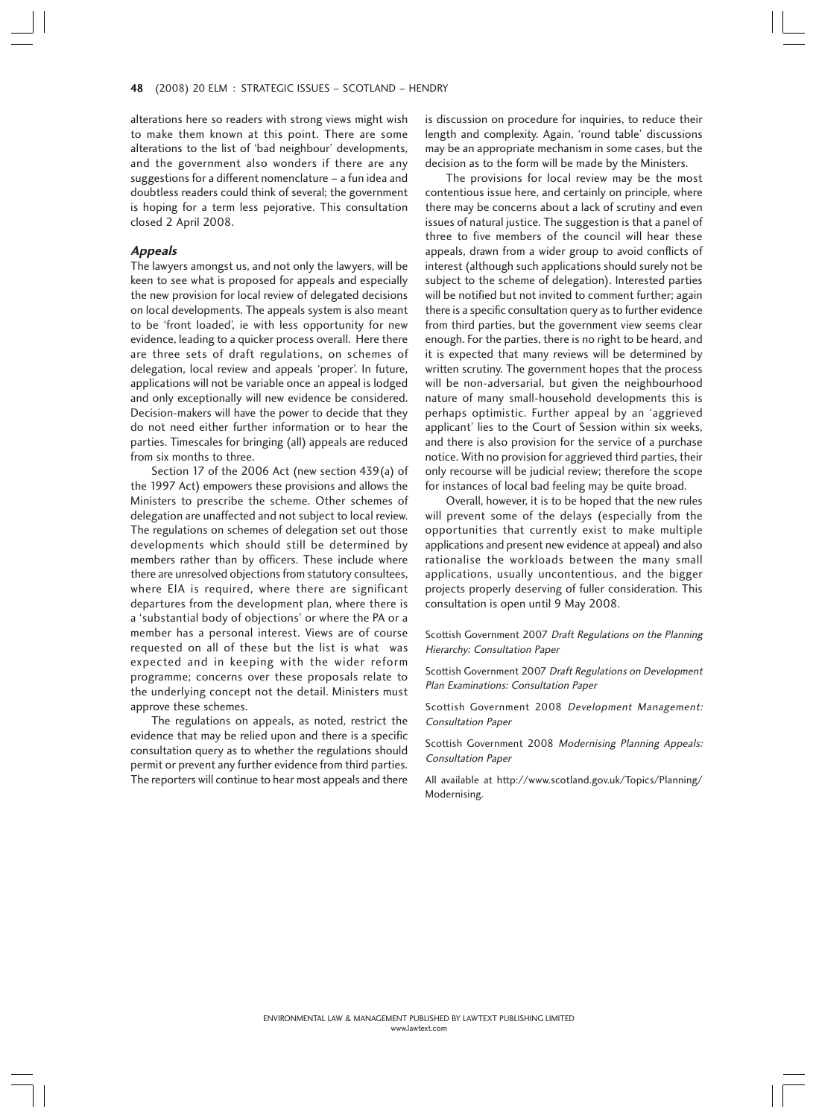#### 48 (2008) 20 ELM : STRATEGIC ISSUES – SCOTLAND – HENDRY 8

alterations here so readers with strong views might wish to make them known at this point. There are some alterations to the list of 'bad neighbour' developments, and the government also wonders if there are any suggestions for a different nomenclature – a fun idea and doubtless readers could think of several; the government is hoping for a term less pejorative. This consultation closed 2 April 2008.

## **Appeals**

The lawyers amongst us, and not only the lawyers, will be keen to see what is proposed for appeals and especially the new provision for local review of delegated decisions on local developments. The appeals system is also meant to be 'front loaded', ie with less opportunity for new evidence, leading to a quicker process overall. Here there are three sets of draft regulations, on schemes of delegation, local review and appeals 'proper'. In future, applications will not be variable once an appeal is lodged and only exceptionally will new evidence be considered. Decision-makers will have the power to decide that they do not need either further information or to hear the parties. Timescales for bringing (all) appeals are reduced from six months to three.

Section 17 of the 2006 Act (new section 439(a) of the 1997 Act) empowers these provisions and allows the Ministers to prescribe the scheme. Other schemes of delegation are unaffected and not subject to local review. The regulations on schemes of delegation set out those developments which should still be determined by members rather than by officers. These include where there are unresolved objections from statutory consultees, where EIA is required, where there are significant departures from the development plan, where there is a 'substantial body of objections' or where the PA or a member has a personal interest. Views are of course requested on all of these but the list is what was expected and in keeping with the wider reform programme; concerns over these proposals relate to the underlying concept not the detail. Ministers must approve these schemes.

The regulations on appeals, as noted, restrict the evidence that may be relied upon and there is a specific consultation query as to whether the regulations should permit or prevent any further evidence from third parties. The reporters will continue to hear most appeals and there is discussion on procedure for inquiries, to reduce their length and complexity. Again, 'round table' discussions may be an appropriate mechanism in some cases, but the decision as to the form will be made by the Ministers.

The provisions for local review may be the most contentious issue here, and certainly on principle, where there may be concerns about a lack of scrutiny and even issues of natural justice. The suggestion is that a panel of three to five members of the council will hear these appeals, drawn from a wider group to avoid conflicts of interest (although such applications should surely not be subject to the scheme of delegation). Interested parties will be notified but not invited to comment further; again there is a specific consultation query as to further evidence from third parties, but the government view seems clear enough. For the parties, there is no right to be heard, and it is expected that many reviews will be determined by written scrutiny. The government hopes that the process will be non-adversarial, but given the neighbourhood nature of many small-household developments this is perhaps optimistic. Further appeal by an 'aggrieved applicant' lies to the Court of Session within six weeks, and there is also provision for the service of a purchase notice. With no provision for aggrieved third parties, their only recourse will be judicial review; therefore the scope for instances of local bad feeling may be quite broad.

Overall, however, it is to be hoped that the new rules will prevent some of the delays (especially from the opportunities that currently exist to make multiple applications and present new evidence at appeal) and also rationalise the workloads between the many small applications, usually uncontentious, and the bigger projects properly deserving of fuller consideration. This consultation is open until 9 May 2008.

Scottish Government 2007 Draft Regulations on the Planning Hierarchy: Consultation Paper

Scottish Government 2007 Draft Regulations on Development Plan Examinations: Consultation Paper

Scottish Government 2008 Development Management: Consultation Paper

Scottish Government 2008 Modernising Planning Appeals: Consultation Paper

All available at http://www.scotland.gov.uk/Topics/Planning/ Modernising.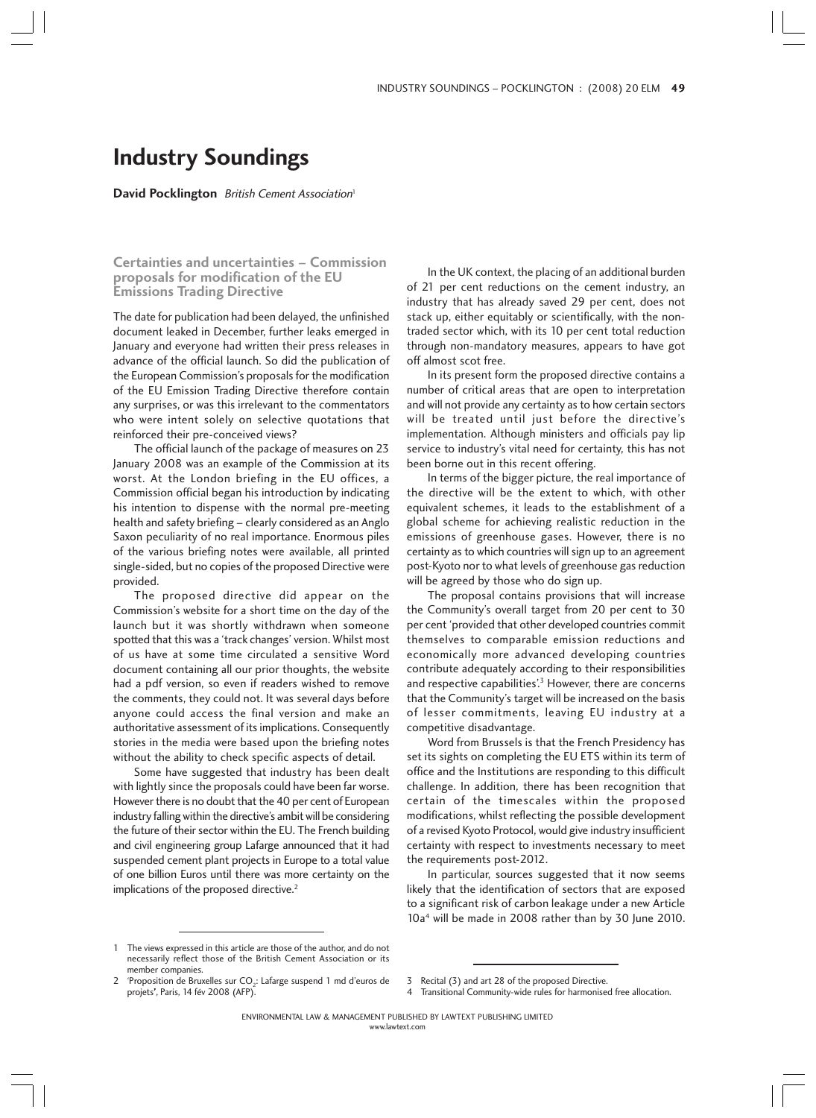# **Industry Soundings**

**David Pocklington** British Cement Association<sup>1</sup>

**Certainties and uncertainties – Commission proposals for modification of the EU Emissions Trading Directive**

The date for publication had been delayed, the unfinished document leaked in December, further leaks emerged in January and everyone had written their press releases in advance of the official launch. So did the publication of the European Commission's proposals for the modification of the EU Emission Trading Directive therefore contain any surprises, or was this irrelevant to the commentators who were intent solely on selective quotations that reinforced their pre-conceived views?

The official launch of the package of measures on 23 January 2008 was an example of the Commission at its worst. At the London briefing in the EU offices, a Commission official began his introduction by indicating his intention to dispense with the normal pre-meeting health and safety briefing – clearly considered as an Anglo Saxon peculiarity of no real importance. Enormous piles of the various briefing notes were available, all printed single-sided, but no copies of the proposed Directive were provided.

The proposed directive did appear on the Commission's website for a short time on the day of the launch but it was shortly withdrawn when someone spotted that this was a 'track changes' version. Whilst most of us have at some time circulated a sensitive Word document containing all our prior thoughts, the website had a pdf version, so even if readers wished to remove the comments, they could not. It was several days before anyone could access the final version and make an authoritative assessment of its implications. Consequently stories in the media were based upon the briefing notes without the ability to check specific aspects of detail.

Some have suggested that industry has been dealt with lightly since the proposals could have been far worse. However there is no doubt that the 40 per cent of European industry falling within the directive's ambit will be considering the future of their sector within the EU. The French building and civil engineering group Lafarge announced that it had suspended cement plant projects in Europe to a total value of one billion Euros until there was more certainty on the implications of the proposed directive.<sup>2</sup>

In the UK context, the placing of an additional burden of 21 per cent reductions on the cement industry, an industry that has already saved 29 per cent, does not stack up, either equitably or scientifically, with the nontraded sector which, with its 10 per cent total reduction through non-mandatory measures, appears to have got off almost scot free.

In its present form the proposed directive contains a number of critical areas that are open to interpretation and will not provide any certainty as to how certain sectors will be treated until just before the directive's implementation. Although ministers and officials pay lip service to industry's vital need for certainty, this has not been borne out in this recent offering.

In terms of the bigger picture, the real importance of the directive will be the extent to which, with other equivalent schemes, it leads to the establishment of a global scheme for achieving realistic reduction in the emissions of greenhouse gases. However, there is no certainty as to which countries will sign up to an agreement post-Kyoto nor to what levels of greenhouse gas reduction will be agreed by those who do sign up.

The proposal contains provisions that will increase the Community's overall target from 20 per cent to 30 per cent 'provided that other developed countries commit themselves to comparable emission reductions and economically more advanced developing countries contribute adequately according to their responsibilities and respective capabilities'.<sup>3</sup> However, there are concerns that the Community's target will be increased on the basis of lesser commitments, leaving EU industry at a competitive disadvantage.

Word from Brussels is that the French Presidency has set its sights on completing the EU ETS within its term of office and the Institutions are responding to this difficult challenge. In addition, there has been recognition that certain of the timescales within the proposed modifications, whilst reflecting the possible development of a revised Kyoto Protocol, would give industry insufficient certainty with respect to investments necessary to meet the requirements post-2012.

In particular, sources suggested that it now seems likely that the identification of sectors that are exposed to a significant risk of carbon leakage under a new Article 10a4 will be made in 2008 rather than by 30 June 2010.

projets', Paris, 14 fév 2008 (AFP).

4 Transitional Community-wide rules for harmonised free allocation.

www.lawtext.com

<sup>1</sup> The views expressed in this article are those of the author, and do not necessarily reflect those of the British Cement Association or its member companies.

<sup>&#</sup>x27;Proposition de Bruxelles sur  $CO<sub>2</sub>$ : Lafarge suspend 1 md d'euros de 3 Recital (3) and art 28 of the proposed Directive.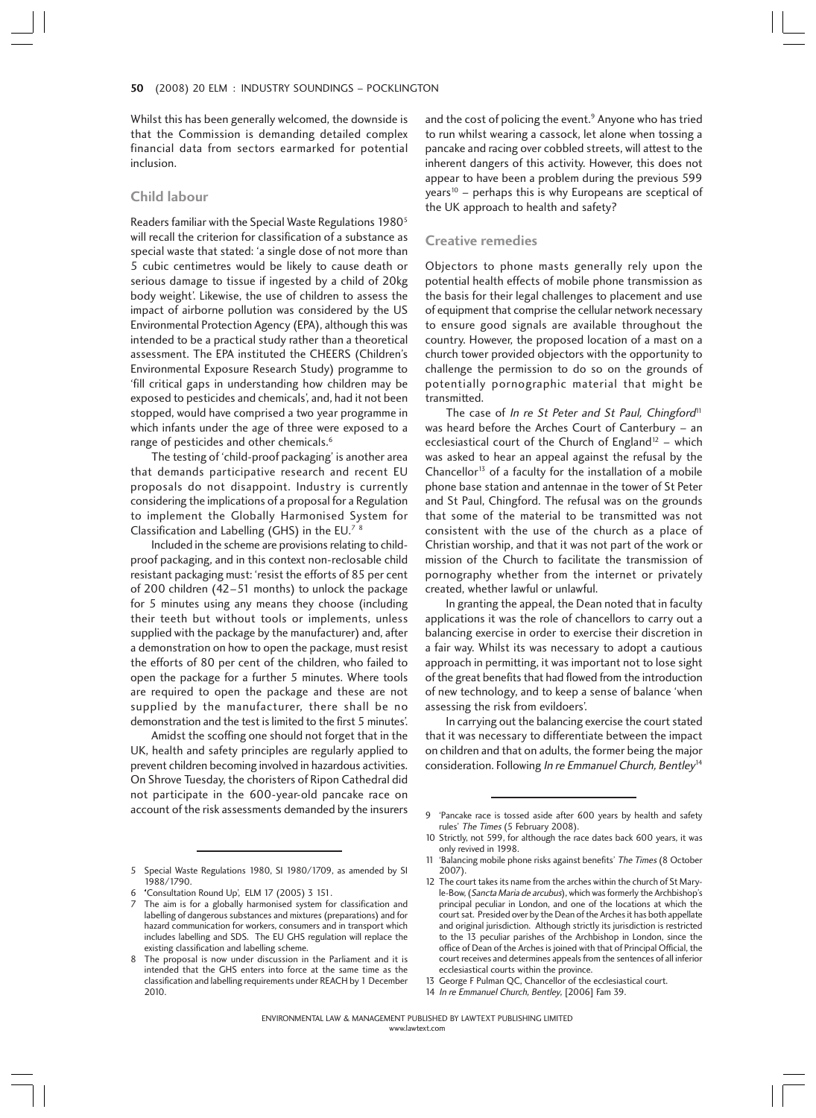Whilst this has been generally welcomed, the downside is that the Commission is demanding detailed complex financial data from sectors earmarked for potential inclusion.

### **Child labour**

Readers familiar with the Special Waste Regulations 19805 will recall the criterion for classification of a substance as special waste that stated: 'a single dose of not more than 5 cubic centimetres would be likely to cause death or serious damage to tissue if ingested by a child of 20kg body weight'. Likewise, the use of children to assess the impact of airborne pollution was considered by the US Environmental Protection Agency (EPA), although this was intended to be a practical study rather than a theoretical assessment. The EPA instituted the CHEERS (Children's Environmental Exposure Research Study) programme to 'fill critical gaps in understanding how children may be exposed to pesticides and chemicals', and, had it not been stopped, would have comprised a two year programme in which infants under the age of three were exposed to a range of pesticides and other chemicals.<sup>6</sup>

The testing of 'child-proof packaging' is another area that demands participative research and recent EU proposals do not disappoint. Industry is currently considering the implications of a proposal for a Regulation to implement the Globally Harmonised System for Classification and Labelling (GHS) in the EU.7 <sup>8</sup>

Included in the scheme are provisions relating to childproof packaging, and in this context non-reclosable child resistant packaging must: 'resist the efforts of 85 per cent of 200 children (42–51 months) to unlock the package for 5 minutes using any means they choose (including their teeth but without tools or implements, unless supplied with the package by the manufacturer) and, after a demonstration on how to open the package, must resist the efforts of 80 per cent of the children, who failed to open the package for a further 5 minutes. Where tools are required to open the package and these are not supplied by the manufacturer, there shall be no demonstration and the test is limited to the first 5 minutes'.

Amidst the scoffing one should not forget that in the UK, health and safety principles are regularly applied to prevent children becoming involved in hazardous activities. On Shrove Tuesday, the choristers of Ripon Cathedral did not participate in the 600-year-old pancake race on account of the risk assessments demanded by the insurers and the cost of policing the event.<sup>9</sup> Anyone who has tried to run whilst wearing a cassock, let alone when tossing a pancake and racing over cobbled streets, will attest to the inherent dangers of this activity. However, this does not appear to have been a problem during the previous 599 years<sup>10</sup> – perhaps this is why Europeans are sceptical of the UK approach to health and safety?

#### **Creative remedies**

Objectors to phone masts generally rely upon the potential health effects of mobile phone transmission as the basis for their legal challenges to placement and use of equipment that comprise the cellular network necessary to ensure good signals are available throughout the country. However, the proposed location of a mast on a church tower provided objectors with the opportunity to challenge the permission to do so on the grounds of potentially pornographic material that might be transmitted.

The case of In re St Peter and St Paul, Chingford<sup>11</sup> was heard before the Arches Court of Canterbury – an ecclesiastical court of the Church of England<sup>12</sup> – which was asked to hear an appeal against the refusal by the Chancellor<sup>13</sup> of a faculty for the installation of a mobile phone base station and antennae in the tower of St Peter and St Paul, Chingford. The refusal was on the grounds that some of the material to be transmitted was not consistent with the use of the church as a place of Christian worship, and that it was not part of the work or mission of the Church to facilitate the transmission of pornography whether from the internet or privately created, whether lawful or unlawful.

In granting the appeal, the Dean noted that in faculty applications it was the role of chancellors to carry out a balancing exercise in order to exercise their discretion in a fair way. Whilst its was necessary to adopt a cautious approach in permitting, it was important not to lose sight of the great benefits that had flowed from the introduction of new technology, and to keep a sense of balance 'when assessing the risk from evildoers'.

In carrying out the balancing exercise the court stated that it was necessary to differentiate between the impact on children and that on adults, the former being the major consideration. Following In re Emmanuel Church, Bentley<sup>14</sup>

<sup>9 &#</sup>x27;Pancake race is tossed aside after 600 years by health and safety rules' The Times (5 February 2008).

<sup>10</sup> Strictly, not 599, for although the race dates back 600 years, it was only revived in 1998.

<sup>11 &#</sup>x27;Balancing mobile phone risks against benefits' The Times (8 October 2007).

<sup>12</sup> The court takes its name from the arches within the church of St Maryle-Bow, (Sancta Maria de arcubus), which was formerly the Archbishop's principal peculiar in London, and one of the locations at which the court sat. Presided over by the Dean of the Arches it has both appellate and original jurisdiction. Although strictly its jurisdiction is restricted to the 13 peculiar parishes of the Archbishop in London, since the office of Dean of the Arches is joined with that of Principal Official, the court receives and determines appeals from the sentences of all inferior ecclesiastical courts within the province.

<sup>13</sup> George F Pulman QC, Chancellor of the ecclesiastical court.

<sup>14</sup> In re Emmanuel Church, Bentley, [2006] Fam 39.

<sup>5</sup> Special Waste Regulations 1980, SI 1980/1709, as amended by SI 1988/1790.

<sup>6</sup> 'Consultation Round Up', ELM 17 (2005) 3 151. '

The aim is for a globally harmonised system for classification and labelling of dangerous substances and mixtures (preparations) and for hazard communication for workers, consumers and in transport which includes labelling and SDS. The EU GHS regulation will replace the existing classification and labelling scheme.

<sup>8</sup> The proposal is now under discussion in the Parliament and it is intended that the GHS enters into force at the same time as the classification and labelling requirements under REACH by 1 December 2010.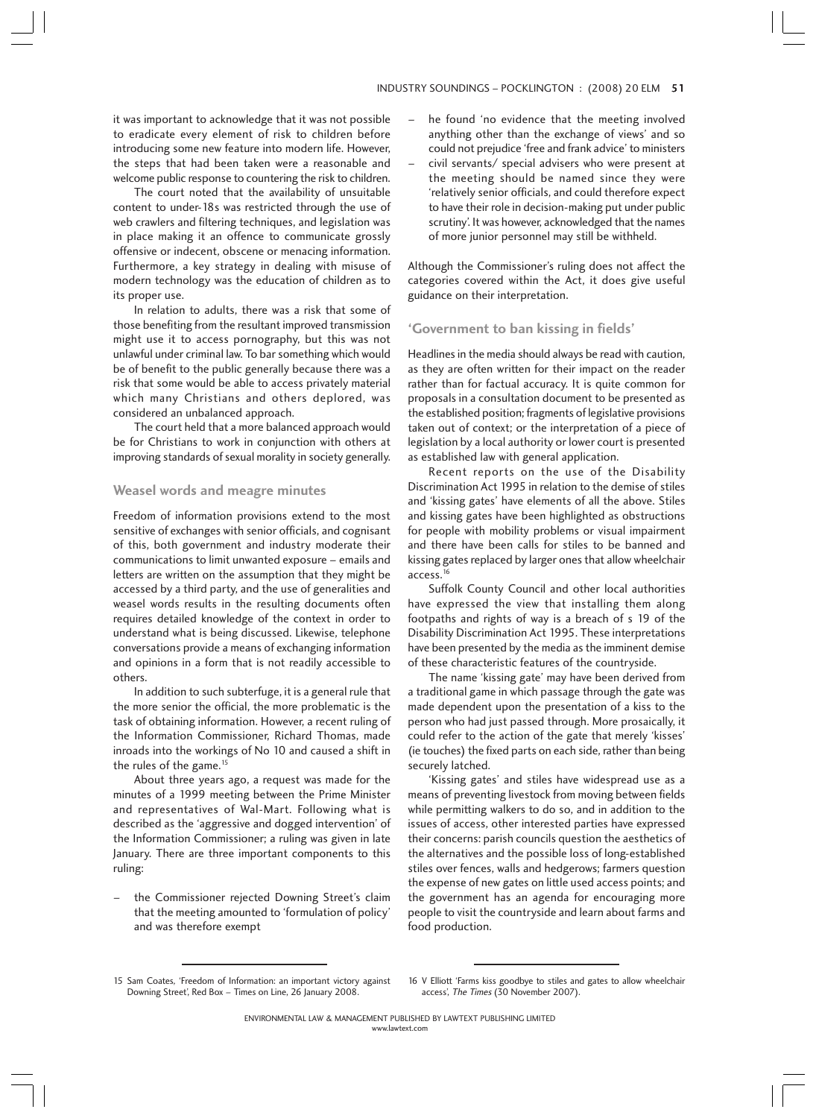it was important to acknowledge that it was not possible to eradicate every element of risk to children before introducing some new feature into modern life. However, the steps that had been taken were a reasonable and welcome public response to countering the risk to children.

The court noted that the availability of unsuitable content to under-18s was restricted through the use of web crawlers and filtering techniques, and legislation was in place making it an offence to communicate grossly offensive or indecent, obscene or menacing information. Furthermore, a key strategy in dealing with misuse of modern technology was the education of children as to its proper use.

In relation to adults, there was a risk that some of those benefiting from the resultant improved transmission might use it to access pornography, but this was not unlawful under criminal law. To bar something which would be of benefit to the public generally because there was a risk that some would be able to access privately material which many Christians and others deplored, was considered an unbalanced approach.

The court held that a more balanced approach would be for Christians to work in conjunction with others at improving standards of sexual morality in society generally.

#### **Weasel words and meagre minutes**

Freedom of information provisions extend to the most sensitive of exchanges with senior officials, and cognisant of this, both government and industry moderate their communications to limit unwanted exposure – emails and letters are written on the assumption that they might be accessed by a third party, and the use of generalities and weasel words results in the resulting documents often requires detailed knowledge of the context in order to understand what is being discussed. Likewise, telephone conversations provide a means of exchanging information and opinions in a form that is not readily accessible to others.

In addition to such subterfuge, it is a general rule that the more senior the official, the more problematic is the task of obtaining information. However, a recent ruling of the Information Commissioner, Richard Thomas, made inroads into the workings of No 10 and caused a shift in the rules of the game.<sup>15</sup>

About three years ago, a request was made for the minutes of a 1999 meeting between the Prime Minister and representatives of Wal-Mart. Following what is described as the 'aggressive and dogged intervention' of the Information Commissioner; a ruling was given in late January. There are three important components to this ruling:

– the Commissioner rejected Downing Street's claim that the meeting amounted to 'formulation of policy' and was therefore exempt

- he found 'no evidence that the meeting involved anything other than the exchange of views' and so could not prejudice 'free and frank advice' to ministers
- civil servants/ special advisers who were present at the meeting should be named since they were 'relatively senior officials, and could therefore expect to have their role in decision-making put under public scrutiny'. It was however, acknowledged that the names of more junior personnel may still be withheld.

Although the Commissioner's ruling does not affect the categories covered within the Act, it does give useful guidance on their interpretation.

#### **'Government to ban kissing in fields'**

Headlines in the media should always be read with caution, as they are often written for their impact on the reader rather than for factual accuracy. It is quite common for proposals in a consultation document to be presented as the established position; fragments of legislative provisions taken out of context; or the interpretation of a piece of legislation by a local authority or lower court is presented as established law with general application.

Recent reports on the use of the Disability Discrimination Act 1995 in relation to the demise of stiles and 'kissing gates' have elements of all the above. Stiles and kissing gates have been highlighted as obstructions for people with mobility problems or visual impairment and there have been calls for stiles to be banned and kissing gates replaced by larger ones that allow wheelchair access.<sup>16</sup>

Suffolk County Council and other local authorities have expressed the view that installing them along footpaths and rights of way is a breach of s 19 of the Disability Discrimination Act 1995. These interpretations have been presented by the media as the imminent demise of these characteristic features of the countryside.

The name 'kissing gate' may have been derived from a traditional game in which passage through the gate was made dependent upon the presentation of a kiss to the person who had just passed through. More prosaically, it could refer to the action of the gate that merely 'kisses' (ie touches) the fixed parts on each side, rather than being securely latched.

'Kissing gates' and stiles have widespread use as a means of preventing livestock from moving between fields while permitting walkers to do so, and in addition to the issues of access, other interested parties have expressed their concerns: parish councils question the aesthetics of the alternatives and the possible loss of long-established stiles over fences, walls and hedgerows; farmers question the expense of new gates on little used access points; and the government has an agenda for encouraging more people to visit the countryside and learn about farms and food production.

<sup>15</sup> Sam Coates, 'Freedom of Information: an important victory against Downing Street', Red Box – Times on Line, 26 January 2008.

<sup>16</sup> V Elliott 'Farms kiss goodbye to stiles and gates to allow wheelchair access', The Times (30 November 2007).